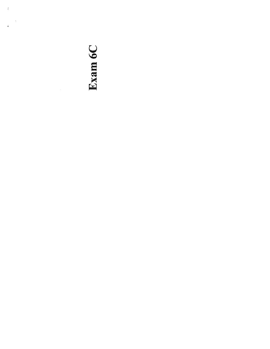# Exam 6C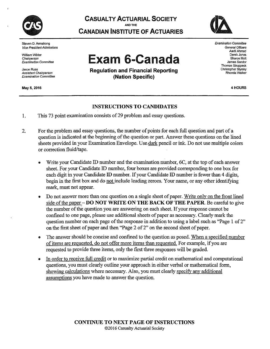

Steven D. Armstrong Vice President-Admissions

William Wilder Chairperson **Examination Committee** 

**Jason Russ** Assistant Chairperson **Examination Committee** 

May 5, 2016

**CASUALTY ACTUARIAL SOCIETY** 

**CANADIAN INSTITUTE OF ACTUARIES** 



**Exam 6-Canada** 

**Regulation and Financial Reporting** (Nation Specific)

Examination Committee **General Officers** Aadil Ahmad Derek Jones Sharon Mott James Sandor Thomas Struppeck Christopher Styrsky Rhonda Walker

4 HOURS

# **INSTRUCTIONS TO CANDIDATES**

This 73 point examination consists of 29 problem and essay questions. 1.

- 2. For the problem and essay questions, the number of points for each full question and part of a question is indicated at the beginning of the question or part. Answer these questions on the lined sheets provided in your Examination Envelope. Use dark pencil or ink. Do not use multiple colors or correction fluid/tape.
	- Write your Candidate ID number and the examination number, 6C, at the top of each answer sheet. For your Candidate ID number, four boxes are provided corresponding to one box for each digit in your Candidate ID number. If your Candidate ID number is fewer than 4 digits, begin in the first box and do not include leading zeroes. Your name, or any other identifying mark, must not appear.
	- Do not answer more than one question on a single sheet of paper. Write only on the front lined side of the paper – DO NOT WRITE ON THE BACK OF THE PAPER. Be careful to give the number of the question you are answering on each sheet. If your response cannot be confined to one page, please use additional sheets of paper as necessary. Clearly mark the question number on each page of the response in addition to using a label such as "Page 1 of 2" on the first sheet of paper and then "Page 2 of 2" on the second sheet of paper.
	- The answer should be concise and confined to the question as posed. When a specified number  $\bullet$ of items are requested, do not offer more items than requested. For example, if you are requested to provide three items, only the first three responses will be graded.
	- In order to receive full credit or to maximize partial credit on mathematical and computational  $\bullet$ questions, you must clearly outline your approach in either verbal or mathematical form, showing calculations where necessary. Also, you must clearly specify any additional assumptions you have made to answer the question.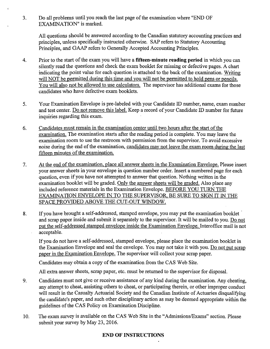Do all problems until you reach the last page of the examination where "END OF" 3. EXAMINATION" is marked.

All questions should be answered according to the Canadian statutory accounting practices and principles, unless specifically instructed otherwise. SAP refers to Statutory Accounting Principles, and GAAP refers to Generally Accepted Accounting Principles.

- Prior to the start of the exam you will have a **fifteen-minute reading period** in which you can  $\overline{4}$ . silently read the questions and check the exam booklet for missing or defective pages. A chart indicating the point value for each question is attached to the back of the examination. Writing will NOT be permitted during this time and you will not be permitted to hold pens or pencils. You will also not be allowed to use calculators. The supervisor has additional exams for those candidates who have defective exam booklets.
- Your Examination Envelope is pre-labeled with your Candidate ID number, name, exam number 5. and test center. Do not remove this label. Keep a record of your Candidate ID number for future inquiries regarding this exam.
- Candidates must remain in the examination center until two hours after the start of the 6. examination. The examination starts after the reading period is complete. You may leave the examination room to use the restroom with permission from the supervisor. To avoid excessive noise during the end of the examination, candidates may not leave the exam room during the last fifteen minutes of the examination.
- At the end of the examination, place all answer sheets in the Examination Envelope. Please insert 7. your answer sheets in your envelope in question number order. Insert a numbered page for each question, even if you have not attempted to answer that question. Nothing written in the examination booklet will be graded. Only the answer sheets will be graded. Also place any included reference materials in the Examination Envelope. BEFORE YOU TURN THE EXAMINATION ENVELOPE IN TO THE SUPERVISOR, BE SURE TO SIGN IT IN THE SPACE PROVIDED ABOVE THE CUT-OUT WINDOW.
- 8. If you have brought a self-addressed, stamped envelope, you may put the examination booklet and scrap paper inside and submit it separately to the supervisor. It will be mailed to you. Do not put the self-addressed stamped envelope inside the Examination Envelope. Interoffice mail is not acceptable.

If you do not have a self-addressed, stamped envelope, please place the examination booklet in the Examination Envelope and seal the envelope. You may not take it with you. Do not put scrap paper in the Examination Envelope. The supervisor will collect your scrap paper.

Candidates may obtain a copy of the examination from the CAS Web Site.

All extra answer sheets, scrap paper, etc. must be returned to the supervisor for disposal.

- Candidates must not give or receive assistance of any kind during the examination. Any cheating, 9. any attempt to cheat, assisting others to cheat, or participating therein, or other improper conduct will result in the Casualty Actuarial Society and the Canadian Institute of Actuaries disqualifying the candidate's paper, and such other disciplinary action as may be deemed appropriate within the guidelines of the CAS Policy on Examination Discipline.
- 10. The exam survey is available on the CAS Web Site in the "Admissions/Exams" section. Please submit your survey by May 23, 2016.

# **END OF INSTRUCTIONS**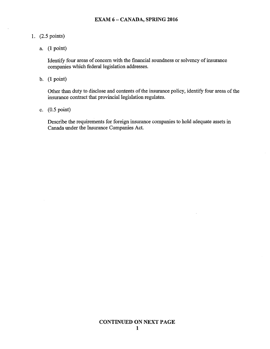# 1.  $(2.5 \text{ points})$

a.  $(1 point)$ 

Identify four areas of concern with the financial soundness or solvency of insurance companies which federal legislation addresses.

b.  $(1 point)$ 

Other than duty to disclose and contents of the insurance policy, identify four areas of the insurance contract that provincial legislation regulates.

c.  $(0.5 \text{ point})$ 

Describe the requirements for foreign insurance companies to hold adequate assets in Canada under the Insurance Companies Act.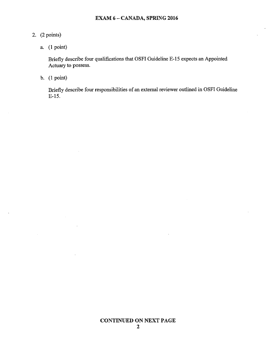# 2.  $(2 points)$

a.  $(1 point)$ 

Briefly describe four qualifications that OSFI Guideline E-15 expects an Appointed Actuary to possess.

b.  $(1 point)$ 

Briefly describe four responsibilities of an external reviewer outlined in OSFI Guideline  $E-15$ .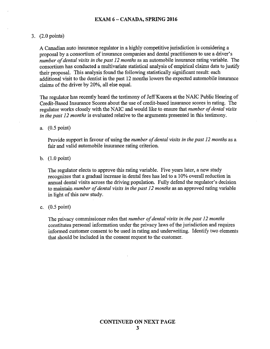### 3.  $(2.0 \text{ points})$

A Canadian auto insurance regulator in a highly competitive jurisdiction is considering a proposal by a consortium of insurance companies and dental practitioners to use a driver's number of dental visits in the past 12 months as an automobile insurance rating variable. The consortium has conducted a multivariate statistical analysis of empirical claims data to justify their proposal. This analysis found the following statistically significant result: each additional visit to the dentist in the past 12 months lowers the expected automobile insurance claims of the driver by 20%, all else equal.

The regulator has recently heard the testimony of Jeff Kucera at the NAIC Public Hearing of Credit-Based Insurance Scores about the use of credit-based insurance scores in rating. The regulator works closely with the NAIC and would like to ensure that *number of dental visits* in the past 12 months is evaluated relative to the arguments presented in this testimony.

a.  $(0.5 \text{ point})$ 

Provide support in favour of using the number of dental visits in the past 12 months as a fair and valid automobile insurance rating criterion.

b.  $(1.0 \text{ point})$ 

The regulator elects to approve this rating variable. Five years later, a new study recognizes that a gradual increase in dental fees has led to a 10% overall reduction in annual dental visits across the driving population. Fully defend the regulator's decision to maintain number of dental visits in the past 12 months as an approved rating variable in light of this new study.

c.  $(0.5 \text{ point})$ 

The privacy commissioner rules that number of dental visits in the past 12 months constitutes personal information under the privacy laws of the jurisdiction and requires informed customer consent to be used in rating and underwriting. Identify two elements that should be included in the consent request to the customer.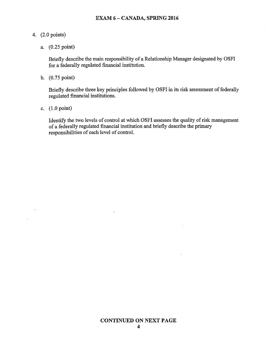### 4. (2.0 points)

a. (0.25 point)

Briefly describe the main responsibility of a Relationship Manager designated by OSFI for a federally regulated financial institution.

b.  $(0.75 \text{ point})$ 

Briefly describe three key principles followed by OSFI in its risk assessment of federally regulated financial institutions.

c.  $(1.0 \text{ point})$ 

 $\bar{\bar{z}}$ 

 $\ddot{\phantom{a}}$ 

Identify the two levels of control at which OSFI assesses the quality of risk management of a federally regulated financial institution and briefly describe the primary responsibilities of each level of control.

 $\ddot{\phantom{0}}$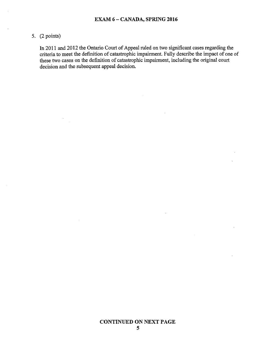# 5.  $(2 points)$

 $\sim$ 

In 2011 and 2012 the Ontario Court of Appeal ruled on two significant cases regarding the criteria to meet the definition of catastrophic impairment. Fully describe the impact of one of these two cases on the definition of catastrophic impairment, including the original court decision and the subsequent appeal decision.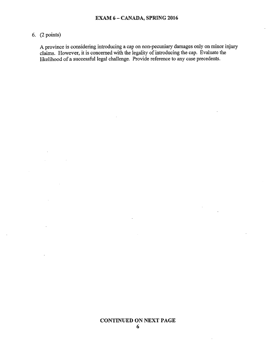# 6.  $(2 points)$

A province is considering introducing a cap on non-pecuniary damages only on minor injury claims. However, it is concerned with the legality of introducing the cap. Evaluate the likelihood of a successful legal challenge. Provide reference to any case precedents.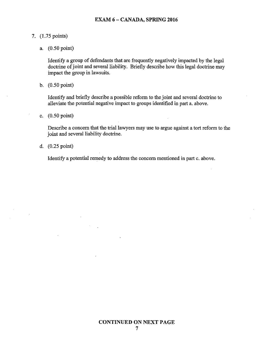### 7. (1.75 points)

a.  $(0.50 \text{ point})$ 

Identify a group of defendants that are frequently negatively impacted by the legal doctrine of joint and several liability. Briefly describe how this legal doctrine may impact the group in lawsuits.

b.  $(0.50 \text{ point})$ 

Identify and briefly describe a possible reform to the joint and several doctrine to alleviate the potential negative impact to groups identified in part a. above.

c.  $(0.50 \text{ point})$ 

Describe a concern that the trial lawyers may use to argue against a tort reform to the joint and several liability doctrine.

d.  $(0.25 \text{ point})$ 

Identify a potential remedy to address the concern mentioned in part c. above.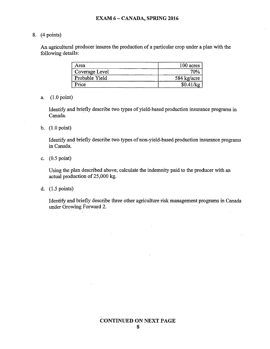### **EXAM 6 - CANADA, SPRING 2016**

# 8.  $(4 points)$

An agricultural producer insures the production of a particular crop under a plan with the following details:

| Area           | 100 acres     |
|----------------|---------------|
| Coverage Level | 70%           |
| Probable Yield | 584 kg/acre   |
| Price          | $$0.41$ / $k$ |

### $(1.0 \text{ point})$ a.

Identify and briefly describe two types of yield-based production insurance programs in Canada.

b.  $(1.0 \text{ point})$ 

Identify and briefly describe two types of non-yield-based production insurance programs in Canada.

c.  $(0.5 \text{ point})$ 

Using the plan described above, calculate the indemnity paid to the producer with an actual production of 25,000 kg.

d.  $(1.5 \text{ points})$ 

Identify and briefly describe three other agriculture risk management programs in Canada under Growing Forward 2.

 $\sim 10^7$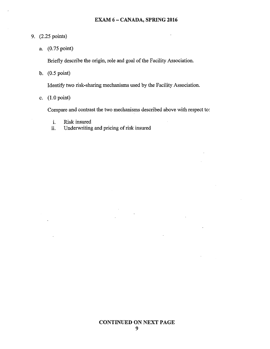# 9. (2.25 points)

a. (0.75 point)

Briefly describe the origin, role and goal of the Facility Association.

b.  $(0.5 \text{ point})$ 

Identify two risk-sharing mechanisms used by the Facility Association.

c.  $(1.0 \text{ point})$ 

Compare and contrast the two mechanisms described above with respect to:

- Risk insured  $\mathbf{i}$
- Underwriting and pricing of risk insured  $\ddot{\mathbf{h}}$ .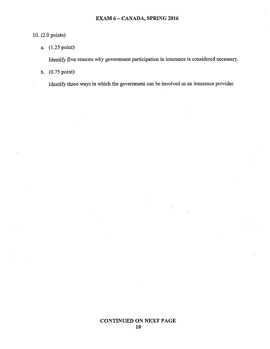# 10. (2.0 points)

a. (1.25 point)

Identify five reasons why government participation in insurance is considered necessary.

b. (0.75 point)

Identify three ways in which the government can be involved as an insurance provider.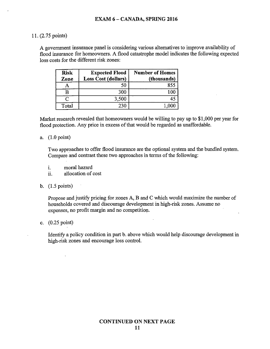### 11. (2.75 points)

A government insurance panel is considering various alternatives to improve availability of flood insurance for homeowners. A flood catastrophe model indicates the following expected loss costs for the different risk zones:

| <b>Risk</b><br>Zone | <b>Expected Flood</b><br><b>Loss Cost (dollars)</b> | <b>Number of Homes</b><br>(thousands) |
|---------------------|-----------------------------------------------------|---------------------------------------|
|                     | 50                                                  | 85 <sup>5</sup>                       |
|                     | 300                                                 |                                       |
|                     | 3,500                                               |                                       |
| Total               | 230                                                 |                                       |

Market research revealed that homeowners would be willing to pay up to \$1,000 per year for flood protection. Any price in excess of that would be regarded as unaffordable.

### a.  $(1.0 \text{ point})$

Two approaches to offer flood insurance are the optional system and the bundled system. Compare and contrast these two approaches in terms of the following:

- $\mathbf{i}$ . moral hazard
- allocation of cost ii.

### b.  $(1.5 \text{ points})$

Propose and justify pricing for zones A, B and C which would maximize the number of households covered and discourage development in high-risk zones. Assume no expenses, no profit margin and no competition.

c.  $(0.25 \text{ point})$ 

Identify a policy condition in part b. above which would help discourage development in high-risk zones and encourage loss control.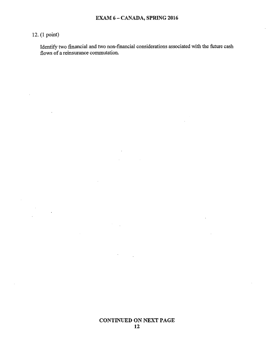# 12. (1 point)

 $\bar{z}$ 

 $\bar{z}$ 

 $\overline{\phantom{a}}$ 

Identify two financial and two non-financial considerations associated with the future cash flows of a reinsurance commutation.

 $\sim$ 

 $\mathbf{v}$ 

 $\bar{z}$ 

 $\bar{z}$ 

 $\Delta \sim 10^{11}$  m  $^{-1}$ 

### **CONTINUED ON NEXT PAGE** 12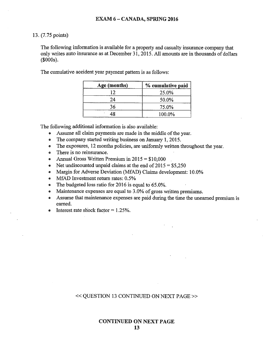### 13. (7.75 points)

The following information is available for a property and casualty insurance company that only writes auto insurance as at December 31, 2015. All amounts are in thousands of dollars  $($000s).$ 

The cumulative accident year payment pattern is as follows:

| Age (months) | % cumulative paid |
|--------------|-------------------|
| 12           | 25.0%             |
| 24           | 50.0%             |
| 36           | 75.0%             |
|              | 100.0%            |

The following additional information is also available:

- Assume all claim payments are made in the middle of the year.  $\bullet$
- The company started writing business on January 1, 2015. 0
- The exposures, 12 months policies, are uniformly written throughout the year. ⊜
- There is no reinsurance.  $\bullet$
- Annual Gross Written Premium in  $2015 = $10,000$ 0
- Net undiscounted unpaid claims at the end of  $2015 = $5,250$ ø
- Margin for Adverse Deviation (MfAD) Claims development: 10.0% ۰
- MfAD Investment return rates: 0.5%  $\bullet$
- The budgeted loss ratio for 2016 is equal to 65.0%.  $\bullet$
- Maintenance expenses are equal to 3.0% of gross written premiums.  $\bullet$
- Assume that maintenance expenses are paid during the time the unearned premium is ♦ earned.
- Interest rate shock factor  $= 1.25\%$ .  $\bullet$

### << QUESTION 13 CONTINUED ON NEXT PAGE >>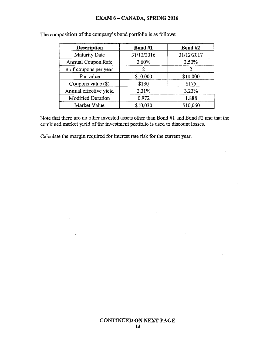## EXAM 6 - CANADA, SPRING 2016

| Description               | Bond #1    | <b>Bond #2</b> |
|---------------------------|------------|----------------|
| Maturity Date             | 31/12/2016 | 31/12/2017     |
| <b>Annual Coupon Rate</b> | 2.60%      | 3.50%          |
| # of coupons per year     | 2          |                |
| Par value                 | \$10,000   | \$10,000       |
| Coupons value $(\$)$      | \$130      | \$175          |
| Annual effective yield    | 2.31%      | 3.23%          |
| <b>Modified Duration</b>  | 0.972      | 1.888          |
| Market Value              | \$10,030   | \$10,060       |

The composition of the company's bond portfolio is as follows:

Note that there are no other invested assets other than Bond #1 and Bond #2 and that the combined market yield of the investment portfolio is used to discount losses.

 $\sim$ 

 $\mathbb{Z}^2$ 

 $\ddot{\phantom{a}}$ 

l.

Calculate the margin required for interest rate risk for the current year.

 $\mathbf{r}$ 

 $\sim$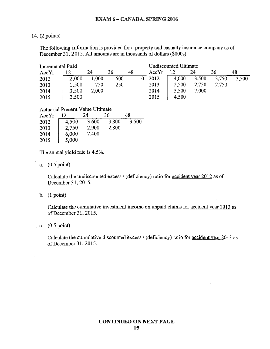# 14. (2 points)

The following information is provided for a property and casualty insurance company as of December 31, 2015. All amounts are in thousands of dollars (\$000s).

| Incremental Paid |       |       |     |    | Undiscounted Ultimate |       |       |       |       |       |
|------------------|-------|-------|-----|----|-----------------------|-------|-------|-------|-------|-------|
| AccYr            | ר ו   | 24    | 36  | 48 |                       | AccYr | 12    | 24    | 36    | 48    |
| 2012             | 2,000 | 1.000 | 500 |    |                       | 2012  | 4,000 | 3.500 | 3.750 | 3,500 |
| 2013             | 1,500 | 750   | 250 |    |                       | 2013  | 2,500 | 2,750 | 2,750 |       |
| 2014             | 3,500 | 2,000 |     |    |                       | 2014  | 5,500 | 7,000 |       |       |
| 2015             | 2,500 |       |     |    |                       | 2015  | 4,500 |       |       |       |

**Actuarial Present Value Ultimate** 

| AccYr |       | 24    | 36    | 48    |
|-------|-------|-------|-------|-------|
| 2012  | 4,500 | 3.600 | 3,800 | 3,500 |
| 2013  | 2,750 | 2.900 | 2,800 |       |
| 2014  | 6,000 | 7,400 |       |       |
| 2015  | 5,000 |       |       |       |

The annual yield rate is 4.5%.

a.  $(0.5 \text{ point})$ 

Calculate the undiscounted excess / (deficiency) ratio for accident year 2012 as of December 31, 2015.

 $b.$  (1 point)

Calculate the cumulative investment income on unpaid claims for accident year 2013 as of December 31, 2015.

c.  $(0.5 \text{ point})$ 

Calculate the cumulative discounted excess / (deficiency) ratio for accident year 2013 as of December 31, 2015.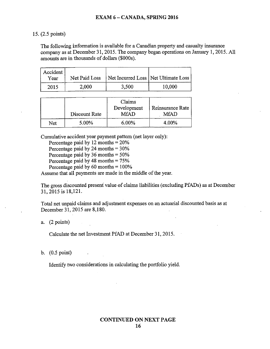### 15. (2.5 points)

The following information is available for a Canadian property and casualty insurance company as at December 31, 2015. The company began operations on January 1, 2015. All amounts are in thousands of dollars (\$000s).

| Accident<br>Year | Net Paid Loss | Net Incurred Loss   Net Ultimate Loss |        |
|------------------|---------------|---------------------------------------|--------|
| 2015             | 2.000         | 3,500                                 | 10,000 |

|     | Discount Rate | Claims<br>Development<br><b>MfAD</b> | Reinsurance Rate<br><b>MfAD</b> |
|-----|---------------|--------------------------------------|---------------------------------|
| Net | 5.00%         | $6.00\%$                             | 4.00%                           |

Cumulative accident year payment pattern (net layer only):

Percentage paid by 12 months  $= 20\%$ 

Percentage paid by 24 months =  $30\%$ 

Percentage paid by 36 months  $=$  50%

Percentage paid by 48 months  $= 75\%$ 

Percentage paid by 60 months =  $100\%$ 

Assume that all payments are made in the middle of the year.

The gross discounted present value of claims liabilities (excluding PfADs) as at December 31, 2015 is 18,121.

Total net unpaid claims and adjustment expenses on an actuarial discounted basis as at December 31, 2015 are 8,180.

a.  $(2 points)$ 

Calculate the net Investment PfAD at December 31, 2015.

b.  $(0.5 \text{ point})$ 

Identify two considerations in calculating the portfolio yield.

### **CONTINUED ON NEXT PAGE** 16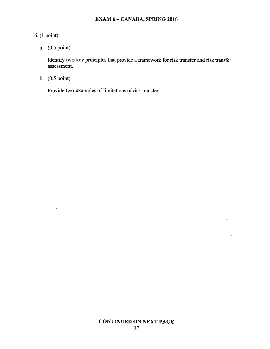# 16. (1 point)

a. (0.5 point)

Identify two key principles that provide a framework for risk transfer and risk transfer assessment.

b.  $(0.5 \text{ point})$ 

 $\mathcal{A}$ 

Provide two examples of limitations of risk transfer.

 $\sim 10^7$ 

 $\overline{a}$ 

 $\bar{\star}$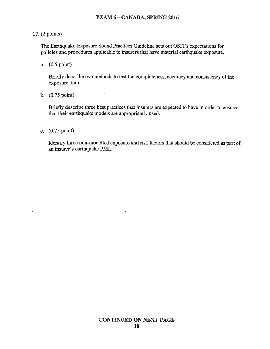### 17. (2 points)

The Earthquake Exposure Sound Practices Guideline sets out OSFI's expectations for policies and procedures applicable to insurers that have material earthquake exposure.

a. (0.5 point)

Briefly describe two methods to test the completeness, accuracy and consistency of the exposure data.

b.  $(0.75 \text{ point})$ 

Briefly describe three best practices that insurers are expected to have in order to ensure that their earthquake models are appropriately used.

c.  $(0.75 \text{ point})$ 

Identify three non-modelled exposure and risk factors that should be considered as part of an insurer's earthquake PML.

 $\mathbf{r}$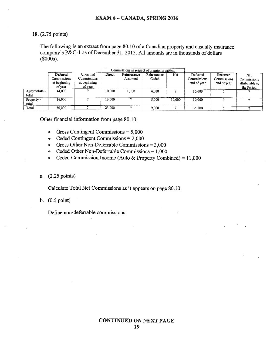### 18. (2.75 points)

The following is an extract from page 80.10 of a Canadian property and casualty insurance company's P&C-1 as of December 31, 2015. All amounts are in thousands of dollars  $$000s$ ).

|                       |                                                    |                                                    |        | Commissions in respect of premiums written |                      |        |                                        |                                        |                                                     |
|-----------------------|----------------------------------------------------|----------------------------------------------------|--------|--------------------------------------------|----------------------|--------|----------------------------------------|----------------------------------------|-----------------------------------------------------|
|                       | Deferred<br>Commissions<br>at beginning<br>of year | Unearned<br>Commissions<br>at beginning<br>of year | Direct | Reinsurance<br>Assumed                     | Reinsurance<br>Ceded | Net    | Deferred<br>Commissions<br>end of year | Unearned<br>Commissions<br>end of year | Net<br>Commissions<br>attributable to<br>the Period |
| Automobile -<br>total | 14.000                                             |                                                    | 10.000 | 1,000                                      | 4,000                |        | 16,000                                 |                                        |                                                     |
| Property -<br>total   | 16.000                                             |                                                    | 13,000 |                                            | 5,000                | 10.000 | 19,000                                 |                                        |                                                     |
| Total                 | 30,000                                             |                                                    | 23,000 |                                            | 9,000                |        | 35,000                                 |                                        |                                                     |

Other financial information from page 80.10:

- Gross Contingent Commissions =  $5,000$  $\bullet$
- Ceded Contingent Commissions =  $2,000$  $\bullet$
- Gross Other Non-Deferrable Commissions =  $3,000$ Ø
- Ceded Other Non-Deferrable Commissions =  $1,000$ ۵
- Ceded Commission Income (Auto & Property Combined) =  $11,000$ 9
- a. (2.25 points)

Calculate Total Net Commissions as it appears on page 80.10.

b.  $(0.5 \text{ point})$ 

Define non-deferrable commissions.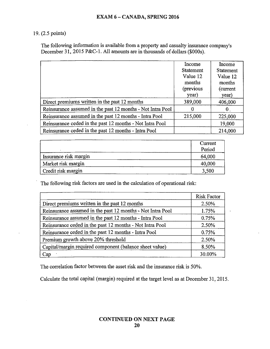### **EXAM 6 - CANADA, SPRING 2016**

### 19. (2.5 points)

The following information is available from a property and casualty insurance company's December 31, 2015 P&C-1. All amounts are in thousands of dollars (\$000s).

|                                                            | Income           | Income    |
|------------------------------------------------------------|------------------|-----------|
|                                                            | <b>Statement</b> | Statement |
|                                                            | Value 12         | Value 12  |
|                                                            | months           | months    |
|                                                            | (previous        | (current) |
|                                                            | year)            | year)     |
| Direct premiums written in the past 12 months              | 389,000          | 406,000   |
| Reinsurance assumed in the past 12 months - Not Intra Pool | 0                | $0_{-}$   |
| Reinsurance assumed in the past 12 months - Intra Pool     | 215,000          | 225,000   |
| Reinsurance ceded in the past 12 months - Not Intra Pool   |                  | 19,000    |
| Reinsurance ceded in the past 12 months - Intra Pool       |                  | 214,000   |

|                       | Current |
|-----------------------|---------|
|                       | Period  |
| Insurance risk margin | 64,000  |
| Market risk margin    | 40,000  |
| Credit risk margin    | 3,500   |

The following risk factors are used in the calculation of operational risk:

|                                                            | <b>Risk Factor</b> |
|------------------------------------------------------------|--------------------|
| Direct premiums written in the past 12 months              | 2.50%              |
| Reinsurance assumed in the past 12 months - Not Intra Pool | 1.75%              |
| Reinsurance assumed in the past 12 months - Intra Pool     | 0.75%              |
| Reinsurance ceded in the past 12 months - Not Intra Pool   | 2.50%              |
| Reinsurance ceded in the past 12 months - Intra Pool       | 0.75%              |
| Premium growth above 20% threshold                         | 2.50%              |
| Capital/margin required component (balance sheet value)    | 8.50%              |
| Cap                                                        | 30.00%             |

The correlation factor between the asset risk and the insurance risk is 50%.

Calculate the total capital (margin) required at the target level as at December 31, 2015.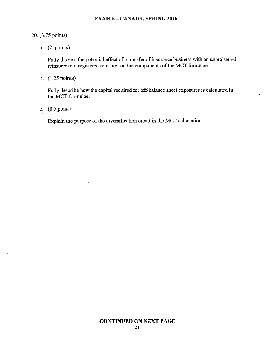### 20. (3.75 points)

a.  $(2 \text{ points})$ 

Fully discuss the potential effect of a transfer of insurance business with an unregistered reinsurer to a registered reinsurer on the components of the MCT formulae.

b.  $(1.25 \text{ points})$ 

Fully describe how the capital required for off-balance sheet exposures is calculated in the MCT formulae.

c.  $(0.5 \text{ point})$ 

Explain the purpose of the diversification credit in the MCT calculation.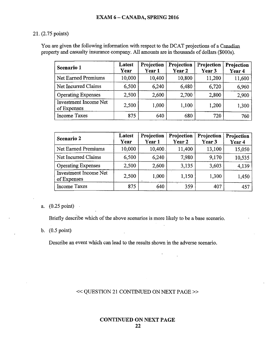### 21. (2.75 points)

You are given the following information with respect to the DCAT projections of a Canadian property and casualty insurance company. All amounts are in thousands of dollars (\$000s).

| Scenario 1                           | Latest<br>Year | Projection<br>Year 1 | Projection<br>Year 2 | Projection<br>Year 3 | Projection<br>Year 4 |
|--------------------------------------|----------------|----------------------|----------------------|----------------------|----------------------|
| <b>Net Earned Premiums</b>           | 10,000         | 10,400               | 10,800               | 11,200               | 11,600               |
| Net Incurred Claims                  | 6.500          | 6,240                | 6,480                | 6,720                | 6,960                |
| <b>Operating Expenses</b>            | 2,500          | 2,600                | 2,700                | 2,800                | 2,900                |
| Investment Income Net<br>of Expenses | 2.500          | 1,000                | 1,100                | 1,200                | 1,300                |
| <b>Income Taxes</b>                  | 875            | 640                  | 680                  | 720                  | 760                  |

| Scenario 2                                  | Latest<br>Year | Projection<br>Year 1 | Projection<br>Year 2 | Projection<br>Year 3 | Projection<br>Year 4 |
|---------------------------------------------|----------------|----------------------|----------------------|----------------------|----------------------|
| <b>Net Earned Premiums</b>                  | 10,000         | 10,400               | 11,400               | 13,100               | 15,050               |
| Net Incurred Claims                         | 6,500          | 6,240                | 7,980                | 9,170                | 10,535               |
| <b>Operating Expenses</b>                   | 2,500          | 2,600                | 3,135                | 3,603                | 4,139                |
| <b>Investment Income Net</b><br>of Expenses | 2.500          | 1,000                | 1,150                | 1,300                | 1,450                |
| Income Taxes                                | 875            | 640                  | . .<br>359           | 407                  | 457                  |

### a.  $(0.25 \text{ point})$

Briefly describe which of the above scenarios is more likely to be a base scenario.

b.  $(0.5 \text{ point})$ 

Describe an event which can lead to the results shown in the adverse scenario.

### << QUESTION 21 CONTINUED ON NEXT PAGE >>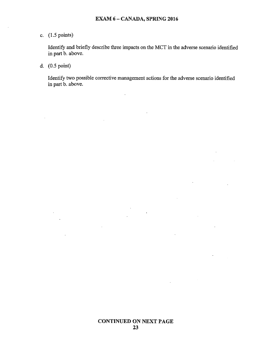c.  $(1.5 \text{ points})$ 

Identify and briefly describe three impacts on the MCT in the adverse scenario identified in part b. above.

d.  $(0.5 \text{ point})$ 

 $\sim$ 

 $\mathcal{L}$ 

 $\mathbb{R}^2$ 

Identify two possible corrective management actions for the adverse scenario identified in part b. above.

J.

 $\hat{\mathbf{r}}$ 

 $\ddot{\phantom{a}}$ 

**Committee** 

L.

 $\blacksquare$ 

 $\mathbf{r}$  and  $\mathbf{r}$ 

 $\mathcal{A}$ 

 $\mathcal{A}$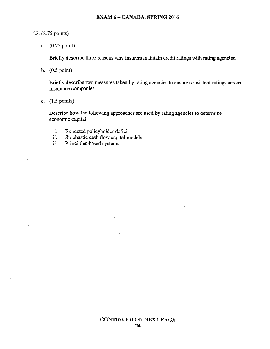### 22. (2.75 points)

a. (0.75 point)

Briefly describe three reasons why insurers maintain credit ratings with rating agencies.

b.  $(0.5 \text{ point})$ 

Briefly describe two measures taken by rating agencies to ensure consistent ratings across insurance companies.

c.  $(1.5 \text{ points})$ 

Describe how the following approaches are used by rating agencies to determine economic capital:

- i. Expected policyholder deficit
- Stochastic cash flow capital models ii.
- Principles-based systems iii.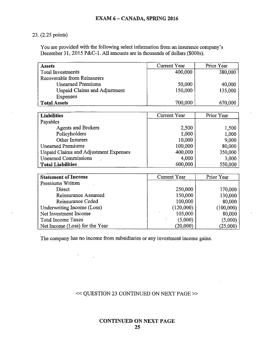# 23. (2.25 points)

You are provided with the following select information from an insurance company's December 31, 2015 P&C-1. All amounts are in thousands of dollars (\$000s).

| <b>Assets</b>                                | Current Year        | Prior Year |
|----------------------------------------------|---------------------|------------|
| <b>Total Investments</b>                     | 400,000             | 380,000    |
| Recoverable from Reinsurers                  |                     |            |
| <b>Unearned Premiums</b>                     | 50,000              | 40,000     |
| Unpaid Claims and Adjustment                 | 150,000             | 135,000    |
| Expenses                                     |                     |            |
| <b>Total Assets</b>                          | 700,000             | 670,000    |
|                                              |                     |            |
| <b>Liabilities</b>                           | <b>Current Year</b> | Prior Year |
| Payables                                     |                     |            |
| <b>Agents and Brokers</b>                    | 2,500               | 1,500      |
| Policyholders                                | 1,000               | 1,000      |
| Other Insurers                               | 10,000              | 9,000      |
| <b>Unearned Premiums</b>                     | 100,000             | 80,000     |
| <b>Unpaid Claims and Adjustment Expenses</b> | 400,000             | 350,000    |
| <b>Unearned Commissions</b>                  | 4,000               | 3,000      |
| <b>Total Liabilities</b>                     | 600,000             | 550,000    |

| <b>Statement of Income</b>     | Current Year | Prior Year |
|--------------------------------|--------------|------------|
| Premiums Written               |              |            |
| Direct                         | 250,000      | 170,000    |
| Reinsurance Assumed            | 150,000      | 130,000    |
| Reinsurance Ceded              | 100,000      | 80,000     |
| Underwriting Income (Loss)     | (120,000)    | (100,000)  |
| Net Investment Income          | 105,000      | 80,000     |
| <b>Total Income Taxes</b>      | (5,000)      | (5,000)    |
| Net Income (Loss) for the Year | (20,000)     | (25,000)   |

The company has no income from subsidiaries or any investment income gains.

# <<<<br/> QUESTION 23 CONTINUED ON NEXT PAGE >>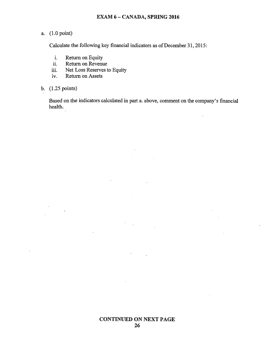# a. (1.0 point)

Calculate the following key financial indicators as of December 31, 2015:

- Return on Equity  $\mathbf{i}$ .
- Return on Revenue ii.
- Net Loss Reserves to Equity iii.
- Return on Assets iv.
- b. (1.25 points)

 $\sim$   $\sim$ 

Based on the indicators calculated in part a. above, comment on the company's financial health.

 $\overline{a}$ 

 $\bar{z}$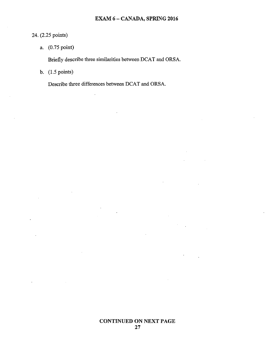# 24. (2.25 points)

a. (0.75 point)

Briefly describe three similarities between DCAT and ORSA.

b.  $(1.5 \text{ points})$ 

Describe three differences between DCAT and ORSA.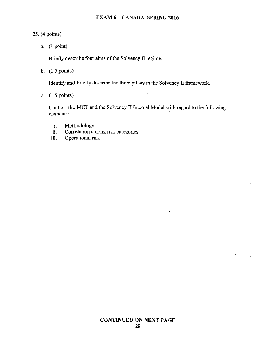### 25. (4 points)

a.  $(1 point)$ 

Briefly describe four aims of the Solvency II regime.

b.  $(1.5 \text{ points})$ 

Identify and briefly describe the three pillars in the Solvency II framework.

c.  $(1.5 \text{ points})$ 

Contrast the MCT and the Solvency II Internal Model with regard to the following elements:

- i. Methodology
- Correlation among risk categories ii.
- Operational risk iii.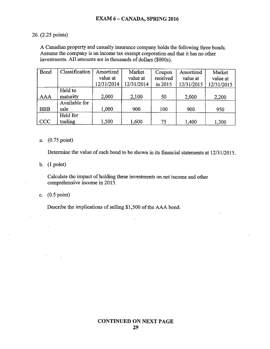### **EXAM 6 - CANADA, SPRING 2016**

### 26. (2.25 points)

A Canadian property and casualty insurance company holds the following three bonds. Assume the company is an income tax exempt corporation and that it has no other investments. All amounts are in thousands of dollars (\$000s).

| Bond       | Classification | Amortized  | Market     | Coupon   | Amortized  | Market     |
|------------|----------------|------------|------------|----------|------------|------------|
|            |                | value at   | value at   | received | value at   | value at   |
|            |                | 12/31/2014 | 12/31/2014 | in 2015  | 12/31/2015 | 12/31/2015 |
|            | Held to        |            |            |          |            |            |
| <b>AAA</b> | maturity       | 2,000      | 2,100      | 50       | 2,000      | 2,200      |
|            | Available for  |            |            |          |            |            |
| <b>BBB</b> | sale           | 1,000      | 900        | 100      | 900        | 950        |
|            | Held for       |            |            |          |            |            |
| $ $ CCC    | trading        | 1,500      | 1,600      | 75       | 1,400      | 1,300      |

### a. (0.75 point)

Determine the value of each bond to be shown in its financial statements at 12/31/2015.

b.  $(1 point)$ 

Calculate the impact of holding these investments on net income and other comprehensive income in 2015.

### c.  $(0.5 \text{ point})$

Describe the implications of selling \$1,500 of the AAA bond.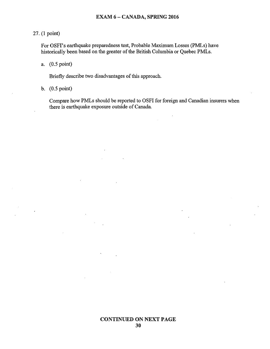## 27. (1 point)

For OSFI's earthquake preparedness test, Probable Maximum Losses (PMLs) have historically been based on the greater of the British Columbia or Quebec PMLs.

### a.  $(0.5 \text{ point})$

Briefly describe two disadvantages of this approach.

b.  $(0.5 \text{ point})$ 

Compare how PMLs should be reported to OSFI for foreign and Canadian insurers when there is earthquake exposure outside of Canada.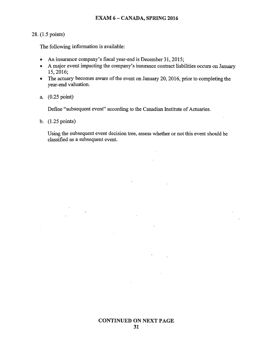### **EXAM 6 - CANADA, SPRING 2016**

### 28. (1.5 points)

The following information is available:

 $\ddot{\phantom{a}}$ 

- An insurance company's fiscal year-end is December 31, 2015;
- A major event impacting the company's insurance contract liabilities occurs on January 15, 2016;
- The actuary becomes aware of the event on January 20, 2016, prior to completing the year-end valuation.
- a. (0.25 point)

Define "subsequent event" according to the Canadian Institute of Actuaries.

b.  $(1.25 \text{ points})$ 

Using the subsequent event decision tree, assess whether or not this event should be classified as a subsequent event.

 $\ddot{\phantom{a}}$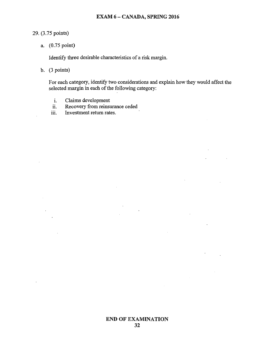### **EXAM 6 - CANADA, SPRING 2016**

### 29. (3.75 points)

a. (0.75 point)

Identify three desirable characteristics of a risk margin.

### b.  $(3 points)$

For each category, identify two considerations and explain how they would affect the selected margin in each of the following category:

 $\bar{\mathcal{A}}$ 

- Claims development  $\mathbf{i}$ .
- Recovery from reinsurance ceded ii.
- Investment return rates. iii.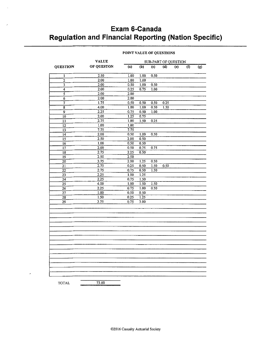# Exam 6-Canada **Regulation and Financial Reporting (Nation Specific)**

### POINT VALUE OF QUESTIONS

|                         | <b>VALUE</b>      | SUB-PART OF QUESTION |                   |                |      |     |                         |                           |
|-------------------------|-------------------|----------------------|-------------------|----------------|------|-----|-------------------------|---------------------------|
| <b>QUESTION</b>         | OF QUESTON        | $\overline{a}$       | (b)               | $\overline{c}$ | (d)  | (e) | $\overline{(\text{f})}$ | $\overline{(\mathbf{g})}$ |
| $\mathbf{1}$            | 2.50              | 1.00                 | 1.00              | 0.50           |      |     |                         |                           |
| $\overline{2}$          | 2.00              | 1.00                 | 1.00              |                |      |     |                         |                           |
| 3                       | 2.00              | 0.50                 | 1.00              | 0.50           |      |     |                         |                           |
| $\overline{4}$          | 2.00              | 0.25                 | 0.75              | 1.00           |      |     |                         |                           |
| 5                       | 2.00              | 2.00                 |                   |                |      |     |                         |                           |
| $\overline{6}$          | 2.00              | 2.00                 |                   |                |      |     |                         |                           |
| 7                       | $\frac{175}{175}$ | 0.50                 | 0.50              | 0.50           | 0.25 |     |                         |                           |
| $\overline{\mathbf{8}}$ | 4.00              | 1.00                 | 1.00              | 0.50           | 1.50 |     |                         |                           |
| 9                       | 2.25              | 0.75                 | 0.50              | 1.00           |      |     |                         |                           |
| $\overline{10}$         | $\frac{1}{2.00}$  | $\overline{1.25}$    | 0.75              |                |      |     |                         |                           |
| $\overline{11}$         | 2.75              | $\overline{1.00}$    | 1.50              | 0.25           |      |     |                         |                           |
| $\overline{12}$         | 1.00              | 1.00                 |                   |                |      |     |                         |                           |
| $\overline{13}$         | 7.75              | 7.75                 |                   |                |      |     |                         |                           |
| $\overline{14}$         | 2.00              | 0.50                 | 1.00              | 0.50           |      |     |                         |                           |
| 15                      | 2.50              | 2.00                 | 0.50              |                |      |     |                         |                           |
| $\overline{16}$         | 1,00              | 0.50                 | 0.50              |                |      |     |                         |                           |
| $\overline{17}$         | 2.00              | 0.50                 | 0.75              | 0.75           |      |     |                         |                           |
| $\overline{18}$         | 2.75              | 2.25                 | 0.50              |                |      |     |                         |                           |
| 19                      | 2,50              | 2.50                 |                   |                |      |     |                         |                           |
| $\overline{20}$         | 3.75              | 2.00                 | 1.25              | 0.50           |      |     |                         |                           |
| $\overline{21}$         | 2.75              | 0.25                 | 0.50              | 1.50           | 0.50 |     |                         |                           |
| $\overline{22}$         | $\frac{275}{275}$ | 0.75                 | 0.50              | 1.50           |      |     |                         |                           |
| $\overline{23}$         | 2.25              | 1.00                 | 1.25              |                |      |     |                         |                           |
| $\overline{24}$         | 2.25              | 0.75                 | 1.50              |                |      |     |                         |                           |
| $\overline{25}$         | 4.00              | 1.00                 | $\overline{1.50}$ | 1.50           |      |     |                         |                           |
| $\overline{26}$         | 2.25              | 0.75                 | 1.00              | 0.50           |      |     |                         |                           |
| $\overline{27}$         | 100               | 0.50                 | 0.50              |                |      |     |                         |                           |
| $\overline{28}$         | 1.50              | 0.25                 | 1.25              |                |      |     |                         |                           |
| $\overline{29}$         | 3.75              | 0.75                 | 3.00              |                |      |     |                         |                           |
|                         |                   |                      |                   |                |      |     |                         |                           |
|                         |                   |                      |                   |                |      |     |                         |                           |
|                         |                   |                      |                   |                |      |     |                         |                           |
|                         |                   |                      |                   |                |      |     |                         |                           |
|                         |                   |                      |                   |                |      |     |                         |                           |
|                         |                   |                      |                   |                |      |     |                         |                           |
|                         |                   |                      |                   |                |      |     |                         |                           |
|                         |                   |                      |                   |                |      |     |                         |                           |
|                         |                   |                      |                   |                |      |     |                         |                           |
|                         |                   |                      |                   |                |      |     |                         |                           |
|                         |                   |                      |                   |                |      |     |                         |                           |
|                         |                   |                      |                   |                |      |     |                         |                           |
|                         |                   |                      |                   |                |      |     |                         |                           |
|                         |                   |                      |                   |                |      |     |                         |                           |

**TOTAL** 

 $\overline{ }$ 

 $73.00$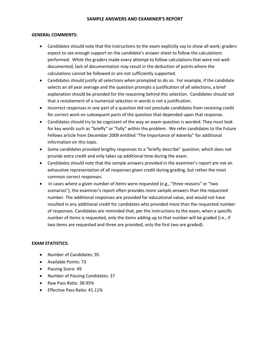#### **GENERAL COMMENTS:**

- Candidates should note that the instructions to the exam explicitly say to show all work; graders expect to see enough support on the candidate's answer sheet to follow the calculations performed. While the graders made every attempt to follow calculations that were not welldocumented, lack of documentation may result in the deduction of points where the calculations cannot be followed or are not sufficiently supported.
- Candidates should justify all selections when prompted to do so. For example, if the candidate selects an all year average and the question prompts a justification of all selections, a brief explanation should be provided for the reasoning behind this selection. Candidates should not that a restatement of a numerical selection in words is not a justification.
- Incorrect responses in one part of a question did not preclude candidates from receiving credit for correct work on subsequent parts of the question that depended upon that response.
- Candidates should try to be cognizant of the way an exam question is worded. They must look for key words such as "briefly" or "fully" within the problem. We refer candidates to the Future Fellows article from December 2009 entitled "The Importance of Adverbs" for additional information on this topic.
- Some candidates provided lengthy responses to a "briefly describe" question, which does not provide extra credit and only takes up additional time during the exam.
- Candidates should note that the sample answers provided in the examiner's report are not an exhaustive representation of all responses given credit during grading, but rather the most common correct responses.
- In cases where a given number of items were requested (e.g., "three reasons" or "two scenarios"), the examiner's report often provides more sample answers than the requested number. The additional responses are provided for educational value, and would not have resulted in any additional credit for candidates who provided more than the requested number of responses. Candidates are reminded that, per the instructions to the exam, when a specific number of items is requested, only the items adding up to that number will be graded (i.e., if two items are requested and three are provided, only the first two are graded).

#### **EXAM STATISTICS:**

- Number of Candidates: 95
- Available Points: 73
- Passing Score: 49
- Number of Passing Candidates: 37
- Raw Pass Ratio: 38.95%
- **Effective Pass Ratio: 41.11%**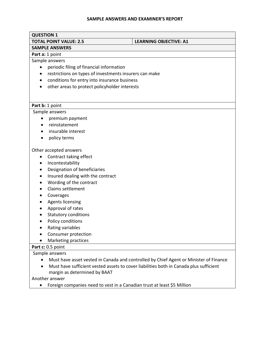| <b>QUESTION 1</b>                                              |  |                                                                                        |
|----------------------------------------------------------------|--|----------------------------------------------------------------------------------------|
| <b>TOTAL POINT VALUE: 2.5</b><br><b>LEARNING OBJECTIVE: A1</b> |  |                                                                                        |
| <b>SAMPLE ANSWERS</b>                                          |  |                                                                                        |
| Part a: 1 point                                                |  |                                                                                        |
| Sample answers                                                 |  |                                                                                        |
| periodic filing of financial information                       |  |                                                                                        |
| restrictions on types of investments insurers can make         |  |                                                                                        |
| conditions for entry into insurance business                   |  |                                                                                        |
| other areas to protect policyholder interests<br>$\bullet$     |  |                                                                                        |
|                                                                |  |                                                                                        |
| Part b: 1 point                                                |  |                                                                                        |
| Sample answers                                                 |  |                                                                                        |
| premium payment                                                |  |                                                                                        |
| reinstatement                                                  |  |                                                                                        |
| insurable interest<br>$\bullet$                                |  |                                                                                        |
| policy terms                                                   |  |                                                                                        |
| Other accepted answers                                         |  |                                                                                        |
| Contract taking effect                                         |  |                                                                                        |
| Incontestability<br>$\bullet$                                  |  |                                                                                        |
| Designation of beneficiaries                                   |  |                                                                                        |
| Insured dealing with the contract                              |  |                                                                                        |
| Wording of the contract                                        |  |                                                                                        |
| <b>Claims settlement</b>                                       |  |                                                                                        |
| Coverages                                                      |  |                                                                                        |
| <b>Agents licensing</b>                                        |  |                                                                                        |
| Approval of rates                                              |  |                                                                                        |
| <b>Statutory conditions</b>                                    |  |                                                                                        |
| Policy conditions                                              |  |                                                                                        |
| Rating variables                                               |  |                                                                                        |
| Consumer protection                                            |  |                                                                                        |
| <b>Marketing practices</b>                                     |  |                                                                                        |
| Part c: 0.5 point                                              |  |                                                                                        |
| Sample answers                                                 |  |                                                                                        |
|                                                                |  | Must have asset vested in Canada and controlled by Chief Agent or Minister of Finance  |
| $\bullet$<br>margin as determined by BAAT                      |  | Must have sufficient vested assets to cover liabilities both in Canada plus sufficient |

Another answer

Foreign companies need to vest in a Canadian trust at least \$5 Million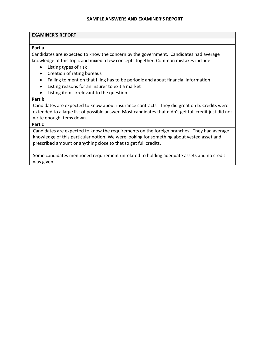#### **EXAMINER'S REPORT**

#### **Part a**

Candidates are expected to know the concern by the government. Candidates had average knowledge of this topic and mixed a few concepts together. Common mistakes include

- Listing types of risk
- Creation of rating bureaus
- Failing to mention that filing has to be periodic and about financial information
- Listing reasons for an insurer to exit a market
- Listing items irrelevant to the question

#### **Part b**

Candidates are expected to know about insurance contracts. They did great on b. Credits were extended to a large list of possible answer. Most candidates that didn't get full credit just did not write enough items down.

#### **Part c**

Candidates are expected to know the requirements on the foreign branches. They had average knowledge of this particular notion. We were looking for something about vested asset and prescribed amount or anything close to that to get full credits.

Some candidates mentioned requirement unrelated to holding adequate assets and no credit was given.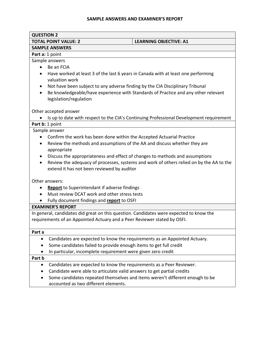| <b>QUESTION 2</b> |                                                                                         |                               |
|-------------------|-----------------------------------------------------------------------------------------|-------------------------------|
|                   | <b>TOTAL POINT VALUE: 2</b>                                                             | <b>LEARNING OBJECTIVE: A1</b> |
|                   | <b>SAMPLE ANSWERS</b>                                                                   |                               |
|                   | Part a: 1 point                                                                         |                               |
|                   | Sample answers                                                                          |                               |
|                   | Be an FCIA                                                                              |                               |
|                   | Have worked at least 3 of the last 6 years in Canada with at least one performing       |                               |
|                   | valuation work                                                                          |                               |
|                   | Not have been subject to any adverse finding by the CIA Disciplinary Tribunal           |                               |
| $\bullet$         | Be knowledgeable/have experience with Standards of Practice and any other relevant      |                               |
|                   | legislation/regulation                                                                  |                               |
|                   |                                                                                         |                               |
|                   | Other accepted answer                                                                   |                               |
|                   | Is up to date with respect to the CIA's Continuing Professional Development requirement |                               |
|                   | Part b: 1 point                                                                         |                               |
|                   | Sample answer                                                                           |                               |
| $\bullet$         | Confirm the work has been done within the Accepted Actuarial Practice                   |                               |
| $\bullet$         | Review the methods and assumptions of the AA and discuss whether they are               |                               |
|                   | appropriate                                                                             |                               |
|                   | Discuss the appropriateness and effect of changes to methods and assumptions            |                               |
| $\bullet$         | Review the adequacy of processes, systems and work of others relied on by the AA to the |                               |
|                   | extend it has not been reviewed by auditor                                              |                               |
|                   | Other answers:                                                                          |                               |
|                   | <b>Report</b> to Superintendant if adverse findings                                     |                               |
|                   | Must review DCAT work and other stress tests                                            |                               |
|                   | Fully document findings and report to OSFI                                              |                               |
|                   | <b>EXAMINER'S REPORT</b>                                                                |                               |
|                   | In general, candidates did great on this question. Candidates were expected to know the |                               |
|                   | requirements of an Appointed Actuary and a Peer Reviewer stated by OSFI.                |                               |
|                   |                                                                                         |                               |
| Part a            |                                                                                         |                               |
| ٠                 | Candidates are expected to know the requirements as an Appointed Actuary.               |                               |
| ٠                 | Some candidates failed to provide enough items to get full credit                       |                               |
|                   | In particular, incomplete requirement were given zero credit                            |                               |
| Part b            |                                                                                         |                               |
| ٠                 | Candidates are expected to know the requirements as a Peer Reviewer.                    |                               |
|                   | Candidate were able to articulate valid answers to get partial credits                  |                               |
| ٠                 | Some candidates repeated themselves and items weren't different enough to be            |                               |
|                   | accounted as two different elements.                                                    |                               |
|                   |                                                                                         |                               |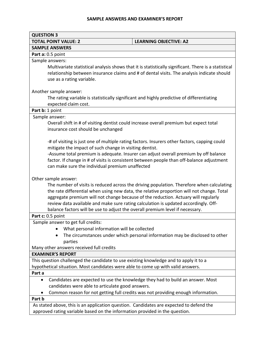| <b>QUESTION 3</b>                        |                                                                                                                                                         |
|------------------------------------------|---------------------------------------------------------------------------------------------------------------------------------------------------------|
| <b>TOTAL POINT VALUE: 2</b>              | <b>LEARNING OBJECTIVE: A2</b>                                                                                                                           |
| <b>SAMPLE ANSWERS</b>                    |                                                                                                                                                         |
| Part a: 0.5 point                        |                                                                                                                                                         |
| Sample answers:                          |                                                                                                                                                         |
|                                          | Multivariate statistical analysis shows that it is statistically significant. There is a statistical                                                    |
|                                          | relationship between insurance claims and # of dental visits. The analysis indicate should                                                              |
| use as a rating variable.                |                                                                                                                                                         |
|                                          |                                                                                                                                                         |
| Another sample answer:                   |                                                                                                                                                         |
|                                          | The rating variable is statistically significant and highly predictive of differentiating                                                               |
| expected claim cost.                     |                                                                                                                                                         |
| Part b: 1 point                          |                                                                                                                                                         |
| Sample answer:                           |                                                                                                                                                         |
|                                          | Overall shift in # of visiting dentist could increase overall premium but expect total                                                                  |
| insurance cost should be unchanged       |                                                                                                                                                         |
|                                          |                                                                                                                                                         |
|                                          | -# of visiting is just one of multiple rating factors. Insurers other factors, capping could<br>mitigate the impact of such change in visiting dentist. |
|                                          | -Assume total premium is adequate. Insurer can adjust overall premium by off balance                                                                    |
|                                          | factor. If change in # of visits is consistent between people than off-balance adjustment                                                               |
|                                          | can make sure the individual premium unaffected                                                                                                         |
|                                          |                                                                                                                                                         |
| Other sample answer:                     |                                                                                                                                                         |
|                                          | The number of visits is reduced across the driving population. Therefore when calculating                                                               |
|                                          | the rate differential when using new data, the relative proportion will not change. Total                                                               |
|                                          | aggregate premium will not change because of the reduction. Actuary will regularly                                                                      |
|                                          | review data available and make sure rating calculation is updated accordingly. Off-                                                                     |
|                                          | balance factors will be use to adjust the overall premium level if necessary.                                                                           |
| Part c: 0.5 point                        |                                                                                                                                                         |
| Sample answer to get full credits:       |                                                                                                                                                         |
|                                          | What personal information will be collected                                                                                                             |
|                                          | The circumstances under which personal information may be disclosed to other                                                                            |
| parties                                  |                                                                                                                                                         |
| Many other answers received full credits |                                                                                                                                                         |
| <b>EXAMINER'S REPORT</b>                 |                                                                                                                                                         |
|                                          | This question challenged the candidate to use existing knowledge and to apply it to a                                                                   |
|                                          | hypothetical situation. Most candidates were able to come up with valid answers.                                                                        |
| Part a                                   |                                                                                                                                                         |
| ٠                                        | Candidates are expected to use the knowledge they had to build an answer. Most                                                                          |
|                                          | candidates were able to articulate good answers.                                                                                                        |
|                                          | Common reason for not getting full credits was not providing enough information.                                                                        |
| Part b                                   |                                                                                                                                                         |
|                                          | As stated above, this is an application question. Candidates are expected to defend the                                                                 |
|                                          | approved rating variable based on the information provided in the question.                                                                             |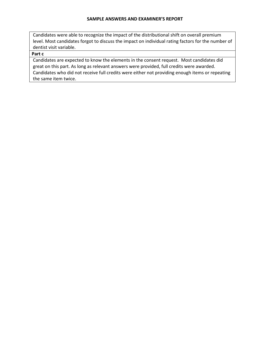Candidates were able to recognize the impact of the distributional shift on overall premium level. Most candidates forgot to discuss the impact on individual rating factors for the number of dentist visit variable.

# **Part c**

Candidates are expected to know the elements in the consent request. Most candidates did great on this part. As long as relevant answers were provided, full credits were awarded. Candidates who did not receive full credits were either not providing enough items or repeating the same item twice.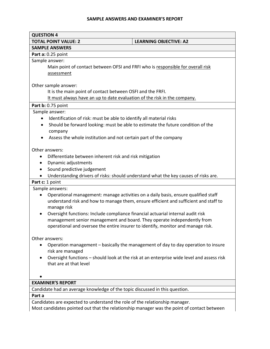| <b>QUESTION 4</b>                                                                            |                                                                                           |  |
|----------------------------------------------------------------------------------------------|-------------------------------------------------------------------------------------------|--|
| <b>TOTAL POINT VALUE: 2</b><br><b>LEARNING OBJECTIVE: A2</b>                                 |                                                                                           |  |
| <b>SAMPLE ANSWERS</b>                                                                        |                                                                                           |  |
| Part a: 0.25 point                                                                           |                                                                                           |  |
| Sample answer:                                                                               |                                                                                           |  |
| Main point of contact between OFSI and FRFI who is responsible for overall risk              |                                                                                           |  |
| assessment                                                                                   |                                                                                           |  |
|                                                                                              |                                                                                           |  |
| Other sample answer:                                                                         |                                                                                           |  |
| It is the main point of contact between OSFI and the FRFI.                                   |                                                                                           |  |
| It must always have an up to date evaluation of the risk in the company.                     |                                                                                           |  |
| Part b: 0.75 point                                                                           |                                                                                           |  |
| Sample answer:                                                                               |                                                                                           |  |
| Identification of risk: must be able to identify all material risks                          |                                                                                           |  |
| $\bullet$                                                                                    | Should be forward looking: must be able to estimate the future condition of the           |  |
| company                                                                                      |                                                                                           |  |
| Assess the whole institution and not certain part of the company                             |                                                                                           |  |
|                                                                                              |                                                                                           |  |
| Other answers:                                                                               |                                                                                           |  |
| Differentiate between inherent risk and risk mitigation<br>$\bullet$                         |                                                                                           |  |
| Dynamic adjustments<br>$\bullet$                                                             |                                                                                           |  |
| Sound predictive judgement<br>$\bullet$                                                      |                                                                                           |  |
|                                                                                              | Understanding drivers of risks: should understand what the key causes of risks are.       |  |
| Part c: 1 point                                                                              |                                                                                           |  |
| Sample answers:                                                                              |                                                                                           |  |
| $\bullet$                                                                                    | Operational management: manage activities on a daily basis, ensure qualified staff        |  |
|                                                                                              | understand risk and how to manage them, ensure efficient and sufficient and staff to      |  |
| manage risk                                                                                  |                                                                                           |  |
| Oversight functions: Include compliance financial actuarial internal audit risk<br>$\bullet$ |                                                                                           |  |
| management senior management and board. They operate independently from                      |                                                                                           |  |
|                                                                                              | operational and oversee the entire insurer to identify, monitor and manage risk.          |  |
|                                                                                              |                                                                                           |  |
| Other answers:                                                                               |                                                                                           |  |
|                                                                                              | Operation management - basically the management of day to day operation to insure         |  |
| risk are managed                                                                             |                                                                                           |  |
|                                                                                              | Oversight functions - should look at the risk at an enterprise wide level and assess risk |  |
| that are at that level                                                                       |                                                                                           |  |
|                                                                                              |                                                                                           |  |
|                                                                                              |                                                                                           |  |
| <b>EXAMINER'S REPORT</b>                                                                     |                                                                                           |  |
| Candidate had an average knowledge of the topic discussed in this question.                  |                                                                                           |  |
| Part a                                                                                       |                                                                                           |  |

Candidates are expected to understand the role of the relationship manager.

Most candidates pointed out that the relationship manager was the point of contact between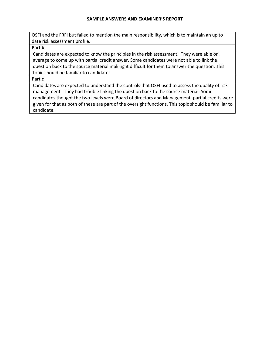OSFI and the FRFI but failed to mention the main responsibility, which is to maintain an up to date risk assessment profile.

#### **Part b**

Candidates are expected to know the principles in the risk assessment. They were able on average to come up with partial credit answer. Some candidates were not able to link the question back to the source material making it difficult for them to answer the question. This topic should be familiar to candidate.

#### **Part c**

Candidates are expected to understand the controls that OSFI used to assess the quality of risk management. They had trouble linking the question back to the source material. Some candidates thought the two levels were Board of directors and Management, partial credits were given for that as both of these are part of the oversight functions. This topic should be familiar to candidate.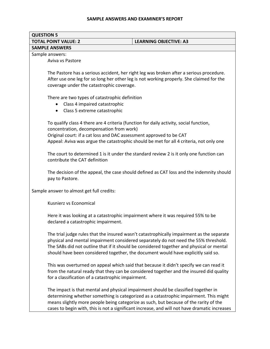| <b>QUESTION 5</b>                                                                                                                                                                                                                                                                                                                                                     |
|-----------------------------------------------------------------------------------------------------------------------------------------------------------------------------------------------------------------------------------------------------------------------------------------------------------------------------------------------------------------------|
| <b>TOTAL POINT VALUE: 2</b><br><b>LEARNING OBJECTIVE: A3</b>                                                                                                                                                                                                                                                                                                          |
| <b>SAMPLE ANSWERS</b>                                                                                                                                                                                                                                                                                                                                                 |
| Sample answers:                                                                                                                                                                                                                                                                                                                                                       |
| Aviva vs Pastore                                                                                                                                                                                                                                                                                                                                                      |
| The Pastore has a serious accident, her right leg was broken after a serious procedure.<br>After use one leg for so long her other leg is not working properly. She claimed for the<br>coverage under the catastrophic coverage.                                                                                                                                      |
| There are two types of catastrophic definition<br>Class 4 impaired catastrophic<br>$\bullet$<br>Class 5 extreme catastrophic<br>$\bullet$                                                                                                                                                                                                                             |
| To qualify class 4 there are 4 criteria (function for daily activity, social function,<br>concentration, decompensation from work)<br>Original court: if a cat loss and DAC assessment approved to be CAT<br>Appeal: Aviva was argue the catastrophic should be met for all 4 criteria, not only one                                                                  |
| The court to determined 1 is it under the standard review 2 is it only one function can<br>contribute the CAT definition                                                                                                                                                                                                                                              |
| The decision of the appeal, the case should defined as CAT loss and the indemnity should<br>pay to Pastore.                                                                                                                                                                                                                                                           |
| Sample answer to almost get full credits:                                                                                                                                                                                                                                                                                                                             |
| Kusnierz vs Economical                                                                                                                                                                                                                                                                                                                                                |
| Here it was looking at a catastrophic impairment where it was required 55% to be<br>declared a catastrophic impairment.                                                                                                                                                                                                                                               |
| The trial judge rules that the insured wasn't catastrophically impairment as the separate<br>physical and mental impairment considered separately do not need the 55% threshold.<br>The SABs did not outline that if it should be considered together and physical or mental<br>should have been considered together, the document would have explicitly said so.     |
| This was overturned on appeal which said that because it didn't specify we can read it<br>from the natural ready that they can be considered together and the insured did quality<br>for a classification of a catastrophic impairment.                                                                                                                               |
| The impact is that mental and physical impairment should be classified together in<br>determining whether something is categorized as a catastrophic impairment. This might<br>means slightly more people being categorize as such, but because of the rarity of the<br>cases to begin with, this is not a significant increase, and will not have dramatic increases |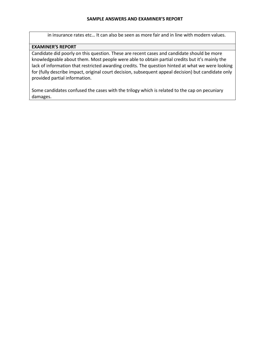in insurance rates etc… It can also be seen as more fair and in line with modern values.

# **EXAMINER'S REPORT**

Candidate did poorly on this question. These are recent cases and candidate should be more knowledgeable about them. Most people were able to obtain partial credits but it's mainly the lack of information that restricted awarding credits. The question hinted at what we were looking for (fully describe impact, original court decision, subsequent appeal decision) but candidate only provided partial information.

Some candidates confused the cases with the trilogy which is related to the cap on pecuniary damages.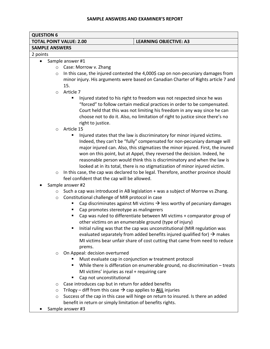| <b>QUESTION 6</b>                                               |                                                                                     |  |
|-----------------------------------------------------------------|-------------------------------------------------------------------------------------|--|
| <b>TOTAL POINT VALUE: 2.00</b><br><b>LEARNING OBJECTIVE: A3</b> |                                                                                     |  |
| <b>SAMPLE ANSWERS</b>                                           |                                                                                     |  |
| 2 points                                                        |                                                                                     |  |
| $\bullet$                                                       | Sample answer #1                                                                    |  |
| $\circ$                                                         | Case: Morrow v. Zhang                                                               |  |
| $\circ$                                                         | In this case, the injured contested the 4,000\$ cap on non-pecuniary damages from   |  |
|                                                                 | minor injury. His arguments were based on Canadian Charter of Rights article 7 and  |  |
|                                                                 | 15.                                                                                 |  |
| $\circ$                                                         | Article 7                                                                           |  |
|                                                                 | Injured stated to his right to freedom was not respected since he was<br>٠          |  |
|                                                                 | "forced" to follow certain medical practices in order to be compensated.            |  |
|                                                                 | Court held that this was not limiting his freedom in any way since he can           |  |
|                                                                 | choose not to do it. Also, no limitation of right to justice since there's no       |  |
|                                                                 | right to justice.                                                                   |  |
| $\circ$                                                         | Article 15                                                                          |  |
|                                                                 | Injured states that the law is discriminatory for minor injured victims.<br>п       |  |
|                                                                 | Indeed, they can't be "fully" compensated for non-pecuniary damage will             |  |
|                                                                 | major injured can. Also, this stigmatizes the minor injured. First, the inured      |  |
|                                                                 | won on this point, but at Appel, they reversed the decision. Indeed, he             |  |
|                                                                 | reasonable person would think this is discriminatory and when the law is            |  |
|                                                                 | looked at in its total, there is no stigmatization of minor injured victim.         |  |
| $\circ$                                                         | In this case, the cap was declared to be legal. Therefore, another province should  |  |
|                                                                 | feel confident that the cap will be allowed.                                        |  |
|                                                                 | Sample answer #2                                                                    |  |
| $\circ$                                                         | Such a cap was introduced in AB legislation + was a subject of Morrow vs Zhang.     |  |
| O                                                               | Constitutional challenge of MIR protocol in case                                    |  |
|                                                                 | Cap discriminates against MI victims $\rightarrow$ less worthy of pecuniary damages |  |
|                                                                 | Cap promotes stereotype as malingerers<br>٠                                         |  |
|                                                                 | Cap was ruled to differentiate between MI victims + comparator group of<br>٠        |  |
|                                                                 | other victims on an enumerable ground (type of injury)                              |  |
|                                                                 | Initial ruling was that the cap was unconstitutional (MIR regulation was            |  |
|                                                                 | evaluated separately from added benefits injured qualified for) $\rightarrow$ makes |  |
|                                                                 | MI victims bear unfair share of cost cutting that came from need to reduce          |  |
|                                                                 | prems.                                                                              |  |
| O                                                               | On Appeal: decision overturned                                                      |  |
|                                                                 | Must evaluate cap in conjunction w treatment protocol                               |  |
|                                                                 | While there is differation on enumerable ground, no discrimination - treats<br>٠    |  |
|                                                                 | MI victims' injuries as real + requiring care                                       |  |
|                                                                 | Cap not unconstitutional                                                            |  |
| $\circ$                                                         | Case introduces cap but in return for added benefits                                |  |
| $\circ$                                                         | Trilogy – diff from this case $\rightarrow$ cap applies to ALL injuries             |  |
| $\circ$                                                         | Success of the cap in this case will hinge on return to insured. Is there an added  |  |
|                                                                 | benefit in return or simply limitation of benefits rights.                          |  |
|                                                                 | Sample answer #3                                                                    |  |

Sample answer #3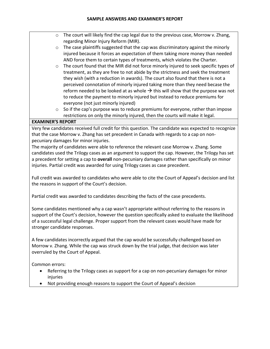- $\circ$  The court will likely find the cap legal due to the previous case, Morrow v. Zhang, regarding Minor Injury Reform (MIR).
- $\circ$  The case plaintiffs suggested that the cap was discriminatory against the minorly injured because it forces an expectation of them taking more money than needed AND force them to certain types of treatments, which violates the Charter.
- $\circ$  The court found that the MIR did not force minorly injured to seek specific types of treatment, as they are free to not abide by the strictness and seek the treatment they wish (with a reduction in awards). The court also found that there is not a perceived connotation of minorly injured taking more than they need becase the reform needed to be looked at as whole  $\rightarrow$  this will show that the purpose was not to reduce the payment to minorly injured but instead to reduce premiums for everyone (not just minorly injured)
- $\circ$  So if the cap's purpose was to reduce premiums for everyone, rather than impose restrictions on only the minorly injured, then the courts will make it legal.

# **EXAMINER'S REPORT**

Very few candidates received full credit for this question. The candidate was expected to recognize that the case Morrow v. Zhang has set precedent in Canada with regards to a cap on nonpecuniary damages for minor injuries.

The majority of candidates were able to reference the relevant case Morrow v. Zhang. Some candidates used the Trilogy cases as an argument to support the cap. However, the Trilogy has set a precedent for setting a cap to **overall** non-pecuniary damages rather than specifically on minor injuries. Partial credit was awarded for using Trilogy cases as case precedent.

Full credit was awarded to candidates who were able to cite the Court of Appeal's decision and list the reasons in support of the Court's decision.

Partial credit was awarded to candidates describing the facts of the case precedents.

Some candidates mentioned why a cap wasn't appropriate without referring to the reasons in support of the Court's decision, however the question specifically asked to evaluate the likelihood of a successful legal challenge. Proper support from the relevant cases would have made for stronger candidate responses.

A few candidates incorrectly argued that the cap would be successfully challenged based on Morrow v. Zhang. While the cap was struck down by the trial judge, that decision was later overruled by the Court of Appeal.

Common errors:

- Referring to the Trilogy cases as support for a cap on non-pecuniary damages for minor injuries
- Not providing enough reasons to support the Court of Appeal's decision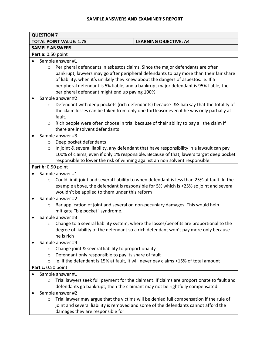| <b>QUESTION 7</b>                                               |                                                                                                                                                                                                                                                                                                                                                                                                         |  |
|-----------------------------------------------------------------|---------------------------------------------------------------------------------------------------------------------------------------------------------------------------------------------------------------------------------------------------------------------------------------------------------------------------------------------------------------------------------------------------------|--|
| <b>TOTAL POINT VALUE: 1.75</b><br><b>LEARNING OBJECTIVE: A4</b> |                                                                                                                                                                                                                                                                                                                                                                                                         |  |
|                                                                 | <b>SAMPLE ANSWERS</b>                                                                                                                                                                                                                                                                                                                                                                                   |  |
| Part a: 0.50 point                                              |                                                                                                                                                                                                                                                                                                                                                                                                         |  |
|                                                                 | Sample answer #1                                                                                                                                                                                                                                                                                                                                                                                        |  |
| $\circ$                                                         | Peripheral defendants in asbestos claims. Since the major defendants are often<br>bankrupt, lawyers may go after peripheral defendants to pay more than their fair share<br>of liability, when it's unlikely they knew about the dangers of asbestos. ie. If a<br>peripheral defendant is 5% liable, and a bankrupt major defendant is 95% liable, the<br>peripheral defendant might end up paying 100% |  |
|                                                                 | Sample answer #2                                                                                                                                                                                                                                                                                                                                                                                        |  |
| $\circ$                                                         | Defendant with deep pockets (rich defendants) because J&S liab say that the totality of<br>the claim losses can be taken from only one tortfeasor even if he was only partially at<br>fault.                                                                                                                                                                                                            |  |
| $\circ$                                                         | Rich people were often choose in trial because of their ability to pay all the claim if<br>there are insolvent defendants                                                                                                                                                                                                                                                                               |  |
|                                                                 | Sample answer #3                                                                                                                                                                                                                                                                                                                                                                                        |  |
| $\circ$<br>$\circ$                                              | Deep pocket defendants<br>In joint & several liability, any defendant that have responsibility in a lawsuit can pay<br>100% of claims, even if only 1% responsible. Because of that, lawers target deep pocket<br>responsible to lower the risk of winning against an non solvent responsible.                                                                                                          |  |
| Part b: 0.50 point                                              |                                                                                                                                                                                                                                                                                                                                                                                                         |  |
|                                                                 | Sample answer #1                                                                                                                                                                                                                                                                                                                                                                                        |  |
| $\circ$                                                         | Could limit joint and several liability to when defendant is less than 25% at fault. In the<br>example above, the defendant is responsible for 5% which is <25% so joint and several<br>wouldn't be applied to them under this reform                                                                                                                                                                   |  |
|                                                                 | Sample answer #2                                                                                                                                                                                                                                                                                                                                                                                        |  |
| $\circ$                                                         | Bar application of joint and several on non-pecuniary damages. This would help<br>mitigate "big pocket" syndrome.                                                                                                                                                                                                                                                                                       |  |
|                                                                 | Sample answer #3                                                                                                                                                                                                                                                                                                                                                                                        |  |
| $\circ$                                                         | Change to a several liability system, where the losses/benefits are proportional to the<br>degree of liability of the defendant so a rich defendant won't pay more only because<br>he is rich                                                                                                                                                                                                           |  |
|                                                                 | Sample answer #4                                                                                                                                                                                                                                                                                                                                                                                        |  |
| $\circ$                                                         | Change joint & several liability to proportionality                                                                                                                                                                                                                                                                                                                                                     |  |
| $\circ$                                                         | Defendant only responsible to pay its share of fault                                                                                                                                                                                                                                                                                                                                                    |  |
| O                                                               | ie. if the defendant is 15% at fault, it will never pay claims >15% of total amount                                                                                                                                                                                                                                                                                                                     |  |
| Part c: 0.50 point                                              |                                                                                                                                                                                                                                                                                                                                                                                                         |  |
|                                                                 | Sample answer #1                                                                                                                                                                                                                                                                                                                                                                                        |  |
| $\circ$                                                         | Trial lawyers seek full payment for the claimant. If claims are proportionate to fault and<br>defendants go bankrupt, then the claimant may not be rightfully compensated.                                                                                                                                                                                                                              |  |
|                                                                 | Sample answer #2                                                                                                                                                                                                                                                                                                                                                                                        |  |
| $\circ$                                                         | Trial lawyer may argue that the victims will be denied full compensation if the rule of<br>joint and several liability is removed and some of the defendants cannot afford the                                                                                                                                                                                                                          |  |

damages they are responsible for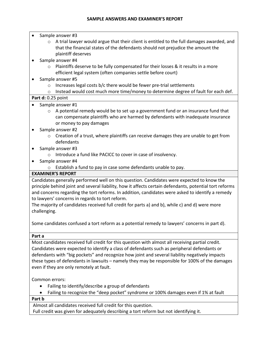- Sample answer #3
	- $\circ$  A trial lawyer would argue that their client is entitled to the full damages awarded, and that the financial states of the defendants should not prejudice the amount the plaintiff deserves
- Sample answer #4
	- $\circ$  Plaintiffs deserve to be fully compensated for their losses & it results in a more efficient legal system (often companies settle before court)
- Sample answer #5
	- o Increases legal costs b/c there would be fewer pre-trial settlements
	- $\circ$  Instead would cost much more time/money to determine degree of fault for each def.

# **Part d:** 0.25 point

- Sample answer #1
	- $\circ$  A potential remedy would be to set up a government fund or an insurance fund that can compensate plaintiffs who are harmed by defendants with inadequate insurance or money to pay damages
- Sample answer #2
	- $\circ$  Creation of a trust, where plaintiffs can receive damages they are unable to get from defendants
- $\bullet$  Sample answer #3
	- o Introduce a fund like PACICC to cover in case of insolvency.
- Sample answer #4
	- o Establish a fund to pay in case some defendants unable to pay.

# **EXAMINER'S REPORT**

Candidates generally performed well on this question. Candidates were expected to know the principle behind joint and several liability, how it affects certain defendants, potential tort reforms and concerns regarding the tort reforms. In addition, candidates were asked to identify a remedy to lawyers' concerns in regards to tort reform.

The majority of candidates received full credit for parts a) and b), while c) and d) were more challenging.

Some candidates confused a tort reform as a potential remedy to lawyers' concerns in part d).

**Part a**

Most candidates received full credit for this question with almost all receiving partial credit. Candidates were expected to identify a class of defendants such as peripheral defendants or defendants with "big pockets" and recognize how joint and several liability negatively impacts these types of defendants in lawsuits – namely they may be responsible for 100% of the damages even if they are only remotely at fault.

Common errors:

- Failing to identify/describe a group of defendants
- Failing to recognize the "deep pocket" syndrome or 100% damages even if 1% at fault

**Part b**

Almost all candidates received full credit for this question.

Full credit was given for adequately describing a tort reform but not identifying it.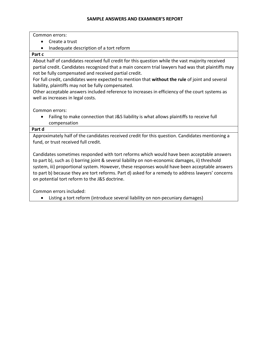Common errors:

- Create a trust
- Inadequate description of a tort reform

# **Part c**

About half of candidates received full credit for this question while the vast majority received partial credit. Candidates recognized that a main concern trial lawyers had was that plaintiffs may not be fully compensated and received partial credit.

For full credit, candidates were expected to mention that **without the rule** of joint and several liability, plaintiffs may not be fully compensated.

Other acceptable answers included reference to increases in efficiency of the court systems as well as increases in legal costs.

Common errors:

 Failing to make connection that J&S liability is what allows plaintiffs to receive full compensation

#### **Part d**

Approximately half of the candidates received credit for this question. Candidates mentioning a fund, or trust received full credit.

Candidates sometimes responded with tort reforms which would have been acceptable answers to part b), such as i) barring joint & several liability on non-economic damages, ii) threshold system, iii) proportional system. However, these responses would have been acceptable answers to part b) because they are tort reforms. Part d) asked for a remedy to address lawyers' concerns on potential tort reform to the J&S doctrine.

Common errors included:

Listing a tort reform (introduce several liability on non-pecuniary damages)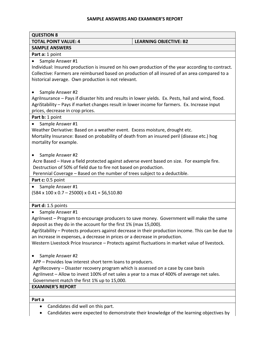| <b>QUESTION 8</b>                                                                                   |                               |  |
|-----------------------------------------------------------------------------------------------------|-------------------------------|--|
| <b>TOTAL POINT VALUE: 4</b>                                                                         | <b>LEARNING OBJECTIVE: B2</b> |  |
| <b>SAMPLE ANSWERS</b>                                                                               |                               |  |
| Part a: 1 point                                                                                     |                               |  |
| Sample Answer #1                                                                                    |                               |  |
| Individual: Insured production is insured on his own production of the year according to contract.  |                               |  |
| Collective: Farmers are reimbursed based on production of all insured of an area compared to a      |                               |  |
| historical average. Own production is not relevant.                                                 |                               |  |
|                                                                                                     |                               |  |
| Sample Answer #2                                                                                    |                               |  |
| Agrilnsurance - Pays if disaster hits and results in lower yields. Ex. Pests, hail and wind, flood. |                               |  |
| AgriStability - Pays if market changes result in lower income for farmers. Ex. Increase input       |                               |  |
| prices, decrease in crop prices.                                                                    |                               |  |
| Part b: 1 point                                                                                     |                               |  |
| Sample Answer #1                                                                                    |                               |  |
| Weather Derivative: Based on a weather event. Excess moisture, drought etc.                         |                               |  |
| Mortality Insurance: Based on probability of death from an insured peril (disease etc.) hog         |                               |  |
| mortality for example.                                                                              |                               |  |
|                                                                                                     |                               |  |
| Sample Answer #2                                                                                    |                               |  |
| Acre Based - Have a field protected against adverse event based on size. For example fire.          |                               |  |
| Destruction of 50% of field due to fire not based on production.                                    |                               |  |
| Perennial Coverage - Based on the number of trees subject to a deductible.                          |                               |  |
| Part c: 0.5 point                                                                                   |                               |  |
| Sample Answer #1                                                                                    |                               |  |
| $(584 \times 100 \times 0.7 - 25000) \times 0.41 = $6,510.80$                                       |                               |  |
| Part d: 1.5 points                                                                                  |                               |  |
| Sample Answer #1                                                                                    |                               |  |
| Agrilnvest - Program to encourage producers to save money. Government will make the same            |                               |  |
| deposit as they do in the account for the first 1% (max 15,000).                                    |                               |  |
| AgriStability - Protects producers against decrease in their production income. This can be due to  |                               |  |
| an increase in expenses, a decrease in prices or a decrease in production.                          |                               |  |
| Western Livestock Price Insurance - Protects against fluctuations in market value of livestock.     |                               |  |
|                                                                                                     |                               |  |
| Sample Answer #2                                                                                    |                               |  |
| APP - Provides low interest short term loans to producers.                                          |                               |  |
| AgriRecovery - Disaster recovery program which is assessed on a case by case basis                  |                               |  |
| Agrilnvest - Allow to invest 100% of net sales a year to a max of 400% of average net sales.        |                               |  |
| Government match the first 1% up to 15,000.                                                         |                               |  |
| <b>EXAMINER'S REPORT</b>                                                                            |                               |  |
|                                                                                                     |                               |  |
| Part a                                                                                              |                               |  |

- Candidates did well on this part.
- Candidates were expected to demonstrate their knowledge of the learning objectives by

 $\overline{\phantom{a}}$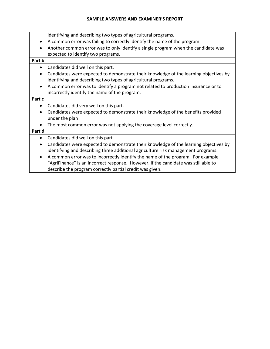|           | identifying and describing two types of agricultural programs.                        |
|-----------|---------------------------------------------------------------------------------------|
| $\bullet$ | A common error was failing to correctly identify the name of the program.             |
| $\bullet$ | Another common error was to only identify a single program when the candidate was     |
|           | expected to identify two programs.                                                    |
| Part b    |                                                                                       |
| $\bullet$ | Candidates did well on this part.                                                     |
| $\bullet$ | Candidates were expected to demonstrate their knowledge of the learning objectives by |
|           | identifying and describing two types of agricultural programs.                        |
| $\bullet$ | A common error was to identify a program not related to production insurance or to    |
|           | incorrectly identify the name of the program.                                         |
| Part c    |                                                                                       |
| $\bullet$ | Candidates did very well on this part.                                                |
|           | Candidates were expected to demonstrate their knowledge of the benefits provided      |
|           | under the plan                                                                        |
|           | The most common error was not applying the coverage level correctly.                  |
| Part d    |                                                                                       |
| $\bullet$ | Candidates did well on this part.                                                     |
| $\bullet$ | Candidates were expected to demonstrate their knowledge of the learning objectives by |
|           | identifying and describing three additional agriculture risk management programs.     |
| $\bullet$ | A common error was to incorrectly identify the name of the program. For example       |
|           | "AgriFinance" is an incorrect response. However, if the candidate was still able to   |
|           | describe the program correctly partial credit was given.                              |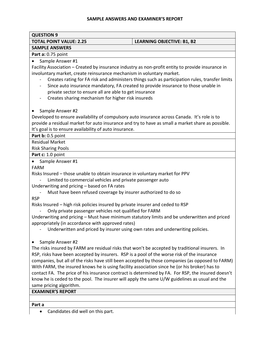# **QUESTION 9**

# **TOTAL POINT VALUE: 2.25 LEARNING OBJECTIVE: B1, B2**

#### **SAMPLE ANSWERS Part a:** 0.75 point

# • Sample Answer #1

Facility Association – Created by insurance industry as non-profit entity to provide insurance in involuntary market, create reinsurance mechanism in voluntary market.

- Creates rating for FA risk and administers things such as participation rules, transfer limits
- Since auto insurance mandatory, FA created to provide insurance to those unable in private sector to ensure all are able to get insurance
- Creates sharing mechanism for higher risk insureds
- Sample Answer #2

Developed to ensure availability of compulsory auto insurance across Canada. It's role is to provide a residual market for auto insurance and try to have as small a market share as possible. It's goal is to ensure availability of auto insurance.

**Part b:** 0.5 point

Residual Market

Risk Sharing Pools

**Part c:** 1.0 point

• Sample Answer #1

FARM

Risks Insured – those unable to obtain insurance in voluntary market for PPV

- Limited to commercial vehicles and private passenger auto

Underwriting and pricing – based on FA rates

- Must have been refused coverage by insurer authorized to do so RSP

Risks Insured – high risk policies insured by private insurer and ceded to RSP

- Only private passenger vehicles not qualified for FARM

Underwriting and pricing – Must have minimum statutory limits and be underwritten and priced appropriately (in accordance with approved rates)

Underwritten and priced by insurer using own rates and underwriting policies.

• Sample Answer #2

The risks insured by FARM are residual risks that won't be accepted by traditional insurers. In RSP, risks have been accepted by insurers. RSP is a pool of the worse risk of the insurance companies, but all of the risks have still been accepted by those companies (as opposed to FARM) With FARM, the insured knows he is using facility association since he (or his broker) has to contact FA. The price of his insurance contract is determined by FA. For RSP, the insured doesn't know he is ceded to the pool. The insurer will apply the same U/W guidelines as usual and the same pricing algorithm.

#### **EXAMINER'S REPORT**

**Part a**

Candidates did well on this part.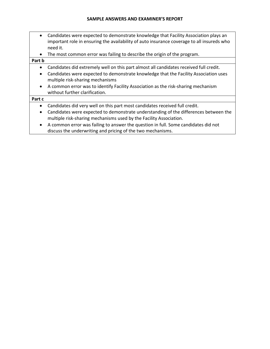| $\bullet$ | Candidates were expected to demonstrate knowledge that Facility Association plays an<br>important role in ensuring the availability of auto insurance coverage to all insureds who<br>need it. |
|-----------|------------------------------------------------------------------------------------------------------------------------------------------------------------------------------------------------|
| $\bullet$ | The most common error was failing to describe the origin of the program.                                                                                                                       |
| Part b    |                                                                                                                                                                                                |
| ٠         | Candidates did extremely well on this part almost all candidates received full credit.                                                                                                         |
| $\bullet$ | Candidates were expected to demonstrate knowledge that the Facility Association uses<br>multiple risk-sharing mechanisms                                                                       |
| $\bullet$ | A common error was to identify Facility Association as the risk-sharing mechanism<br>without further clarification.                                                                            |
| Part c    |                                                                                                                                                                                                |
| $\bullet$ | Candidates did very well on this part most candidates received full credit.                                                                                                                    |
| $\bullet$ | Candidates were expected to demonstrate understanding of the differences between the<br>multiple risk-sharing mechanisms used by the Facility Association.                                     |
| $\bullet$ | A common error was failing to answer the question in full. Some candidates did not<br>discuss the underwriting and pricing of the two mechanisms.                                              |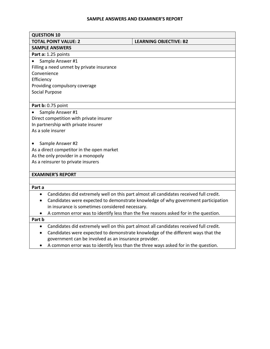| <b>QUESTION 10</b>                                           |                                                                                        |  |
|--------------------------------------------------------------|----------------------------------------------------------------------------------------|--|
| <b>TOTAL POINT VALUE: 2</b><br><b>LEARNING OBJECTIVE: B2</b> |                                                                                        |  |
| <b>SAMPLE ANSWERS</b>                                        |                                                                                        |  |
| Part a: 1.25 points                                          |                                                                                        |  |
| Sample Answer #1<br>$\bullet$                                |                                                                                        |  |
| Filling a need unmet by private insurance                    |                                                                                        |  |
| Convenience                                                  |                                                                                        |  |
| Efficiency                                                   |                                                                                        |  |
| Providing compulsory coverage                                |                                                                                        |  |
| Social Purpose                                               |                                                                                        |  |
| Part b: 0.75 point                                           |                                                                                        |  |
| Sample Answer #1<br>$\bullet$                                |                                                                                        |  |
| Direct competition with private insurer                      |                                                                                        |  |
| In partnership with private insurer                          |                                                                                        |  |
| As a sole insurer                                            |                                                                                        |  |
| Sample Answer #2<br>$\bullet$                                |                                                                                        |  |
| As a direct competitor in the open market                    |                                                                                        |  |
| As the only provider in a monopoly                           |                                                                                        |  |
| As a reinsurer to private insurers                           |                                                                                        |  |
|                                                              |                                                                                        |  |
| <b>EXAMINER'S REPORT</b>                                     |                                                                                        |  |
|                                                              |                                                                                        |  |
| Part a                                                       |                                                                                        |  |
| $\bullet$                                                    | Candidates did extremely well on this part almost all candidates received full credit. |  |
| $\bullet$                                                    | Candidates were expected to demonstrate knowledge of why government participation      |  |
| in insurance is sometimes considered necessary.              |                                                                                        |  |
|                                                              | A common error was to identify less than the five reasons asked for in the question.   |  |
| Part b                                                       |                                                                                        |  |
| $\bullet$                                                    | Candidates did extremely well on this part almost all candidates received full credit. |  |
| $\bullet$                                                    | Candidates were expected to demonstrate knowledge of the different ways that the       |  |
| government can be involved as an insurance provider.         |                                                                                        |  |
|                                                              | A common error was to identify less than the three ways asked for in the question.     |  |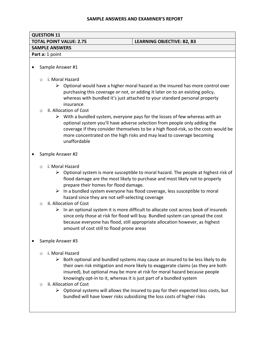# **QUESTION 11 TOTAL POINT VALUE: 2.75 LEARNING OBJECTIVE: B2, B3 SAMPLE ANSWERS**  Part a: 1 point • Sample Answer #1 o i. Moral Hazard  $\triangleright$  Optional would have a higher moral hazard as the insured has more control over purchasing this coverage or not, or adding it later on to an existing policy, whereas with bundled it's just attached to your standard personal property insurance o Ii. Allocation of Cost  $\triangleright$  With a bundled system, everyone pays for the losses of few whereas with an optional system you'll have adverse selection from people only adding the coverage if they consider themselves to be a high flood-risk, so the costs would be more concentrated on the high risks and may lead to coverage becoming unaffordable Sample Answer #2 o i. Moral Hazard  $\triangleright$  Optional system is more susceptible to moral hazard. The people at highest risk of flood damage are the most likely to purchase and most likely not to properly prepare their homes for flood damage.  $\triangleright$  In a bundled system everyone has flood coverage, less susceptible to moral hazard since they are not self-selecting coverage o Ii. Allocation of Cost  $\triangleright$  In an optional system it is more difficult to allocate cost across book of insureds since only those at risk for flood will buy. Bundled system can spread the cost because everyone has flood, still appropriate allocation however, as highest amount of cost still to flood prone areas • Sample Answer #3 o i. Moral Hazard  $\triangleright$  Both optional and bundled systems may cause an insured to be less likely to do their own risk mitigation and more likely to exaggerate claims (as they are both insured), but optional may be more at risk for moral hazard because people knowingly opt-in to it, whereas it is just part of a bundled system o Ii. Allocation of Cost  $\triangleright$  Optional systems will allows the insured to pay for their expected loss costs, but bundled will have lower risks subsidizing the loss costs of higher risks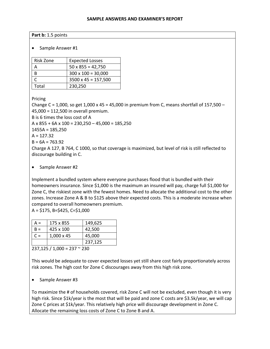#### Part b: 1.5 points

### Sample Answer #1

| Risk Zone | <b>Expected Losses</b>     |
|-----------|----------------------------|
| А         | $50 \times 855 = 42,750$   |
| R         | $300 \times 100 = 30,000$  |
|           | $3500 \times 45 = 157,500$ |
| Total     | 230,250                    |

Pricing

Change C =  $1,000$ , so get  $1,000 \times 45 = 45,000$  in premium from C, means shortfall of  $157,500 -$ 45,000 = 112,500 in overall premium. B is 6 times the loss cost of A A x  $855 + 6A$  x  $100 = 230,250 - 45,000 = 185,250$ 

 $1455A = 185,250$ 

 $A = 127.32$ 

 $B = 6A = 763.92$ 

Charge A 127, B 764, C 1000, so that coverage is maximized, but level of risk is still reflected to discourage building in C.

# • Sample Answer #2

Implement a bundled system where everyone purchases flood that is bundled with their homeowners insurance. Since \$1,000 is the maximum an insured will pay, charge full \$1,000 for Zone C, the riskiest zone with the fewest homes. Need to allocate the additional cost to the other zones. Increase Zone A & B to \$125 above their expected costs. This is a moderate increase when compared to overall homeowners premium.

 $A = $175, B = $425, C = $1,000$ 

| A =   | 175 x 855  | 149,625 |
|-------|------------|---------|
| $B =$ | 425 x 100  | 42,500  |
| $C =$ | 1,000 x 45 | 45,000  |
|       |            | 237,125 |

237,125 / 1,000 = 237 ~ 230

This would be adequate to cover expected losses yet still share cost fairly proportionately across risk zones. The high cost for Zone C discourages away from this high risk zone.

• Sample Answer #3

To maximize the # of households covered, risk Zone C will not be excluded, even though it is very high risk. Since \$1k/year is the most that will be paid and zone C costs are \$3.5k/year, we will cap Zone C prices at \$1k/year. This relatively high price will discourage development in Zone C. Allocate the remaining loss costs of Zone C to Zone B and A.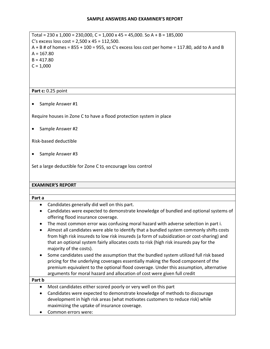Total =  $230 \times 1,000 = 230,000$ , C =  $1,000 \times 45 = 45,000$ . So A + B =  $185,000$ C's excess loss cost = 2,500 x 45 = 112,500.  $A + B$  # of homes = 855 + 100 = 955, so C's excess loss cost per home = 117.80, add to A and B  $A = 167.80$  $B = 417.80$  $C = 1,000$ 

# **Part c:** 0.25 point

• Sample Answer #1

Require houses in Zone C to have a flood protection system in place

• Sample Answer #2

Risk-based deductible

• Sample Answer #3

Set a large deductible for Zone C to encourage loss control

#### **EXAMINER'S REPORT**

#### **Part a**

- Candidates generally did well on this part.
- Candidates were expected to demonstrate knowledge of bundled and optional systems of offering flood insurance coverage.
- The most common error was confusing moral hazard with adverse selection in part i.
- Almost all candidates were able to identify that a bundled system commonly shifts costs from high risk insureds to low risk insureds (a form of subsidization or cost-sharing) and that an optional system fairly allocates costs to risk (high risk insureds pay for the majority of the costs).
- Some candidates used the assumption that the bundled system utilized full risk based pricing for the underlying coverages essentially making the flood component of the premium equivalent to the optional flood coverage. Under this assumption, alternative arguments for moral hazard and allocation of cost were given full credit

| Part b |                                                                                                                                                                |
|--------|----------------------------------------------------------------------------------------------------------------------------------------------------------------|
|        | • Most candidates either scored poorly or very well on this part                                                                                               |
|        | • Candidates were expected to demonstrate knowledge of methods to discourage<br>development in high risk areas (what motivates customers to reduce risk) while |
|        | maximizing the uptake of insurance coverage.                                                                                                                   |

Common errors were: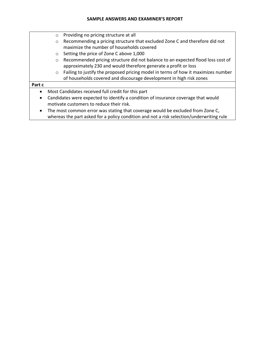- o Providing no pricing structure at all o Recommending a pricing structure that excluded Zone C and therefore did not maximize the number of households covered o Setting the price of Zone C above 1,000 o Recommended pricing structure did not balance to an expected flood loss cost of approximately 230 and would therefore generate a profit or loss  $\circ$  Failing to justify the proposed pricing model in terms of how it maximizes number of households covered and discourage development in high risk zones **Part c** Most Candidates received full credit for this part Candidates were expected to identify a condition of insurance coverage that would motivate customers to reduce their risk.
	- The most common error was stating that coverage would be excluded from Zone C, whereas the part asked for a policy condition and not a risk selection/underwriting rule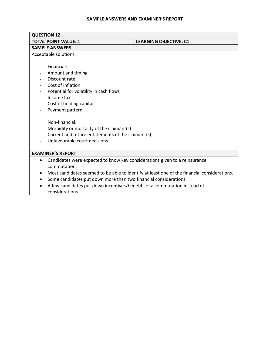| <b>QUESTION 12</b>                                                                      |                                                                                             |
|-----------------------------------------------------------------------------------------|---------------------------------------------------------------------------------------------|
| <b>TOTAL POINT VALUE: 1</b>                                                             | <b>LEARNING OBJECTIVE: C1</b>                                                               |
| <b>SAMPLE ANSWERS</b>                                                                   |                                                                                             |
| Acceptable solutions:                                                                   |                                                                                             |
|                                                                                         |                                                                                             |
| Financial:                                                                              |                                                                                             |
| Amount and timing                                                                       |                                                                                             |
| Discount rate                                                                           |                                                                                             |
| Cost of inflation                                                                       |                                                                                             |
| Potential for volatility in cash flows                                                  |                                                                                             |
| Income tax<br>$\overline{\phantom{a}}$                                                  |                                                                                             |
| Cost of holding capital                                                                 |                                                                                             |
| Payment pattern                                                                         |                                                                                             |
|                                                                                         |                                                                                             |
| Non-financial:                                                                          |                                                                                             |
| Morbidity or mortality of the claimant(s)                                               |                                                                                             |
| Current and future entitlements of the claimant(s)                                      |                                                                                             |
| Unfavourable court decisions                                                            |                                                                                             |
|                                                                                         |                                                                                             |
| <b>EXAMINER'S REPORT</b>                                                                |                                                                                             |
| Candidates were expected to know key considerations given to a reinsurance<br>$\bullet$ |                                                                                             |
| commutation.                                                                            |                                                                                             |
|                                                                                         | Most candidates seemed to be able to identify at least one of the financial considerations. |
| Some candidates put down more than two financial considerations.<br>$\bullet$           |                                                                                             |
| A few candidates put down incentives/benefits of a commutation instead of               |                                                                                             |
| considerations.                                                                         |                                                                                             |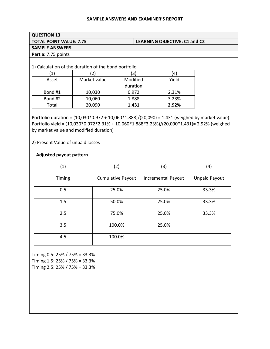### **QUESTION 13 TOTAL POINT VALUE: 7.75 LEARNING OBJECTIVE: C1 and C2**

**SAMPLE ANSWERS** 

**Part a:** 7.75 points

# 1) Calculation of the duration of the bond portfolio

| 1)      | $\mathbf{2}^{\mathsf{c}}$ | 3        | $\left( 4\right)$ |
|---------|---------------------------|----------|-------------------|
| Asset   | Market value              | Modified | Yield             |
|         |                           | duration |                   |
| Bond #1 | 10,030                    | 0.972    | 2.31%             |
| Bond #2 | 10,060                    | 1.888    | 3.23%             |
| Total   | 20,090                    | 1.431    | 2.92%             |

Portfolio duration = (10,030\*0.972 + 10,060\*1.888)/(20,090) = 1.431 (weighed by market value) Portfolio yield = (10,030\*0.972\*2.31% + 10,060\*1.888\*3.23%)/(20,090\*1.431)= 2.92% (weighed by market value and modified duration)

#### 2) Present Value of unpaid losses

### **Adjusted payout pattern**

| (1)           | (2)                      | (3)                | (4)                  |
|---------------|--------------------------|--------------------|----------------------|
| <b>Timing</b> | <b>Cumulative Payout</b> | Incremental Payout | <b>Unpaid Payout</b> |
| 0.5           | 25.0%                    | 25.0%              | 33.3%                |
| 1.5           | 50.0%                    | 25.0%              | 33.3%                |
| 2.5           | 75.0%                    | 25.0%              | 33.3%                |
| 3.5           | 100.0%                   | 25.0%              |                      |
| 4.5           | 100.0%                   |                    |                      |

Timing 0.5: 25% / 75% = 33.3% Timing 1.5: 25% / 75% = 33.3% Timing 2.5: 25% / 75% = 33.3%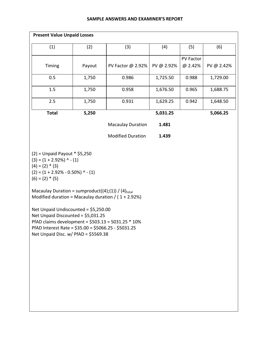| <b>Present Value Unpaid Losses</b>                                                                                                                                                                                                                                                                                                                                                                                                                |        |                          |            |                      |            |
|---------------------------------------------------------------------------------------------------------------------------------------------------------------------------------------------------------------------------------------------------------------------------------------------------------------------------------------------------------------------------------------------------------------------------------------------------|--------|--------------------------|------------|----------------------|------------|
| (1)                                                                                                                                                                                                                                                                                                                                                                                                                                               | (2)    | (3)                      | (4)        | (5)                  | (6)        |
| Timing                                                                                                                                                                                                                                                                                                                                                                                                                                            | Payout | PV Factor @ 2.92%        | PV @ 2.92% | PV Factor<br>@ 2.42% | PV @ 2.42% |
| 0.5                                                                                                                                                                                                                                                                                                                                                                                                                                               | 1,750  | 0.986                    | 1,725.50   | 0.988                | 1,729.00   |
| 1.5                                                                                                                                                                                                                                                                                                                                                                                                                                               | 1,750  | 0.958                    | 1,676.50   | 0.965                | 1,688.75   |
| 2.5                                                                                                                                                                                                                                                                                                                                                                                                                                               | 1,750  | 0.931                    | 1,629.25   | 0.942                | 1,648.50   |
| <b>Total</b>                                                                                                                                                                                                                                                                                                                                                                                                                                      | 5,250  |                          | 5,031.25   |                      | 5,066.25   |
|                                                                                                                                                                                                                                                                                                                                                                                                                                                   |        | <b>Macaulay Duration</b> | 1.481      |                      |            |
|                                                                                                                                                                                                                                                                                                                                                                                                                                                   |        | <b>Modified Duration</b> | 1.439      |                      |            |
| $(4) = (2) * (3)$<br>$(2) = (1 + 2.92\% - 0.50\%)$ ^ - (1)<br>$(6) = (2) * (5)$<br>Macaulay Duration = sumproduct((4);(1)) / (4) $_{\text{total}}$<br>Modified duration = Macaulay duration / $(1 + 2.92%)$<br>Net Unpaid Undiscounted = \$5,250.00<br>Net Unpaid Discounted = \$5,031.25<br>PfAD claims development = $$503.13 = 5031.25 * 10\%$<br>PfAD Interest Rate = \$35.00 = \$5066.25 - \$5031.25<br>Net Unpaid Disc. w/ PfAD = \$5569.38 |        |                          |            |                      |            |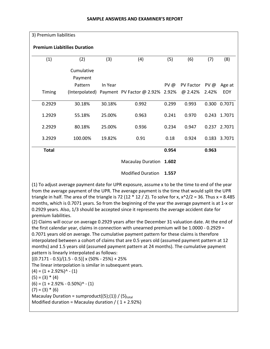| 3) Premium liabilities              |            |         |                                                |        |           |       |              |
|-------------------------------------|------------|---------|------------------------------------------------|--------|-----------|-------|--------------|
| <b>Premium Liabitilies Duration</b> |            |         |                                                |        |           |       |              |
| (1)                                 | (2)        | (3)     | (4)                                            | (5)    | (6)       | (7)   | (8)          |
|                                     | Cumulative |         |                                                |        |           |       |              |
|                                     | Payment    |         |                                                |        |           |       |              |
|                                     | Pattern    | In Year |                                                | $PV$ @ | PV Factor | PV@   | Age at       |
| <b>Timing</b>                       |            |         | (Interpolated) Payment PV Factor @ 2.92% 2.92% |        | @ 2.42%   | 2.42% | EOY          |
| 0.2929                              | 30.18%     | 30.18%  | 0.992                                          | 0.299  | 0.993     |       | 0.300 0.7071 |
| 1.2929                              | 55.18%     | 25.00%  | 0.963                                          | 0.241  | 0.970     |       | 0.243 1.7071 |
| 2.2929                              | 80.18%     | 25.00%  | 0.936                                          | 0.234  | 0.947     |       | 0.237 2.7071 |
| 3.2929                              | 100.00%    | 19.82%  | 0.91                                           | 0.18   | 0.924     |       | 0.183 3.7071 |
| <b>Total</b>                        |            |         |                                                | 0.954  |           | 0.963 |              |
|                                     |            |         | <b>Macaulay Duration</b>                       | 1.602  |           |       |              |

Modified Duration **1.557**

(1) To adjust average payment date for UPR exposure, assume x to be the time to end of the year from the average payment of the UPR. The average payment is the time that would split the UPR triangle in half. The area of the triangle is 72 (12  $*$  12 / 2). To solve for x,  $x^2/2 = 36$ . Thus  $x = 8.485$ months, which is 0.7071 years. So from the beginning of the year the average payment is at 1-x or 0.2929 years. Also, 1/3 should be accepted since it represents the average accident date for premium liabilities.

(2) Claims will occur on average 0.2929 years after the December 31 valuation date. At the end of the first calendar year, claims in connection with unearned premium will be 1.0000 - 0.2929 = 0.7071 years old on average. The cumulative payment pattern for these claims is therefore interpolated between a cohort of claims that are 0.5 years old (assumed payment pattern at 12 months) and 1.5 years old (assumed payment pattern at 24 months). The cumulative payment pattern is linearly interpolated as follows:

 $[(0.7171 - 0.5)/(1.5 - 0.5)] \times (50\% - 25\%) + 25\%$ 

The linear interpolation is similar in subsequent years.

 $(4) = (1 + 2.92\%)$ ^ - (1)  $(5) = (3) * (4)$  $(6) = (1 + 2.92\% - 0.50\%)$ ^ - (1)  $(7) = (3) * (6)$ Macaulay Duration = sumproduct( $(5)$ ; $(1)$ ) /  $(5)$ <sub>total</sub> Modified duration = Macaulay duration /  $(1 + 2.92%)$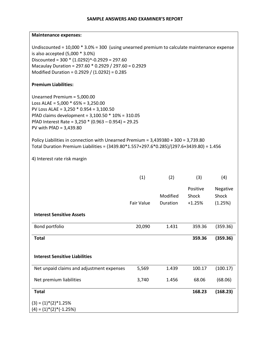| Undiscounted = $10,000 * 3.0% = 300$ (using unearned premium to calculate maintenance expense<br>is also accepted $(5,000 * 3.0%)$<br>Discounted = $300 * (1.0292)^{(-0.2929)} = 297.60$<br>Macaulay Duration = 297.60 * 0.2929 / 297.60 = 0.2929<br>Modified Duration = 0.2929 / (1.0292) = 0.285 |                   |                      |                               |                              |
|----------------------------------------------------------------------------------------------------------------------------------------------------------------------------------------------------------------------------------------------------------------------------------------------------|-------------------|----------------------|-------------------------------|------------------------------|
| <b>Premium Liabilities:</b>                                                                                                                                                                                                                                                                        |                   |                      |                               |                              |
| Unearned Premium = $5,000.00$<br>Loss ALAE = $5,000 * 65\% = 3,250.00$<br>PV Loss ALAE = $3,250 * 0.954 = 3,100.50$<br>PfAD claims development = $3,100.50 * 10\% = 310.05$<br>PfAD Interest Rate = $3,250 * (0.963 - 0.954) = 29.25$<br>PV with $PfAD = 3,439.80$                                 |                   |                      |                               |                              |
| Policy Liabilities in connection with Unearned Premium = 3,439380 + 300 = 3,739.80<br>Total Duration Premium Liabilities = (3439.80*1.557+297.6*0.285)/(297.6+3439.80) = 1.456                                                                                                                     |                   |                      |                               |                              |
| 4) Interest rate risk margin                                                                                                                                                                                                                                                                       |                   |                      |                               |                              |
|                                                                                                                                                                                                                                                                                                    |                   |                      |                               |                              |
|                                                                                                                                                                                                                                                                                                    | (1)               | (2)                  | (3)                           | (4)                          |
|                                                                                                                                                                                                                                                                                                    | <b>Fair Value</b> | Modified<br>Duration | Positive<br>Shock<br>$+1.25%$ | Negative<br>Shock<br>(1.25%) |
| <b>Interest Sensitive Assets</b>                                                                                                                                                                                                                                                                   |                   |                      |                               |                              |
| Bond portfolio                                                                                                                                                                                                                                                                                     | 20,090            | 1.431                | 359.36                        | (359.36)                     |
| <b>Total</b>                                                                                                                                                                                                                                                                                       |                   |                      | 359.36                        | (359.36)                     |
| <b>Interest Sensitive Liabilities</b>                                                                                                                                                                                                                                                              |                   |                      |                               |                              |
| Net unpaid claims and adjustment expenses                                                                                                                                                                                                                                                          | 5,569             | 1.439                | 100.17                        | (100.17)                     |
| Net premium liabilities                                                                                                                                                                                                                                                                            | 3,740             | 1.456                | 68.06                         | (68.06)                      |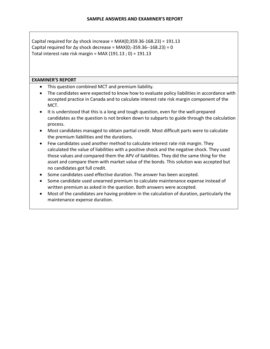Capital required for  $\Delta y$  shock increase = MAX(0;359.36-168.23) = 191.13 Capital required for  $\Delta y$  shock decrease = MAX(0;-359.36--168.23) = 0 Total interest rate risk margin = MAX  $(191.13; 0)$  = 191.13

#### **EXAMINER'S REPORT**

- This question combined MCT and premium liability.
- The candidates were expected to know how to evaluate policy liabilities in accordance with accepted practice in Canada and to calculate interest rate risk margin component of the MCT.
- It is understood that this is a long and tough question, even for the well-prepared candidates as the question is not broken down to subparts to guide through the calculation process.
- Most candidates managed to obtain partial credit. Most difficult parts were to calculate the premium liabilities and the durations.
- Few candidates used another method to calculate interest rate risk margin. They calculated the value of liabilities with a positive shock and the negative shock. They used those values and compared them the APV of liabilities. They did the same thing for the asset and compare them with market value of the bonds. This solution was accepted but no candidates got full credit.
- Some candidates used effective duration. The answer has been accepted.
- Some candidate used unearned premium to calculate maintenance expense instead of written premium as asked in the question. Both answers were accepted.
- Most of the candidates are having problem in the calculation of duration, particularly the maintenance expense duration.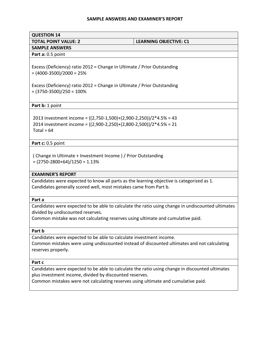| <b>QUESTION 14</b>                                                                                                                                                                                                                              |
|-------------------------------------------------------------------------------------------------------------------------------------------------------------------------------------------------------------------------------------------------|
| <b>TOTAL POINT VALUE: 2</b><br><b>LEARNING OBJECTIVE: C1</b>                                                                                                                                                                                    |
| <b>SAMPLE ANSWERS</b>                                                                                                                                                                                                                           |
| Part a: 0.5 point                                                                                                                                                                                                                               |
| Excess (Deficiency) ratio 2012 = Change in Ultimate / Prior Outstanding<br>$=(4000-3500)/2000=25%$                                                                                                                                              |
| Excess (Deficiency) ratio 2012 = Change in Ultimate / Prior Outstanding<br>$=(3750-3500)/250=100%$                                                                                                                                              |
| Part b: 1 point                                                                                                                                                                                                                                 |
| 2013 investment income = $((2,750-1,500)+(2,900-2,250))/2*4.5% = 43$<br>2014 investment income = ((2,900-2,250)+(2,800-2,500))/2*4.5% = 21<br>Total = $64$                                                                                      |
| Part c: 0.5 point                                                                                                                                                                                                                               |
| (Change in Ultimate + Investment Income) / Prior Outstanding<br>$=(2750-2800+64)/1250=1.13%$                                                                                                                                                    |
| <b>EXAMINER'S REPORT</b>                                                                                                                                                                                                                        |
| Candidates were expected to know all parts as the learning objective is categorized as 1.<br>Candidates generally scored well, most mistakes came from Part b.                                                                                  |
| Part a                                                                                                                                                                                                                                          |
| Candidates were expected to be able to calculate the ratio using change in undiscounted ultimates<br>divided by undiscounted reserves.                                                                                                          |
| Common mistake was not calculating reserves using ultimate and cumulative paid.                                                                                                                                                                 |
| Part b                                                                                                                                                                                                                                          |
| Candidates were expected to be able to calculate investment income.                                                                                                                                                                             |
| Common mistakes were using undiscounted instead of discounted ultimates and not calculating<br>reserves properly.                                                                                                                               |
| Part c                                                                                                                                                                                                                                          |
| Candidates were expected to be able to calculate the ratio using change in discounted ultimates<br>plus investment income, divided by discounted reserves.<br>Common mistakes were not calculating reserves using ultimate and cumulative paid. |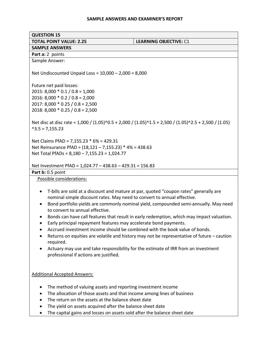| <b>QUESTION 15</b>                                                                                                                                                                                                                                                                                                                                         |                                                                                                                                                                                                                                                                                                                                                                                                                                                                |
|------------------------------------------------------------------------------------------------------------------------------------------------------------------------------------------------------------------------------------------------------------------------------------------------------------------------------------------------------------|----------------------------------------------------------------------------------------------------------------------------------------------------------------------------------------------------------------------------------------------------------------------------------------------------------------------------------------------------------------------------------------------------------------------------------------------------------------|
| <b>TOTAL POINT VALUE: 2.25</b>                                                                                                                                                                                                                                                                                                                             | <b>LEARNING OBJECTIVE: C1</b>                                                                                                                                                                                                                                                                                                                                                                                                                                  |
| <b>SAMPLE ANSWERS</b>                                                                                                                                                                                                                                                                                                                                      |                                                                                                                                                                                                                                                                                                                                                                                                                                                                |
| Part a: 2 points                                                                                                                                                                                                                                                                                                                                           |                                                                                                                                                                                                                                                                                                                                                                                                                                                                |
| Sample Answer:                                                                                                                                                                                                                                                                                                                                             |                                                                                                                                                                                                                                                                                                                                                                                                                                                                |
| Net Undiscounted Unpaid Loss = $10,000 - 2,000 = 8,000$                                                                                                                                                                                                                                                                                                    |                                                                                                                                                                                                                                                                                                                                                                                                                                                                |
| Future net paid losses:                                                                                                                                                                                                                                                                                                                                    |                                                                                                                                                                                                                                                                                                                                                                                                                                                                |
| $2015: 8,000 * 0.1 / 0.8 = 1,000$                                                                                                                                                                                                                                                                                                                          |                                                                                                                                                                                                                                                                                                                                                                                                                                                                |
| $2016: 8,000 * 0.2 / 0.8 = 2,000$                                                                                                                                                                                                                                                                                                                          |                                                                                                                                                                                                                                                                                                                                                                                                                                                                |
| $2017: 8,000 * 0.25 / 0.8 = 2,500$                                                                                                                                                                                                                                                                                                                         |                                                                                                                                                                                                                                                                                                                                                                                                                                                                |
| $2018: 8,000 * 0.25 / 0.8 = 2,500$                                                                                                                                                                                                                                                                                                                         |                                                                                                                                                                                                                                                                                                                                                                                                                                                                |
| Net disc at disc rate = $1,000 / (1.05)^0.5 + 2,000 / (1.05)^0.1.5 + 2,500 / (1.05)^0.2.5 + 2,500 / (1.05)$<br>$^{\wedge}3.5 = 7,155.23$                                                                                                                                                                                                                   |                                                                                                                                                                                                                                                                                                                                                                                                                                                                |
| Net Claims PfAD = 7,155.23 * 6% = 429.31                                                                                                                                                                                                                                                                                                                   |                                                                                                                                                                                                                                                                                                                                                                                                                                                                |
| Net Reinsurance PfAD = (18,121 - 7,155.23) * 4% = 438.63                                                                                                                                                                                                                                                                                                   |                                                                                                                                                                                                                                                                                                                                                                                                                                                                |
| Net Total PfADs = 8,180 - 7,155.23 = 1,024.77                                                                                                                                                                                                                                                                                                              |                                                                                                                                                                                                                                                                                                                                                                                                                                                                |
|                                                                                                                                                                                                                                                                                                                                                            |                                                                                                                                                                                                                                                                                                                                                                                                                                                                |
| Net Investment PfAD = 1,024.77 - 438.63 - 429.31 = 156.83                                                                                                                                                                                                                                                                                                  |                                                                                                                                                                                                                                                                                                                                                                                                                                                                |
| Part b: 0.5 point                                                                                                                                                                                                                                                                                                                                          |                                                                                                                                                                                                                                                                                                                                                                                                                                                                |
| Possible considerations:                                                                                                                                                                                                                                                                                                                                   |                                                                                                                                                                                                                                                                                                                                                                                                                                                                |
| $\bullet$<br>nominal simple discount rates. May need to convert to annual effective.<br>$\bullet$<br>to convert to annual effective.<br>$\bullet$<br>Early principal repayment features may accelerate bond payments.<br>Accrued investment income should be combined with the book value of bonds.<br>required.<br>professional if actions are justified. | T-bills are sold at a discount and mature at par, quoted "coupon rates" generally are<br>Bond portfolio yields are commonly nominal yield, compounded semi-annually. May need<br>Bonds can have call features that result in early redemption, which may impact valuation.<br>Returns on equities are volatile and history may not be representative of future - caution<br>Actuary may use and take responsibility for the estimate of IRR from an investment |
| <b>Additional Accepted Answers:</b>                                                                                                                                                                                                                                                                                                                        |                                                                                                                                                                                                                                                                                                                                                                                                                                                                |
| The method of valuing assets and reporting investment income                                                                                                                                                                                                                                                                                               |                                                                                                                                                                                                                                                                                                                                                                                                                                                                |
| The allocation of those assets and that income among lines of business                                                                                                                                                                                                                                                                                     |                                                                                                                                                                                                                                                                                                                                                                                                                                                                |
| The return on the assets at the balance sheet date                                                                                                                                                                                                                                                                                                         |                                                                                                                                                                                                                                                                                                                                                                                                                                                                |
| The yield on assets acquired after the balance sheet date                                                                                                                                                                                                                                                                                                  |                                                                                                                                                                                                                                                                                                                                                                                                                                                                |
| The capital gains and losses on assets sold after the balance sheet date                                                                                                                                                                                                                                                                                   |                                                                                                                                                                                                                                                                                                                                                                                                                                                                |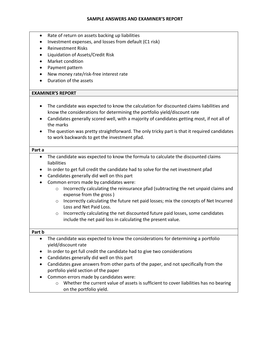- Rate of return on assets backing up liabilities
- Investment expenses, and losses from default (C1 risk)
- Reinvestment Risks
- Liquidation of Assets/Credit Risk
- Market condition
- Payment pattern
- New money rate/risk-free interest rate
- Duration of the assets

### **EXAMINER'S REPORT**

- The candidate was expected to know the calculation for discounted claims liabilities and know the considerations for determining the portfolio yield/discount rate
- Candidates generally scored well, with a majority of candidates getting most, if not all of the marks
- The question was pretty straightforward. The only tricky part is that it required candidates to work backwards to get the investment pfad.

#### **Part a**

- The candidate was expected to know the formula to calculate the discounted claims liabilities
- In order to get full credit the candidate had to solve for the net investment pfad
- Candidates generally did well on this part
- Common errors made by candidates were:
	- $\circ$  Incorrectly calculating the reinsurance pfad (subtracting the net unpaid claims and expense from the gross )
	- o Incorrectly calculating the future net paid losses; mix the concepts of Net Incurred Loss and Net Paid Loss.
	- o Incorrectly calculating the net discounted future paid losses, some candidates include the net paid loss in calculating the present value.

#### **Part b**

- The candidate was expected to know the considerations for determining a portfolio yield/discount rate
- In order to get full credit the candidate had to give two considerations
- Candidates generally did well on this part
- Candidates gave answers from other parts of the paper, and not specifically from the portfolio yield section of the paper
- Common errors made by candidates were:
	- o Whether the current value of assets is sufficient to cover liabilities has no bearing on the portfolio yield.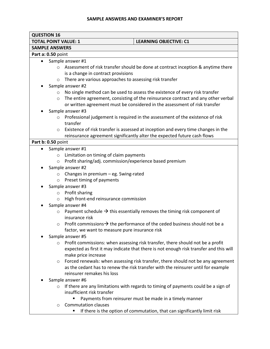| <b>QUESTION 16</b>                                                 |                                                                                        |  |  |  |
|--------------------------------------------------------------------|----------------------------------------------------------------------------------------|--|--|--|
| <b>TOTAL POINT VALUE: 1</b>                                        | <b>LEARNING OBJECTIVE: C1</b>                                                          |  |  |  |
| <b>SAMPLE ANSWERS</b>                                              |                                                                                        |  |  |  |
| Part a: 0.50 point                                                 |                                                                                        |  |  |  |
| Sample answer #1<br>$\bullet$                                      |                                                                                        |  |  |  |
| $\circ$                                                            | Assessment of risk transfer should be done at contract inception & anytime there       |  |  |  |
| is a change in contract provisions                                 |                                                                                        |  |  |  |
| There are various approaches to assessing risk transfer<br>$\circ$ |                                                                                        |  |  |  |
| Sample answer #2                                                   |                                                                                        |  |  |  |
| $\circ$                                                            | No single method can be used to assess the existence of every risk transfer            |  |  |  |
| $\circ$                                                            | The entire agreement, consisting of the reinsurance contract and any other verbal      |  |  |  |
|                                                                    | or written agreement must be considered in the assessment of risk transfer             |  |  |  |
| Sample answer #3                                                   |                                                                                        |  |  |  |
| $\circ$                                                            | Professional judgement is required in the assessment of the existence of risk          |  |  |  |
| transfer                                                           |                                                                                        |  |  |  |
| $\circ$                                                            | Existence of risk transfer is assessed at inception and every time changes in the      |  |  |  |
|                                                                    | reinsurance agreement significantly alter the expected future cash flows               |  |  |  |
| Part b: 0.50 point                                                 |                                                                                        |  |  |  |
| Sample answer #1<br>$\bullet$                                      |                                                                                        |  |  |  |
| Limitation on timing of claim payments<br>$\circ$                  |                                                                                        |  |  |  |
| Profit sharing/adj. commission/experience based premium<br>$\circ$ |                                                                                        |  |  |  |
| Sample answer #2                                                   |                                                                                        |  |  |  |
| Changes in premium $-$ eg. Swing-rated<br>$\circ$                  |                                                                                        |  |  |  |
| Preset timing of payments<br>$\circ$                               |                                                                                        |  |  |  |
| Sample answer #3                                                   |                                                                                        |  |  |  |
| Profit sharing<br>$\circ$                                          |                                                                                        |  |  |  |
| High front-end reinsurance commission<br>$\circ$                   |                                                                                        |  |  |  |
| Sample answer #4                                                   |                                                                                        |  |  |  |
| $\circ$                                                            | Payment schedule $\rightarrow$ this essentially removes the timing risk component of   |  |  |  |
| insurance risk                                                     |                                                                                        |  |  |  |
| $\circ$                                                            | Profit commissions $\rightarrow$ the performance of the ceded business should not be a |  |  |  |
| factor, we want to measure pure insurance risk                     |                                                                                        |  |  |  |
| Sample answer #5                                                   |                                                                                        |  |  |  |
| $\circ$                                                            | Profit commissions: when assessing risk transfer, there should not be a profit         |  |  |  |
|                                                                    | expected as first it may indicate that there is not enough risk transfer and this will |  |  |  |
| make price increase                                                |                                                                                        |  |  |  |
| $\circ$                                                            | Forced renewals: when assessing risk transfer, there should not be any agreement       |  |  |  |
|                                                                    | as the cedant has to renew the risk transfer with the reinsurer until for example      |  |  |  |
| reinsurer remakes his loss                                         |                                                                                        |  |  |  |
| Sample answer #6                                                   |                                                                                        |  |  |  |
| $\circ$                                                            | If there are any limitations with regards to timing of payments could be a sign of     |  |  |  |
| insufficient risk transfer                                         |                                                                                        |  |  |  |
|                                                                    | Payments from reinsurer must be made in a timely manner                                |  |  |  |
| <b>Commutation clauses</b><br>$\circ$                              |                                                                                        |  |  |  |

**If there is the option of commutation, that can significantly limit risk**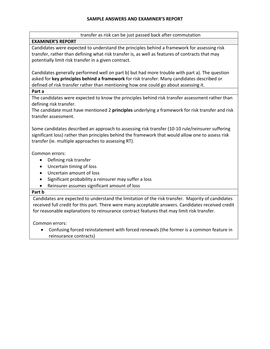transfer as risk can be just passed back after commutation

# **EXAMINER'S REPORT**

Candidates were expected to understand the principles behind a framework for assessing risk transfer, rather than defining what risk transfer is, as well as features of contracts that may potentially limit risk transfer in a given contract.

Candidates generally performed well on part b) but had more trouble with part a). The question asked for **key principles behind a framework** for risk transfer. Many candidates described or defined of risk transfer rather than mentioning how one could go about assessing it.

**Part a**

The candidates were expected to know the principles behind risk transfer assessment rather than defining risk transfer.

The candidate must have mentioned 2 **principles** underlying a framework for risk transfer and risk transfer assessment.

Some candidates described an approach to assessing risk transfer (10-10 rule/reinsurer suffering significant loss) rather than principles behind the framework that would allow one to assess risk transfer (ie. multiple approaches to assessing RT).

Common errors:

- Defining risk transfer
- Uncertain timing of loss
- Uncertain amount of loss
- Significant probability a reinsurer may suffer a loss
- Reinsurer assumes significant amount of loss

# **Part b**

Candidates are expected to understand the limitation of the risk transfer. Majority of candidates received full credit for this part. There were many acceptable answers. Candidates received credit for reasonable explanations to reinsurance contract features that may limit risk transfer.

Common errors:

 Confusing forced reinstatement with forced renewals (the former is a common feature in reinsurance contracts)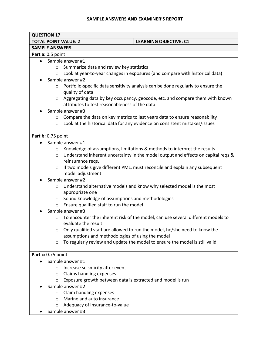|                             | <b>QUESTION 17</b>                                                                                      |  |  |  |  |
|-----------------------------|---------------------------------------------------------------------------------------------------------|--|--|--|--|
| <b>TOTAL POINT VALUE: 2</b> | <b>LEARNING OBJECTIVE: C1</b>                                                                           |  |  |  |  |
| <b>SAMPLE ANSWERS</b>       |                                                                                                         |  |  |  |  |
| Part a: 0.5 point           |                                                                                                         |  |  |  |  |
| $\bullet$                   | Sample answer #1                                                                                        |  |  |  |  |
| $\circ$                     | Summarize data and review key statistics                                                                |  |  |  |  |
| $\circ$                     | Look at year-to-year changes in exposures (and compare with historical data)                            |  |  |  |  |
|                             | Sample answer #2                                                                                        |  |  |  |  |
| $\circ$                     | Portfolio-specific data sensitivity analysis can be done regularly to ensure the                        |  |  |  |  |
|                             | quality of data                                                                                         |  |  |  |  |
| $\circ$                     | Aggregating data by key occupancy, geocode, etc. and compare them with known                            |  |  |  |  |
|                             | attributes to test reasonableness of the data                                                           |  |  |  |  |
|                             | Sample answer #3                                                                                        |  |  |  |  |
| $\circ$                     | Compare the data on key metrics to last years data to ensure reasonability                              |  |  |  |  |
| $\circ$                     | Look at the historical data for any evidence on consistent mistakes/issues                              |  |  |  |  |
|                             |                                                                                                         |  |  |  |  |
| Part b: 0.75 point          |                                                                                                         |  |  |  |  |
|                             | Sample answer #1                                                                                        |  |  |  |  |
| $\circ$                     | Knowledge of assumptions, limitations & methods to interpret the results                                |  |  |  |  |
| $\circ$                     | Understand inherent uncertainty in the model output and effects on capital regs &                       |  |  |  |  |
|                             | reinsurance reqs.                                                                                       |  |  |  |  |
| $\circ$                     | If two models give different PML, must reconcile and explain any subsequent                             |  |  |  |  |
|                             | model adjustment                                                                                        |  |  |  |  |
|                             | Sample answer #2                                                                                        |  |  |  |  |
| $\circ$                     | Understand alternative models and know why selected model is the most                                   |  |  |  |  |
|                             | appropriate one                                                                                         |  |  |  |  |
| $\circ$                     | Sound knowledge of assumptions and methodologies                                                        |  |  |  |  |
| $\circ$                     | Ensure qualified staff to run the model                                                                 |  |  |  |  |
|                             | Sample answer #3                                                                                        |  |  |  |  |
| $\circ$                     | To encounter the inherent risk of the model, can use several different models to<br>evaluate the result |  |  |  |  |
|                             | $\circ$ Only qualified staff are allowed to run the model, he/she need to know the                      |  |  |  |  |
|                             | assumptions and methodologies of using the model                                                        |  |  |  |  |
| $\circ$                     | To regularly review and update the model to ensure the model is still valid                             |  |  |  |  |
|                             |                                                                                                         |  |  |  |  |
| Part c: 0.75 point          |                                                                                                         |  |  |  |  |
|                             | Sample answer #1                                                                                        |  |  |  |  |
| $\circ$                     | Increase seismicity after event                                                                         |  |  |  |  |
| $\circ$                     | Claims handling expenses                                                                                |  |  |  |  |
| $\circ$                     | Exposure growth between data is extracted and model is run                                              |  |  |  |  |
|                             | Sample answer #2                                                                                        |  |  |  |  |
| $\circ$                     | Claim handling expenses                                                                                 |  |  |  |  |
| $\Omega$                    | Marine and auto insurance                                                                               |  |  |  |  |
| $\circ$                     | Adequacy of insurance-to-value                                                                          |  |  |  |  |
|                             | Sample answer #3                                                                                        |  |  |  |  |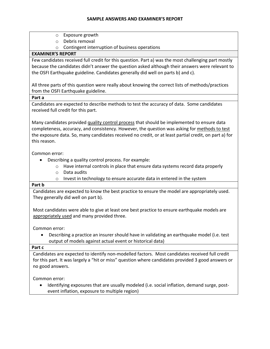- o Exposure growth
- o Debris removal
- o Contingent interruption of business operations

# **EXAMINER'S REPORT**

Few candidates received full credit for this question. Part a) was the most challenging part mostly because the candidates didn't answer the question asked although their answers were relevant to the OSFI Earthquake guideline. Candidates generally did well on parts b) and c).

All three parts of this question were really about knowing the correct lists of methods/practices from the OSFI Earthquake guideline.

# **Part a**

Candidates are expected to describe methods to test the accuracy of data. Some candidates received full credit for this part.

Many candidates provided quality control process that should be implemented to ensure data completeness, accuracy, and consistency. However, the question was asking for methods to test the exposure data. So, many candidates received no credit, or at least partial credit, on part a) for this reason.

Common error:

- Describing a quality control process. For example:
	- $\circ$  Have internal controls in place that ensure data systems record data properly
	- o Data audits
	- o Invest in technology to ensure accurate data in entered in the system

### **Part b**

Candidates are expected to know the best practice to ensure the model are appropriately used. They generally did well on part b).

Most candidates were able to give at least one best practice to ensure earthquake models are appropriately used and many provided three.

Common error:

 Describing a practice an insurer should have in validating an earthquake model (i.e. test output of models against actual event or historical data)

### **Part c**

Candidates are expected to identify non-modelled factors. Most candidates received full credit for this part. It was largely a "hit or miss" question where candidates provided 3 good answers or no good answers.

Common error:

 Identifying exposures that are usually modeled (i.e. social inflation, demand surge, postevent inflation, exposure to multiple region)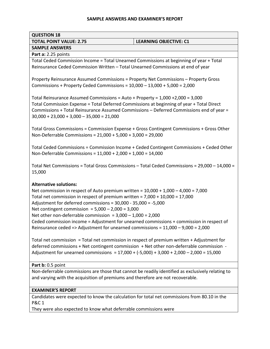| <b>QUESTION 18</b>                                                                                                                                                                                                                                                                                                        |                               |  |  |
|---------------------------------------------------------------------------------------------------------------------------------------------------------------------------------------------------------------------------------------------------------------------------------------------------------------------------|-------------------------------|--|--|
| <b>TOTAL POINT VALUE: 2.75</b>                                                                                                                                                                                                                                                                                            | <b>LEARNING OBJECTIVE: C1</b> |  |  |
| <b>SAMPLE ANSWERS</b>                                                                                                                                                                                                                                                                                                     |                               |  |  |
| Part a: 2.25 points                                                                                                                                                                                                                                                                                                       |                               |  |  |
| Total Ceded Commission Income = Total Unearned Commissions at beginning of year + Total<br>Reinsurance Ceded Commission Written - Total Unearned Commissions at end of year                                                                                                                                               |                               |  |  |
| Property Reinsurance Assumed Commissions = Property Net Commissions - Property Gross<br>Commissions + Property Ceded Commissions = $10,000 - 13,000 + 5,000 = 2,000$                                                                                                                                                      |                               |  |  |
| Total Reinsurance Assumed Commissions = Auto + Property = $1,000 + 2,000 = 3,000$<br>Total Commission Expense = Total Deferred Commissions at beginning of year + Total Direct<br>Commissions + Total Reinsurance Assumed Commissions - Deferred Commissions end of year =<br>$30,000 + 23,000 + 3,000 - 35,000 = 21,000$ |                               |  |  |
| Total Gross Commissions = Commission Expense + Gross Contingent Commissions + Gross Other<br>Non-Deferrable Commissions = $21,000 + 5,000 + 3,000 = 29,000$                                                                                                                                                               |                               |  |  |
| Total Ceded Commissions = Commission Income + Ceded Contingent Commissions + Ceded Other<br>Non-Deferrable Commissions = $11,000 + 2,000 + 1,000 = 14,000$                                                                                                                                                                |                               |  |  |
| Total Net Commissions = Total Gross Commissions - Total Ceded Commissions = 29,000 - 14,000 =<br>15,000                                                                                                                                                                                                                   |                               |  |  |
| <b>Alternative solutions:</b><br>Net commission in respect of Auto premium written = $10,000 + 1,000 - 4,000 = 7,000$                                                                                                                                                                                                     |                               |  |  |
| Total net commission in respect of premium written = $7,000 + 10,000 = 17,000$<br>Adjustment for deferred commissions = $30,000 - 35,000 = -5,000$                                                                                                                                                                        |                               |  |  |
| Net contingent commission = $5,000 - 2,000 = 3,000$                                                                                                                                                                                                                                                                       |                               |  |  |
| Net other non-deferrable commission = $3,000 - 1,000 = 2,000$                                                                                                                                                                                                                                                             |                               |  |  |
| Ceded commission income = Adjustment for unearned commissions + commission in respect of<br>Reinsurance ceded => Adjustment for unearned commissions = $11,000 - 9,000 = 2,000$                                                                                                                                           |                               |  |  |
| Total net commission = Total net commission in respect of premium written + Adjustment for<br>deferred commissions + Net contingent commission + Net other non-deferrable commission -<br>Adjustment for unearned commissions = $17,000 + (-5,000) + 3,000 + 2,000 - 2,000 = 15,000$                                      |                               |  |  |
| Part b: 0.5 point                                                                                                                                                                                                                                                                                                         |                               |  |  |
| Non-deferrable commissions are those that cannot be readily identified as exclusively relating to<br>and varying with the acquisition of premiums and therefore are not recoverable.                                                                                                                                      |                               |  |  |
| <b>EXAMINER'S REPORT</b>                                                                                                                                                                                                                                                                                                  |                               |  |  |
|                                                                                                                                                                                                                                                                                                                           |                               |  |  |

Candidates were expected to know the calculation for total net commissions from 80.10 in the P&C 1

They were also expected to know what deferrable commissions were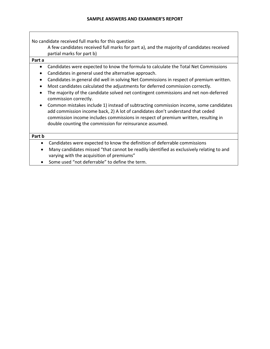No candidate received full marks for this question

A few candidates received full marks for part a), and the majority of candidates received partial marks for part b)

# **Part a**

- Candidates were expected to know the formula to calculate the Total Net Commissions
- Candidates in general used the alternative approach.
- Candidates in general did well in solving Net Commissions in respect of premium written.
- Most candidates calculated the adjustments for deferred commission correctly.
- The majority of the candidate solved net contingent commissions and net non-deferred commission correctly.
- Common mistakes include 1) instead of subtracting commission income, some candidates add commission income back, 2) A lot of candidates don't understand that ceded commission income includes commissions in respect of premium written, resulting in double counting the commission for reinsurance assumed.

# **Part b**

- Candidates were expected to know the definition of deferrable commissions
- Many candidates missed "that cannot be readily identified as exclusively relating to and varying with the acquisition of premiums"
- Some used "not deferrable" to define the term.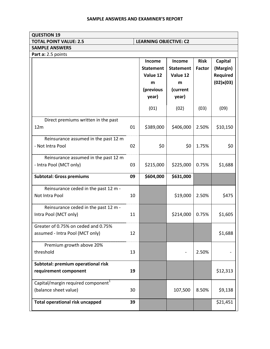| <b>QUESTION 19</b>                                                      |    |                                                                   |                                                                  |                              |                                                     |
|-------------------------------------------------------------------------|----|-------------------------------------------------------------------|------------------------------------------------------------------|------------------------------|-----------------------------------------------------|
| <b>TOTAL POINT VALUE: 2.5</b>                                           |    |                                                                   | <b>LEARNING OBJECTIVE: C2</b>                                    |                              |                                                     |
| <b>SAMPLE ANSWERS</b>                                                   |    |                                                                   |                                                                  |                              |                                                     |
| Part a: 2.5 points                                                      |    |                                                                   |                                                                  |                              |                                                     |
|                                                                         |    | Income<br><b>Statement</b><br>Value 12<br>m<br>(previous<br>year) | Income<br><b>Statement</b><br>Value 12<br>m<br>(current<br>year) | <b>Risk</b><br><b>Factor</b> | Capital<br>(Margin)<br><b>Required</b><br>(02)x(03) |
|                                                                         |    | (01)                                                              | (02)                                                             | (03)                         | (09)                                                |
| Direct premiums written in the past<br>12m                              | 01 | \$389,000                                                         | \$406,000                                                        | 2.50%                        | \$10,150                                            |
| Reinsurance assumed in the past 12 m<br>- Not Intra Pool                | 02 | \$0                                                               | \$0                                                              | 1.75%                        | \$0                                                 |
| Reinsurance assumed in the past 12 m                                    |    |                                                                   |                                                                  |                              |                                                     |
| - Intra Pool (MCT only)                                                 | 03 | \$215,000                                                         | \$225,000                                                        | 0.75%                        | \$1,688                                             |
| <b>Subtotal: Gross premiums</b>                                         | 09 | \$604,000                                                         | \$631,000                                                        |                              |                                                     |
| Reinsurance ceded in the past 12 m -<br>Not Intra Pool                  | 10 |                                                                   | \$19,000                                                         | 2.50%                        | \$475                                               |
| Reinsurance ceded in the past 12 m -<br>Intra Pool (MCT only)           | 11 |                                                                   | \$214,000                                                        | 0.75%                        | \$1,605                                             |
| Greater of 0.75% on ceded and 0.75%<br>assumed - Intra Pool (MCT only)  | 12 |                                                                   |                                                                  |                              | \$1,688                                             |
| Premium growth above 20%<br>threshold                                   | 13 |                                                                   |                                                                  | 2.50%                        |                                                     |
| Subtotal: premium operational risk                                      |    |                                                                   |                                                                  |                              |                                                     |
| requirement component                                                   | 19 |                                                                   |                                                                  |                              | \$12,313                                            |
| Capital/margin required component <sup>1</sup><br>(balance sheet value) | 30 |                                                                   | 107,500                                                          | 8.50%                        | \$9,138                                             |
| <b>Total operational risk uncapped</b>                                  | 39 |                                                                   |                                                                  |                              | \$21,451                                            |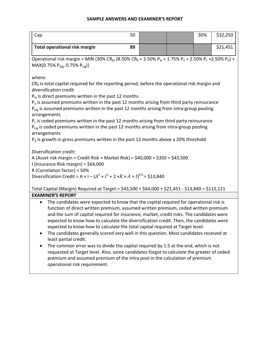| Cap                                                                                                                                                                                                                                                                                                                                                                                                                                                                                                                                                                      | 50                                                                                                                                                                                                                                                            |  |  | 30% | \$32,250 |
|--------------------------------------------------------------------------------------------------------------------------------------------------------------------------------------------------------------------------------------------------------------------------------------------------------------------------------------------------------------------------------------------------------------------------------------------------------------------------------------------------------------------------------------------------------------------------|---------------------------------------------------------------------------------------------------------------------------------------------------------------------------------------------------------------------------------------------------------------|--|--|-----|----------|
| <b>Total operational risk margin</b>                                                                                                                                                                                                                                                                                                                                                                                                                                                                                                                                     | 89                                                                                                                                                                                                                                                            |  |  |     | \$21,451 |
| Operational risk margin = MIN {30% CR <sub>0</sub> , (8.50% CR <sub>0</sub> + 2.50% P <sub>w</sub> + 1.75% P <sub>a</sub> + 2.50% P <sub>c</sub> +2.50% P <sub>A</sub> ) +<br>MAX(0.75% P <sub>aig</sub> , 0.75% P <sub>cig</sub> )}                                                                                                                                                                                                                                                                                                                                     |                                                                                                                                                                                                                                                               |  |  |     |          |
| where:<br>$CR0$ is total capital required for the reporting period, before the operational risk margin and<br>diversification credit                                                                                                                                                                                                                                                                                                                                                                                                                                     |                                                                                                                                                                                                                                                               |  |  |     |          |
| arrangements                                                                                                                                                                                                                                                                                                                                                                                                                                                                                                                                                             | $P_w$ is direct premiums written in the past 12 months<br>$P_a$ is assumed premiums written in the past 12 months arising from third party reinsurance<br>P <sub>aig</sub> is assumed premiums written in the past 12 months arising from intra-group pooling |  |  |     |          |
| $P_c$ is ceded premiums written in the past 12 months arising from third party reinsurance<br>$P_{\text{cig}}$ is ceded premiums written in the past 12 months arising from intra-group pooling<br>arrangements<br>$P_{\Lambda}$ is growth in gross premiums written in the past 12 months above a 20% threshold                                                                                                                                                                                                                                                         |                                                                                                                                                                                                                                                               |  |  |     |          |
| Diversification credit:<br>A (Asset risk margin = Credit Risk + Market Risk) = \$40,000 + \$350 = \$43,500<br>I (Insurance Risk margin) = \$64,000<br>R (Correlation factor) = 50%<br>Diversification Credit = A + I – $(A^{2} + I^{2} + 2 \times R \times A \times I)^{0.5}$ = \$13,840                                                                                                                                                                                                                                                                                 |                                                                                                                                                                                                                                                               |  |  |     |          |
| Total Capital (Margin) Required at Target = \$43,500 + \$64,000 + \$21,451 - \$13,840 = \$115,111<br><b>EXAMINER'S REPORT</b>                                                                                                                                                                                                                                                                                                                                                                                                                                            |                                                                                                                                                                                                                                                               |  |  |     |          |
| The candidates were expected to know that the capital required for operational risk is<br>function of direct written premium, assumed written premium, ceded written premium<br>and the sum of capital required for insurance, market, credit risks. The candidates were<br>expected to know how to calculate the diversification credit. Then, the candidates were<br>expected to know how to calculate the total capital required at Target level.<br>The candidates generally scored very well in this question. Most candidates received at<br>least partial credit. |                                                                                                                                                                                                                                                               |  |  |     |          |

 The common error was to divide the capital required by 1.5 at the end, which is not requested at Target level. Also, some candidates forgot to calculate the greater of ceded premium and assumed premium of the intra pool in the calculation of premium operational risk requirement.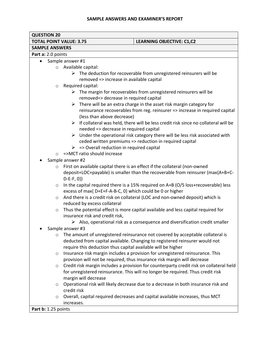| <b>QUESTION 20</b>             |                                                                                                                                                                          |  |  |  |  |
|--------------------------------|--------------------------------------------------------------------------------------------------------------------------------------------------------------------------|--|--|--|--|
| <b>TOTAL POINT VALUE: 3.75</b> | <b>LEARNING OBJECTIVE: C1,C2</b>                                                                                                                                         |  |  |  |  |
| <b>SAMPLE ANSWERS</b>          |                                                                                                                                                                          |  |  |  |  |
| Part a: 2.0 points             |                                                                                                                                                                          |  |  |  |  |
| $\bullet$                      | Sample answer #1                                                                                                                                                         |  |  |  |  |
|                                | o Available capital:                                                                                                                                                     |  |  |  |  |
|                                | $\triangleright$ The deduction for recoverable from unregistered reinsurers will be                                                                                      |  |  |  |  |
|                                | removed => increase in available capital                                                                                                                                 |  |  |  |  |
| $\circ$                        | Required capital:                                                                                                                                                        |  |  |  |  |
|                                | $\triangleright$ The margin for recoverables from unregistered reinsurers will be                                                                                        |  |  |  |  |
|                                | removed=> decrease in required capital                                                                                                                                   |  |  |  |  |
|                                | $\triangleright$ There will be an extra charge in the asset risk margin category for                                                                                     |  |  |  |  |
|                                | reinsurance recoverables from reg. reinsurer => increase in required capital                                                                                             |  |  |  |  |
|                                | (less than above decrease)                                                                                                                                               |  |  |  |  |
|                                | $\triangleright$ If collateral was held, there will be less credit risk since no collateral will be                                                                      |  |  |  |  |
|                                | needed => decrease in required capital                                                                                                                                   |  |  |  |  |
|                                | $\triangleright$ Under the operational risk category there will be less risk associated with                                                                             |  |  |  |  |
|                                | ceded written premiums => reduction in required capital                                                                                                                  |  |  |  |  |
|                                | $\triangleright$ => Overall reduction in required capital<br>=>MCT ratio should increase                                                                                 |  |  |  |  |
| $\circ$                        | Sample answer #2                                                                                                                                                         |  |  |  |  |
|                                |                                                                                                                                                                          |  |  |  |  |
|                                | First on available capital there is an effect if the collateral (non-owned<br>$\circ$<br>deposit+LOC+payable) is smaller than the recoverable from reinsurer (max{A+B+C- |  |  |  |  |
|                                | $D-E-F, 0$ }                                                                                                                                                             |  |  |  |  |
| $\circ$                        | In the capital required there is a 15% required on A+B (O/S loss+recoverable) less                                                                                       |  |  |  |  |
|                                | excess of max{ D+E+F-A-B-C, 0} which could be 0 or higher                                                                                                                |  |  |  |  |
| $\circ$                        | And there is a credit risk on collateral (LOC and non-owned deposit) which is                                                                                            |  |  |  |  |
|                                | reduced by excess collateral                                                                                                                                             |  |  |  |  |
| $\circ$                        | Thus the potential effect is more capital available and less capital required for                                                                                        |  |  |  |  |
|                                | insurance risk and credit risk,                                                                                                                                          |  |  |  |  |
|                                | $\triangleright$ Also, operational risk as a consequence and diversification credit smaller                                                                              |  |  |  |  |
|                                | Sample answer #3                                                                                                                                                         |  |  |  |  |
| $\circ$                        | The amount of unregistered reinsurance not covered by acceptable collateral is                                                                                           |  |  |  |  |
|                                | deducted from capital available. Changing to registered reinsurer would not                                                                                              |  |  |  |  |
|                                | require this deduction thus capital available will be higher                                                                                                             |  |  |  |  |
| $\circ$                        | Insurance risk margin includes a provision for unregistered reinsurance. This                                                                                            |  |  |  |  |
|                                | provision will not be required, thus insurance risk margin will decrease                                                                                                 |  |  |  |  |
| $\circ$                        | Credit risk margin includes a provision for counterparty credit risk on collateral held                                                                                  |  |  |  |  |
|                                | for unregistered reinsurance. This will no longer be required. Thus credit risk                                                                                          |  |  |  |  |
|                                | margin will decrease                                                                                                                                                     |  |  |  |  |
| $\circ$                        | Operational risk will likely decrease due to a decrease in both insurance risk and                                                                                       |  |  |  |  |
|                                | credit risk                                                                                                                                                              |  |  |  |  |
| $\circ$                        | Overall, capital required decreases and capital available increases, thus MCT                                                                                            |  |  |  |  |
| increases.                     |                                                                                                                                                                          |  |  |  |  |
|                                | Part b: 1.25 points                                                                                                                                                      |  |  |  |  |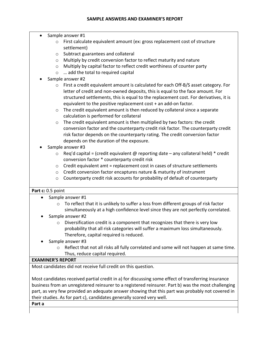| Sample answer #1<br>$\bullet$                                                                    |                                                                                                     |                                                                                        |  |  |
|--------------------------------------------------------------------------------------------------|-----------------------------------------------------------------------------------------------------|----------------------------------------------------------------------------------------|--|--|
|                                                                                                  | $\circ$                                                                                             | First calculate equivalent amount (ex: gross replacement cost of structure             |  |  |
|                                                                                                  | settlement)                                                                                         |                                                                                        |  |  |
|                                                                                                  | O                                                                                                   | Subtract guarantees and collateral                                                     |  |  |
|                                                                                                  | O                                                                                                   | Multiply by credit conversion factor to reflect maturity and nature                    |  |  |
|                                                                                                  | $\circ$                                                                                             | Multiply by capital factor to reflect credit worthiness of counter party               |  |  |
|                                                                                                  | $\circ$                                                                                             | add the total to required capital                                                      |  |  |
|                                                                                                  | Sample answer #2                                                                                    |                                                                                        |  |  |
|                                                                                                  | $\circ$                                                                                             | First a credit equivalent amount is calculated for each Off-B/S asset category. For    |  |  |
|                                                                                                  |                                                                                                     | letter of credit and non-owned deposits, this is equal to the face amount. For         |  |  |
|                                                                                                  |                                                                                                     | structured settlements, this is equal to the replacement cost. For derivatives, it is  |  |  |
|                                                                                                  |                                                                                                     | equivalent to the positive replacement cost + an add-on factor.                        |  |  |
|                                                                                                  | $\circ$                                                                                             | The credit equivalent amount is then reduced by collateral since a separate            |  |  |
|                                                                                                  |                                                                                                     | calculation is performed for collateral                                                |  |  |
|                                                                                                  | $\circ$                                                                                             | The credit equivalent amount is then multiplied by two factors: the credit             |  |  |
|                                                                                                  |                                                                                                     | conversion factor and the counterparty credit risk factor. The counterparty credit     |  |  |
|                                                                                                  |                                                                                                     | risk factor depends on the counterparty rating. The credit conversion factor           |  |  |
|                                                                                                  |                                                                                                     | depends on the duration of the exposure.                                               |  |  |
|                                                                                                  | Sample answer #3                                                                                    |                                                                                        |  |  |
|                                                                                                  | $\circ$                                                                                             | Req'd capital = (credit equivalent $@$ reporting date - any collateral held) * credit  |  |  |
|                                                                                                  |                                                                                                     | conversion factor * counterparty credit risk                                           |  |  |
|                                                                                                  | O                                                                                                   | Credit equivalent amt = replacement cost in cases of structure settlements             |  |  |
|                                                                                                  | $\circ$                                                                                             | Credit conversion factor encaptures nature & maturity of instrument                    |  |  |
|                                                                                                  | $\circ$                                                                                             | Counterparty credit risk accounts for probability of default of counterparty           |  |  |
|                                                                                                  |                                                                                                     |                                                                                        |  |  |
|                                                                                                  | Part c: 0.5 point                                                                                   |                                                                                        |  |  |
|                                                                                                  | Sample answer #1                                                                                    |                                                                                        |  |  |
|                                                                                                  |                                                                                                     | To reflect that it is unlikely to suffer a loss from different groups of risk factor   |  |  |
|                                                                                                  |                                                                                                     | simultaneously at a high confidence level since they are not perfectly correlated.     |  |  |
|                                                                                                  | Sample answer #2                                                                                    |                                                                                        |  |  |
|                                                                                                  | O                                                                                                   | Diversification credit is a component that recognizes that there is very low           |  |  |
|                                                                                                  |                                                                                                     | probability that all risk categories will suffer a maximum loss simultaneously.        |  |  |
|                                                                                                  |                                                                                                     | Therefore, capital required is reduced.                                                |  |  |
|                                                                                                  | Sample answer #3                                                                                    |                                                                                        |  |  |
|                                                                                                  | $\circ$                                                                                             | Reflect that not all risks all fully correlated and some will not happen at same time. |  |  |
|                                                                                                  |                                                                                                     | Thus, reduce capital required.                                                         |  |  |
|                                                                                                  | <b>EXAMINER'S REPORT</b>                                                                            |                                                                                        |  |  |
|                                                                                                  |                                                                                                     |                                                                                        |  |  |
| Most candidates did not receive full credit on this question.                                    |                                                                                                     |                                                                                        |  |  |
|                                                                                                  | Most candidates received partial credit in a) for discussing some effect of transferring insurance  |                                                                                        |  |  |
|                                                                                                  | business from an unregistered reinsurer to a registered reinsurer. Part b) was the most challenging |                                                                                        |  |  |
|                                                                                                  |                                                                                                     |                                                                                        |  |  |
| part, as very few provided an adequate answer showing that this part was probably not covered in |                                                                                                     |                                                                                        |  |  |

their studies. As for part c), candidates generally scored very well.

**Part a**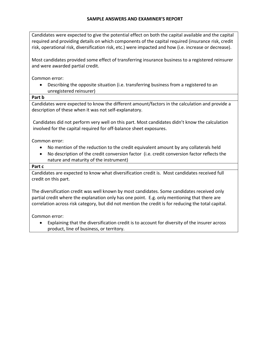Candidates were expected to give the potential effect on both the capital available and the capital required and providing details on which components of the capital required (insurance risk, credit risk, operational risk, diversification risk, etc.) were impacted and how (i.e. increase or decrease).

Most candidates provided some effect of transferring insurance business to a registered reinsurer and were awarded partial credit.

Common error:

 Describing the opposite situation (i.e. transferring business from a registered to an unregistered reinsurer)

# **Part b**

Candidates were expected to know the different amount/factors in the calculation and provide a description of these when it was not self-explanatory.

Candidates did not perform very well on this part. Most candidates didn't know the calculation involved for the capital required for off-balance sheet exposures.

Common error:

- No mention of the reduction to the credit equivalent amount by any collaterals held
- No description of the credit conversion factor (i.e. credit conversion factor reflects the nature and maturity of the instrument)

# **Part c**

Candidates are expected to know what diversification credit is. Most candidates received full credit on this part.

The diversification credit was well known by most candidates. Some candidates received only partial credit where the explanation only has one point. E.g. only mentioning that there are correlation across risk category, but did not mention the credit is for reducing the total capital.

Common error:

 Explaining that the diversification credit is to account for diversity of the insurer across product, line of business, or territory.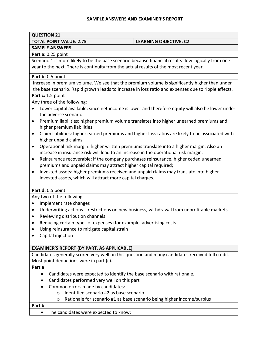| <b>QUESTION 21</b>                                                                                                                                                                                   |                                                                                                                                                         |  |  |  |
|------------------------------------------------------------------------------------------------------------------------------------------------------------------------------------------------------|---------------------------------------------------------------------------------------------------------------------------------------------------------|--|--|--|
| <b>TOTAL POINT VALUE: 2.75</b>                                                                                                                                                                       | <b>LEARNING OBJECTIVE: C2</b>                                                                                                                           |  |  |  |
| <b>SAMPLE ANSWERS</b>                                                                                                                                                                                |                                                                                                                                                         |  |  |  |
| Part a: 0.25 point                                                                                                                                                                                   |                                                                                                                                                         |  |  |  |
| Scenario 1 is more likely to be the base scenario because financial results flow logically from one<br>year to the next. There is continuity from the actual results of the most recent year.        |                                                                                                                                                         |  |  |  |
| Part b: 0.5 point                                                                                                                                                                                    |                                                                                                                                                         |  |  |  |
| Increase in premium volume. We see that the premium volume is significantly higher than under<br>the base scenario. Rapid growth leads to increase in loss ratio and expenses due to ripple effects. |                                                                                                                                                         |  |  |  |
| Part c: 1.5 point                                                                                                                                                                                    |                                                                                                                                                         |  |  |  |
| Any three of the following:                                                                                                                                                                          |                                                                                                                                                         |  |  |  |
| $\bullet$<br>the adverse scenario                                                                                                                                                                    | Lower capital available: since net income is lower and therefore equity will also be lower under                                                        |  |  |  |
| Premium liabilities: higher premium volume translates into higher unearned premiums and<br>$\bullet$<br>higher premium liabilities                                                                   |                                                                                                                                                         |  |  |  |
| $\bullet$<br>higher unpaid claims                                                                                                                                                                    | Claim liabilities: higher earned premiums and higher loss ratios are likely to be associated with                                                       |  |  |  |
| Operational risk margin: higher written premiums translate into a higher margin. Also an<br>$\bullet$<br>increase in insurance risk will lead to an increase in the operational risk margin.         |                                                                                                                                                         |  |  |  |
| $\bullet$                                                                                                                                                                                            | Reinsurance recoverable: if the company purchases reinsurance, higher ceded unearned<br>premiums and unpaid claims may attract higher capital required; |  |  |  |
| Invested assets: higher premiums received and unpaid claims may translate into higher<br>$\bullet$<br>invested assets, which will attract more capital charges.                                      |                                                                                                                                                         |  |  |  |
| Part d: 0.5 point                                                                                                                                                                                    |                                                                                                                                                         |  |  |  |
| Any two of the following:                                                                                                                                                                            |                                                                                                                                                         |  |  |  |
| Implement rate changes<br>$\bullet$                                                                                                                                                                  |                                                                                                                                                         |  |  |  |
| $\bullet$<br>Reviewing distribution channels<br>$\bullet$                                                                                                                                            | Underwriting actions - restrictions on new business, withdrawal from unprofitable markets                                                               |  |  |  |
| Reducing certain types of expenses (for example, advertising costs)<br>$\bullet$                                                                                                                     |                                                                                                                                                         |  |  |  |
| Using reinsurance to mitigate capital strain                                                                                                                                                         |                                                                                                                                                         |  |  |  |
| Capital injection                                                                                                                                                                                    |                                                                                                                                                         |  |  |  |
|                                                                                                                                                                                                      |                                                                                                                                                         |  |  |  |
| <b>EXAMINER'S REPORT (BY PART, AS APPLICABLE)</b><br>Candidates generally scored very well on this question and many candidates received full credit.                                                |                                                                                                                                                         |  |  |  |
| Most point deductions were in part (c).                                                                                                                                                              |                                                                                                                                                         |  |  |  |
| Part a                                                                                                                                                                                               |                                                                                                                                                         |  |  |  |
| Candidates were expected to identify the base scenario with rationale.<br>$\bullet$                                                                                                                  |                                                                                                                                                         |  |  |  |
| Candidates performed very well on this part<br>$\bullet$                                                                                                                                             |                                                                                                                                                         |  |  |  |
| Common errors made by candidates:                                                                                                                                                                    |                                                                                                                                                         |  |  |  |
| Identified scenario #2 as base scenario<br>$\circ$                                                                                                                                                   |                                                                                                                                                         |  |  |  |
| O                                                                                                                                                                                                    | Rationale for scenario #1 as base scenario being higher income/surplus                                                                                  |  |  |  |
| Part b                                                                                                                                                                                               |                                                                                                                                                         |  |  |  |
| The candidates were expected to know:<br>٠                                                                                                                                                           |                                                                                                                                                         |  |  |  |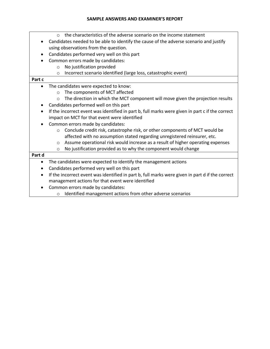- o the characteristics of the adverse scenario on the income statement
- Candidates needed to be able to identify the cause of the adverse scenario and justify using observations from the question.
- Candidates performed very well on this part
- Common errors made by candidates:
	- o No justification provided
	- o Incorrect scenario identified (large loss, catastrophic event)

# **Part c**

- The candidates were expected to know:
	- o The components of MCT affected
	- $\circ$  The direction in which the MCT component will move given the projection results
- Candidates performed well on this part
- If the incorrect event was identified in part b, full marks were given in part c if the correct impact on MCT for that event were identified
- Common errors made by candidates:
	- o Conclude credit risk, catastrophe risk, or other components of MCT would be affected with no assumption stated regarding unregistered reinsurer, etc.
	- o Assume operational risk would increase as a result of higher operating expenses
	- o No justification provided as to why the component would change

# **Part d**

- The candidates were expected to identify the management actions
- Candidates performed very well on this part
- If the incorrect event was identified in part b, full marks were given in part d if the correct management actions for that event were identified
- Common errors made by candidates:
	- o Identified management actions from other adverse scenarios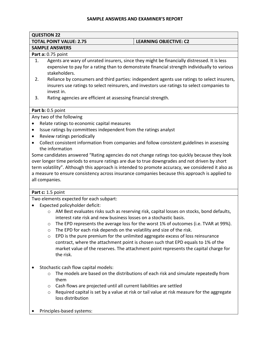| <b>QUESTION 22</b>                                                                             |                                                                                                     |  |  |  |
|------------------------------------------------------------------------------------------------|-----------------------------------------------------------------------------------------------------|--|--|--|
|                                                                                                | <b>TOTAL POINT VALUE: 2.75</b><br><b>LEARNING OBJECTIVE: C2</b>                                     |  |  |  |
| <b>SAMPLE ANSWERS</b>                                                                          |                                                                                                     |  |  |  |
|                                                                                                | Part a: 0.75 point                                                                                  |  |  |  |
| 1.                                                                                             | Agents are wary of unrated insurers, since they might be financially distressed. It is less         |  |  |  |
|                                                                                                | expensive to pay for a rating than to demonstrate financial strength individually to various        |  |  |  |
|                                                                                                | stakeholders.                                                                                       |  |  |  |
| 2.                                                                                             | Reliance by consumers and third parties: independent agents use ratings to select insurers,         |  |  |  |
|                                                                                                | insurers use ratings to select reinsurers, and investors use ratings to select companies to         |  |  |  |
|                                                                                                | invest in.                                                                                          |  |  |  |
| 3.                                                                                             | Rating agencies are efficient at assessing financial strength.                                      |  |  |  |
|                                                                                                | Part b: 0.5 point                                                                                   |  |  |  |
|                                                                                                | Any two of the following                                                                            |  |  |  |
| $\bullet$                                                                                      | Relate ratings to economic capital measures                                                         |  |  |  |
| $\bullet$                                                                                      | Issue ratings by committees independent from the ratings analyst                                    |  |  |  |
| $\bullet$                                                                                      | Review ratings periodically                                                                         |  |  |  |
| $\bullet$                                                                                      | Collect consistent information from companies and follow consistent guidelines in assessing         |  |  |  |
|                                                                                                | the information                                                                                     |  |  |  |
|                                                                                                | Some candidates answered "Rating agencies do not change ratings too quickly because they look       |  |  |  |
|                                                                                                | over longer time periods to ensure ratings are due to true downgrades and not driven by short       |  |  |  |
|                                                                                                | term volatility". Although this approach is intended to promote accuracy, we considered it also as  |  |  |  |
|                                                                                                | a measure to ensure consistency across insurance companies because this approach is applied to      |  |  |  |
|                                                                                                | all companies.                                                                                      |  |  |  |
|                                                                                                |                                                                                                     |  |  |  |
|                                                                                                | Part c: 1.5 point                                                                                   |  |  |  |
|                                                                                                | Two elements expected for each subpart:                                                             |  |  |  |
|                                                                                                | Expected policyholder deficit:                                                                      |  |  |  |
|                                                                                                | AM Best evaluates risks such as reserving risk, capital losses on stocks, bond defaults,<br>$\circ$ |  |  |  |
|                                                                                                | interest rate risk and new business losses on a stochastic basis.                                   |  |  |  |
|                                                                                                | The EPD represents the average loss for the worst 1% of outcomes (i.e. TVAR at 99%).<br>$\circ$     |  |  |  |
|                                                                                                | The EPD for each risk depends on the volatility and size of the risk.<br>$\circ$                    |  |  |  |
|                                                                                                | EPD is the pure premium for the unlimited aggregate excess of loss reinsurance<br>$\circ$           |  |  |  |
|                                                                                                | contract, where the attachment point is chosen such that EPD equals to 1% of the                    |  |  |  |
|                                                                                                | market value of the reserves. The attachment point represents the capital charge for                |  |  |  |
|                                                                                                | the risk.                                                                                           |  |  |  |
| Stochastic cash flow capital models:                                                           |                                                                                                     |  |  |  |
| The models are based on the distributions of each risk and simulate repeatedly from<br>$\circ$ |                                                                                                     |  |  |  |
|                                                                                                | them                                                                                                |  |  |  |

- o Cash flows are projected until all current liabilities are settled
- o Required capital is set by a value at risk or tail value at risk measure for the aggregate loss distribution
- Principles-based systems: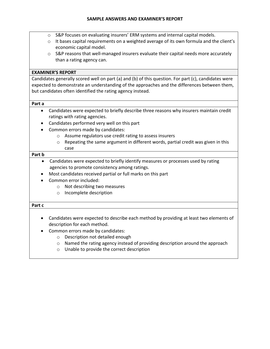- $\circ$  S&P focuses on evaluating insurers' ERM systems and internal capital models.
- $\circ$  It bases capital requirements on a weighted average of its own formula and the client's economic capital model.
- $\circ$  S&P reasons that well-managed insurers evaluate their capital needs more accurately than a rating agency can.

# **EXAMINER'S REPORT**

Candidates generally scored well on part (a) and (b) of this question. For part (c), candidates were expected to demonstrate an understanding of the approaches and the differences between them, but candidates often identified the rating agency instead.

# **Part a**

- Candidates were expected to briefly describe three reasons why insurers maintain credit ratings with rating agencies.
- Candidates performed very well on this part
- Common errors made by candidates:
	- o Assume regulators use credit rating to assess insurers
	- o Repeating the same argument in different words, partial credit was given in this case

# **Part b**

- Candidates were expected to briefly identify measures or processes used by rating agencies to promote consistency among ratings.
- Most candidates received partial or full marks on this part
- Common error included:
	- o Not describing two measures
	- o Incomplete description

### **Part c**

- Candidates were expected to describe each method by providing at least two elements of description for each method.
- Common errors made by candidates:
	- o Description not detailed enough
	- o Named the rating agency instead of providing description around the approach
	- o Unable to provide the correct description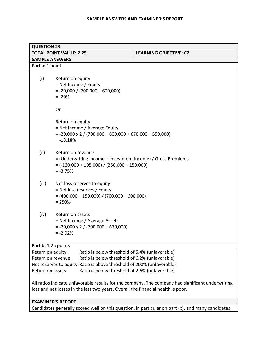| <b>QUESTION 23</b>                                                                                |                                                                                                   |  |  |  |  |
|---------------------------------------------------------------------------------------------------|---------------------------------------------------------------------------------------------------|--|--|--|--|
| <b>TOTAL POINT VALUE: 2.25</b><br><b>LEARNING OBJECTIVE: C2</b>                                   |                                                                                                   |  |  |  |  |
| <b>SAMPLE ANSWERS</b>                                                                             |                                                                                                   |  |  |  |  |
| Part a: 1 point                                                                                   |                                                                                                   |  |  |  |  |
|                                                                                                   |                                                                                                   |  |  |  |  |
| (i)                                                                                               | Return on equity                                                                                  |  |  |  |  |
|                                                                                                   | = Net Income / Equity                                                                             |  |  |  |  |
|                                                                                                   | $= -20,000 / (700,000 - 600,000)$                                                                 |  |  |  |  |
|                                                                                                   | $= -20%$                                                                                          |  |  |  |  |
|                                                                                                   | Or                                                                                                |  |  |  |  |
|                                                                                                   |                                                                                                   |  |  |  |  |
|                                                                                                   | Return on equity<br>= Net Income / Average Equity                                                 |  |  |  |  |
|                                                                                                   | $= -20,000 \times 2 / (700,000 - 600,000 + 670,000 - 550,000)$                                    |  |  |  |  |
|                                                                                                   | $= -18.18%$                                                                                       |  |  |  |  |
|                                                                                                   |                                                                                                   |  |  |  |  |
| (ii)                                                                                              | Return on revenue                                                                                 |  |  |  |  |
|                                                                                                   | = (Underwriting Income + Investment Income) / Gross Premiums                                      |  |  |  |  |
|                                                                                                   | $= (-120,000 + 105,000) / (250,000 + 150,000)$                                                    |  |  |  |  |
|                                                                                                   | $= -3.75%$                                                                                        |  |  |  |  |
| (iii)                                                                                             | Net loss reserves to equity                                                                       |  |  |  |  |
|                                                                                                   | = Net loss reserves / Equity                                                                      |  |  |  |  |
|                                                                                                   | $= (400,000 - 150,000) / (700,000 - 600,000)$                                                     |  |  |  |  |
|                                                                                                   | $= 250%$                                                                                          |  |  |  |  |
| (iv)                                                                                              | Return on assets                                                                                  |  |  |  |  |
|                                                                                                   | = Net Income / Average Assets                                                                     |  |  |  |  |
|                                                                                                   | $= -20,000 \times 2 / (700,000 + 670,000)$                                                        |  |  |  |  |
|                                                                                                   | $= -2.92%$                                                                                        |  |  |  |  |
|                                                                                                   | Part b: 1.25 points                                                                               |  |  |  |  |
|                                                                                                   | Ratio is below threshold of 5.4% (unfavorable)<br>Return on equity:                               |  |  |  |  |
| Ratio is below threshold of 6.2% (unfavorable)<br>Return on revenue:                              |                                                                                                   |  |  |  |  |
| Net reserves to equity: Ratio is above threshold of 200% (unfavorable)                            |                                                                                                   |  |  |  |  |
| Ratio is below threshold of 2.6% (unfavorable)<br>Return on assets:                               |                                                                                                   |  |  |  |  |
|                                                                                                   | All ratios indicate unfavorable results for the company. The company had significant underwriting |  |  |  |  |
| loss and net losses in the last two years. Overall the financial health is poor.                  |                                                                                                   |  |  |  |  |
|                                                                                                   |                                                                                                   |  |  |  |  |
|                                                                                                   | <b>EXAMINER'S REPORT</b>                                                                          |  |  |  |  |
| Candidates generally scored well on this question, in particular on part (b), and many candidates |                                                                                                   |  |  |  |  |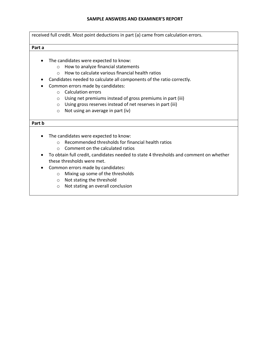received full credit. Most point deductions in part (a) came from calculation errors.

#### **Part a**

- The candidates were expected to know:
	- o How to analyze financial statements
	- o How to calculate various financial health ratios
- Candidates needed to calculate all components of the ratio correctly.
- Common errors made by candidates:
	- o Calculation errors
	- o Using net premiums instead of gross premiums in part (iii)
	- o Using gross reserves instead of net reserves in part (iii)
	- $\circ$  Not using an average in part (iv)

### **Part b**

- The candidates were expected to know:
	- o Recommended thresholds for financial health ratios
	- o Comment on the calculated ratios
- To obtain full credit, candidates needed to state 4 thresholds and comment on whether these thresholds were met.
- Common errors made by candidates:
	- o Mixing up some of the thresholds
	- o Not stating the threshold
	- o Not stating an overall conclusion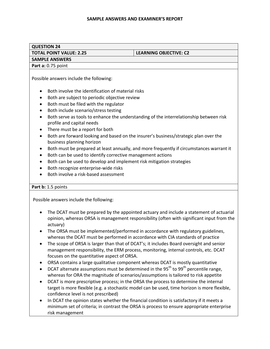# **QUESTION 24**

# **TOTAL POINT VALUE: 2.25 LEARNING OBJECTIVE: C2**

**SAMPLE ANSWERS** 

**Part a:** 0.75 point

Possible answers include the following:

- Both involve the identification of material risks
- Both are subject to periodic objective review
- Both must be filed with the regulator
- Both include scenario/stress testing
- Both serve as tools to enhance the understanding of the interrelationship between risk profile and capital needs
- There must be a report for both
- Both are forward looking and based on the insurer's business/strategic plan over the business planning horizon
- Both must be prepared at least annually, and more frequently if circumstances warrant it
- Both can be used to identify corrective management actions
- Both can be used to develop and implement risk mitigation strategies
- Both recognize enterprise-wide risks
- Both involve a risk-based assessment

# **Part b:** 1.5 points

Possible answers include the following:

- The DCAT must be prepared by the appointed actuary and include a statement of actuarial opinion, whereas ORSA is management responsibility (often with significant input from the actuary)
- The ORSA must be implemented/performed in accordance with regulatory guidelines, whereas the DCAT must be performed in accordance with CIA standards of practice
- The scope of ORSA is larger than that of DCAT's; it includes Board oversight and senior management responsibility, the ERM process, monitoring, internal controls, etc. DCAT focuses on the quantitative aspect of ORSA.
- ORSA contains a large qualitative component whereas DCAT is mostly quantitative
- DCAT alternate assumptions must be determined in the 95<sup>th</sup> to 99<sup>th</sup> percentile range, whereas for ORA the magnitude of scenarios/assumptions is tailored to risk appetite
- DCAT is more prescriptive process; in the ORSA the process to determine the internal target is more flexible (e.g. a stochastic model can be used, time horizon is more flexible, confidence level is not prescribed)
- In DCAT the opinion states whether the financial condition is satisfactory if it meets a minimum set of criteria; in contrast the ORSA is process to ensure appropriate enterprise risk management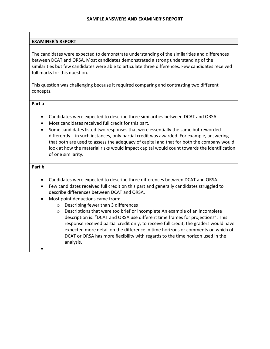# **EXAMINER'S REPORT**

The candidates were expected to demonstrate understanding of the similarities and differences between DCAT and ORSA. Most candidates demonstrated a strong understanding of the similarities but few candidates were able to articulate three differences. Few candidates received full marks for this question.

This question was challenging because it required comparing and contrasting two different concepts.

**Part a**

 $\bullet$ 

- Candidates were expected to describe three similarities between DCAT and ORSA.
- Most candidates received full credit for this part.
- Some candidates listed two responses that were essentially the same but reworded differently – in such instances, only partial credit was awarded. For example, answering that both are used to assess the adequacy of capital and that for both the company would look at how the material risks would impact capital would count towards the identification of one similarity.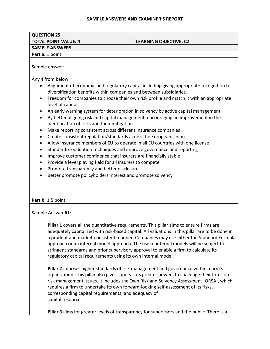| <b>TOTAL POINT VALUE: 4</b><br><b>LEARNING OBJECTIVE: C2</b>                                                                                   |                                                                                          |  |  |  |
|------------------------------------------------------------------------------------------------------------------------------------------------|------------------------------------------------------------------------------------------|--|--|--|
| <b>SAMPLE ANSWERS</b>                                                                                                                          |                                                                                          |  |  |  |
| Part a: 1 point                                                                                                                                |                                                                                          |  |  |  |
| Sample answer:                                                                                                                                 |                                                                                          |  |  |  |
| Any 4 from below:                                                                                                                              |                                                                                          |  |  |  |
| diversification benefits within companies and between subsidiaries.                                                                            | Alignment of economic and regulatory capital including giving appropriate recognition to |  |  |  |
| $\bullet$<br>level of capital                                                                                                                  | Freedom for companies to choose their own risk profile and match it with an appropriate  |  |  |  |
|                                                                                                                                                | An early warning system for deterioration in solvency by active capital management       |  |  |  |
| By better aligning risk and capital management, encouraging an improvement in the<br>$\bullet$<br>identification of risks and their mitigation |                                                                                          |  |  |  |
| Make reporting consistent across different insurance companies<br>$\bullet$                                                                    |                                                                                          |  |  |  |
| Create consistent regulation/standards across the European Union<br>$\bullet$                                                                  |                                                                                          |  |  |  |
| $\bullet$                                                                                                                                      | Allow insurance members of EU to operate in all EU countries with one license            |  |  |  |
| Standardize valuation techniques and improve governance and reporting<br>$\bullet$                                                             |                                                                                          |  |  |  |
| Improve customer confidence that insurers are financially stable<br>$\bullet$                                                                  |                                                                                          |  |  |  |
| Provide a level playing field for all insurers to compete<br>$\bullet$                                                                         |                                                                                          |  |  |  |
| Promote transparency and better disclosure<br>$\bullet$                                                                                        |                                                                                          |  |  |  |
| Better promote policyholders interest and promote solvency                                                                                     |                                                                                          |  |  |  |
|                                                                                                                                                |                                                                                          |  |  |  |
|                                                                                                                                                |                                                                                          |  |  |  |
|                                                                                                                                                |                                                                                          |  |  |  |
| Part b: 1.5 point                                                                                                                              |                                                                                          |  |  |  |

**Pillar 1** covers all the quantitative requirements. This pillar aims to ensure firms are adequately capitalized with risk-based capital. All valuations in this pillar are to be done in a prudent and market-consistent manner. Companies may use either the Standard Formula approach or an internal model approach. The use of internal models will be subject to stringent standards and prior supervisory approval to enable a firm to calculate its regulatory capital requirements using its own internal model.

**Pillar 2** imposes higher standards of risk management and governance within a firm's organization. This pillar also gives supervisors greater powers to challenge their firms on risk management issues. It includes the Own Risk and Solvency Assessment (ORSA), which requires a firm to undertake its own forward-looking self-assessment of its risks, corresponding capital requirements, and adequacy of capital resources.

**Pillar 3** aims for greater levels of transparency for supervisors and the public. There is a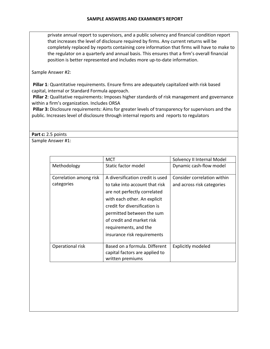private annual report to supervisors, and a public solvency and financial condition report that increases the level of disclosure required by firms. Any current returns will be completely replaced by reports containing core information that firms will have to make to the regulator on a quarterly and annual basis. This ensures that a firm's overall financial position is better represented and includes more up-to-date information.

Sample Answer #2:

**Pillar 1**: Quantitative requirements. Ensure firms are adequately capitalized with risk based capital, internal or Standard Formula approach.

**Pillar 2**: Qualitative requirements: Imposes higher standards of risk management and governance within a firm's organization. Includes ORSA

**Pillar 3:** Disclosure requirements: Aims for greater levels of transparency for supervisors and the public. Increases level of disclosure through internal reports and reports to regulators

Part c: 2.5 points

Sample Answer #1:

|                                      | <b>MCT</b>                                                                                                                                                                                                                    | Solvency II Internal Model                                |
|--------------------------------------|-------------------------------------------------------------------------------------------------------------------------------------------------------------------------------------------------------------------------------|-----------------------------------------------------------|
| Methodology                          | Static factor model                                                                                                                                                                                                           | Dynamic cash-flow model                                   |
| Correlation among risk<br>categories | A diversification credit is used<br>to take into account that risk<br>are not perfectly correlated<br>with each other. An explicit<br>credit for diversification is<br>permitted between the sum<br>of credit and market risk | Consider correlation within<br>and across risk categories |
| Operational risk                     | requirements, and the<br>insurance risk requirements<br>Based on a formula. Different                                                                                                                                         | <b>Explicitly modeled</b>                                 |
|                                      | capital factors are applied to<br>written premiums                                                                                                                                                                            |                                                           |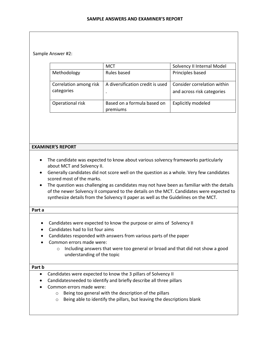Sample Answer #2:

|                                      | <b>MCT</b>                              | Solvency II Internal Model                                |
|--------------------------------------|-----------------------------------------|-----------------------------------------------------------|
| Methodology                          | Rules based                             | Principles based                                          |
| Correlation among risk<br>categories | A diversification credit is used        | Consider correlation within<br>and across risk categories |
| Operational risk                     | Based on a formula based on<br>premiums | <b>Explicitly modeled</b>                                 |

# **EXAMINER'S REPORT**

- The candidate was expected to know about various solvency frameworks particularly about MCT and Solvency II.
- Generally candidates did not score well on the question as a whole. Very few candidates scored most of the marks.
- The question was challenging as candidates may not have been as familiar with the details of the newer Solvency II compared to the details on the MCT. Candidates were expected to synthesize details from the Solvency II paper as well as the Guidelines on the MCT.

| Part a                              |                                                                                                                                                                                                                                                                                                                                    |
|-------------------------------------|------------------------------------------------------------------------------------------------------------------------------------------------------------------------------------------------------------------------------------------------------------------------------------------------------------------------------------|
| $\bullet$<br>$\bullet$<br>$\bullet$ | Candidates were expected to know the purpose or aims of Solvency II<br>Candidates had to list four aims<br>Candidates responded with answers from various parts of the paper<br>Common errors made were:<br>Including answers that were too general or broad and that did not show a good<br>$\circ$<br>understanding of the topic |
| Part b                              |                                                                                                                                                                                                                                                                                                                                    |
| $\bullet$                           | Candidates were expected to know the 3 pillars of Solvency II                                                                                                                                                                                                                                                                      |
|                                     | Candidatesneeded to identify and briefly describe all three pillars                                                                                                                                                                                                                                                                |

- Common errors made were:
	- o Being too general with the description of the pillars
	- o Being able to identify the pillars, but leaving the descriptions blank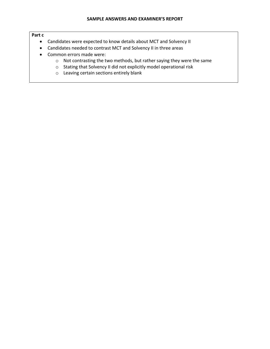# **Part c**

- Candidates were expected to know details about MCT and Solvency II
- Candidates needed to contrast MCT and Solvency II in three areas
- Common errors made were:
	- o Not contrasting the two methods, but rather saying they were the same
	- o Stating that Solvency II did not explicitly model operational risk
	- o Leaving certain sections entirely blank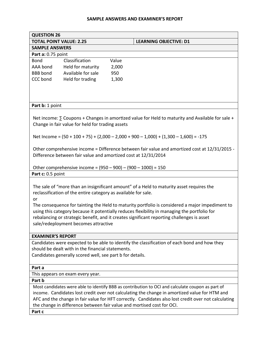| <b>QUESTION 26</b>             |                                                                        |       |                                                                                                         |
|--------------------------------|------------------------------------------------------------------------|-------|---------------------------------------------------------------------------------------------------------|
| <b>TOTAL POINT VALUE: 2.25</b> |                                                                        |       | <b>LEARNING OBJECTIVE: D1</b>                                                                           |
| <b>SAMPLE ANSWERS</b>          |                                                                        |       |                                                                                                         |
| Part a: 0.75 point             |                                                                        |       |                                                                                                         |
| <b>Bond</b>                    | Classification                                                         | Value |                                                                                                         |
| AAA bond                       | Held for maturity                                                      | 2,000 |                                                                                                         |
| <b>BBB</b> bond                | Available for sale                                                     | 950   |                                                                                                         |
| CCC bond                       | Held for trading                                                       | 1,300 |                                                                                                         |
|                                |                                                                        |       |                                                                                                         |
|                                |                                                                        |       |                                                                                                         |
|                                |                                                                        |       |                                                                                                         |
| Part b: 1 point                |                                                                        |       |                                                                                                         |
|                                |                                                                        |       |                                                                                                         |
|                                |                                                                        |       | Net income: $\Sigma$ Coupons + Changes in amortized value for Held to maturity and Available for sale + |
|                                | Change in fair value for held for trading assets                       |       |                                                                                                         |
|                                |                                                                        |       |                                                                                                         |
|                                |                                                                        |       | Net Income = $(50 + 100 + 75) + (2,000 - 2,000 + 900 - 1,000) + (1,300 - 1,600) = -175$                 |
|                                |                                                                        |       |                                                                                                         |
|                                |                                                                        |       | Other comprehensive income = Difference between fair value and amortized cost at 12/31/2015 -           |
|                                | Difference between fair value and amortized cost at 12/31/2014         |       |                                                                                                         |
|                                |                                                                        |       |                                                                                                         |
|                                | Other comprehensive income = $(950 - 900) - (900 - 1000) = 150$        |       |                                                                                                         |
| Part c: 0.5 point              |                                                                        |       |                                                                                                         |
|                                |                                                                        |       |                                                                                                         |
|                                |                                                                        |       | The sale of "more than an insignificant amount" of a Held to maturity asset requires the                |
|                                | reclassification of the entire category as available for sale.         |       |                                                                                                         |
| or                             |                                                                        |       |                                                                                                         |
|                                |                                                                        |       | The consequence for tainting the Held to maturity portfolio is considered a major impediment to         |
|                                |                                                                        |       | using this category because it potentially reduces flexibility in managing the portfolio for            |
|                                |                                                                        |       | rebalancing or strategic benefit, and it creates significant reporting challenges is asset              |
|                                | sale/redeployment becomes attractive                                   |       |                                                                                                         |
|                                |                                                                        |       |                                                                                                         |
| <b>EXAMINER'S REPORT</b>       |                                                                        |       |                                                                                                         |
|                                |                                                                        |       | Candidates were expected to be able to identify the classification of each bond and how they            |
|                                | should be dealt with in the financial statements.                      |       |                                                                                                         |
|                                | Candidates generally scored well, see part b for details.              |       |                                                                                                         |
|                                |                                                                        |       |                                                                                                         |
| Part a                         |                                                                        |       |                                                                                                         |
|                                | This appears on exam every year.                                       |       |                                                                                                         |
| Part b                         |                                                                        |       |                                                                                                         |
|                                |                                                                        |       | Most candidates were able to identify BBB as contribution to OCI and calculate coupon as part of        |
|                                |                                                                        |       | income. Candidates lost credit over not calculating the change in amortized value for HTM and           |
|                                |                                                                        |       | AFC and the change in fair value for HFT correctly. Candidates also lost credit over not calculating    |
|                                | the change in difference between fair value and mortised cost for OCI. |       |                                                                                                         |
| Part c                         |                                                                        |       |                                                                                                         |
|                                |                                                                        |       |                                                                                                         |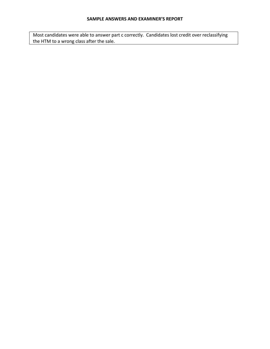Most candidates were able to answer part c correctly. Candidates lost credit over reclassifying the HTM to a wrong class after the sale.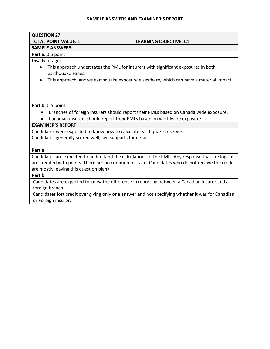| <b>QUESTION 27</b>                                                                                                  |                                                                                                   |  |
|---------------------------------------------------------------------------------------------------------------------|---------------------------------------------------------------------------------------------------|--|
| <b>TOTAL POINT VALUE: 1</b>                                                                                         | <b>LEARNING OBJECTIVE: C1</b>                                                                     |  |
| <b>SAMPLE ANSWERS</b>                                                                                               |                                                                                                   |  |
| Part a: 0.5 point                                                                                                   |                                                                                                   |  |
| Disadvantages:                                                                                                      |                                                                                                   |  |
| This approach understates the PML for insurers with significant exposures in both<br>$\bullet$<br>earthquake zones. |                                                                                                   |  |
| $\bullet$                                                                                                           | This approach ignores earthquake exposure elsewhere, which can have a material impact.            |  |
|                                                                                                                     |                                                                                                   |  |
| Part b: 0.5 point                                                                                                   |                                                                                                   |  |
|                                                                                                                     | Branches of foreign insurers should report their PMLs based on Canada wide exposure.              |  |
| Canadian insurers should report their PMLs based on worldwide exposure.                                             |                                                                                                   |  |
| <b>EXAMINER'S REPORT</b>                                                                                            |                                                                                                   |  |
| Candidates were expected to know how to calculate earthquake reserves.                                              |                                                                                                   |  |
| Candidates generally scored well, see subparts for detail.                                                          |                                                                                                   |  |
| Part a                                                                                                              |                                                                                                   |  |
| Candidates are expected to understand the calculations of the PML. Any response that are logical                    |                                                                                                   |  |
| are credited with points. There are no common mistake. Candidates who do not receive the credit                     |                                                                                                   |  |
| are mostly leaving this question blank.                                                                             |                                                                                                   |  |
| Part b                                                                                                              |                                                                                                   |  |
| Candidates are expected to know the difference in reporting between a Canadian insurer and a                        |                                                                                                   |  |
| foreign branch.                                                                                                     |                                                                                                   |  |
|                                                                                                                     | Candidates lost credit over giving only one answer and not specifying whether it was for Canadian |  |
| or Foreign insurer.                                                                                                 |                                                                                                   |  |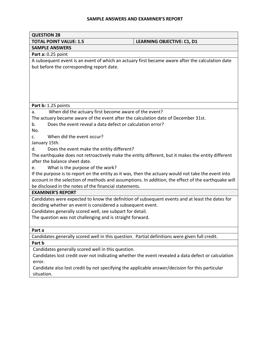| <b>QUESTION 28</b>                                                                                  |                                                                                                     |
|-----------------------------------------------------------------------------------------------------|-----------------------------------------------------------------------------------------------------|
| <b>TOTAL POINT VALUE: 1.5</b>                                                                       | <b>LEARNING OBJECTIVE: C1, D1</b>                                                                   |
| <b>SAMPLE ANSWERS</b>                                                                               |                                                                                                     |
| Part a: 0.25 point                                                                                  |                                                                                                     |
| A subsequent event is an event of which an actuary first became aware after the calculation date    |                                                                                                     |
| but before the corresponding report date.                                                           |                                                                                                     |
|                                                                                                     |                                                                                                     |
|                                                                                                     |                                                                                                     |
|                                                                                                     |                                                                                                     |
|                                                                                                     |                                                                                                     |
|                                                                                                     |                                                                                                     |
| Part b: 1.25 points                                                                                 |                                                                                                     |
| When did the actuary first become aware of the event?<br>a.                                         |                                                                                                     |
| The actuary became aware of the event after the calculation date of December 31st.                  |                                                                                                     |
| Does the event reveal a data defect or calculation error?<br>b.                                     |                                                                                                     |
| No.                                                                                                 |                                                                                                     |
| When did the event occur?<br>C.                                                                     |                                                                                                     |
| January 15th.                                                                                       |                                                                                                     |
| Does the event make the entity different?<br>d.                                                     |                                                                                                     |
| The earthquake does not retroactively make the entity different, but it makes the entity different  |                                                                                                     |
| after the balance sheet date.                                                                       |                                                                                                     |
| What is the purpose of the work?<br>e.                                                              |                                                                                                     |
| If the purpose is to report on the entity as it was, then the actuary would not take the event into |                                                                                                     |
|                                                                                                     | account in the selection of methods and assumptions. In addition, the effect of the earthquake will |
| be disclosed in the notes of the financial statements.                                              |                                                                                                     |
| <b>EXAMINER'S REPORT</b>                                                                            |                                                                                                     |
| Candidates were expected to know the definition of subsequent events and at least the dates for     |                                                                                                     |
| deciding whether an event is considered a subsequent event.                                         |                                                                                                     |
| Candidates generally scored well, see subpart for detail.                                           |                                                                                                     |
| The question was not challenging and is straight forward.                                           |                                                                                                     |
| Part a                                                                                              |                                                                                                     |
| Candidates generally scored well in this question. Partial definitions were given full credit.      |                                                                                                     |
| Part b                                                                                              |                                                                                                     |
| Candidates generally scored well in this question.                                                  |                                                                                                     |
| Candidates lost credit over not indicating whether the event revealed a data defect or calculation  |                                                                                                     |
| error.                                                                                              |                                                                                                     |
| Candidate also lost credit by not specifying the applicable answer/decision for this particular     |                                                                                                     |
| situation.                                                                                          |                                                                                                     |
|                                                                                                     |                                                                                                     |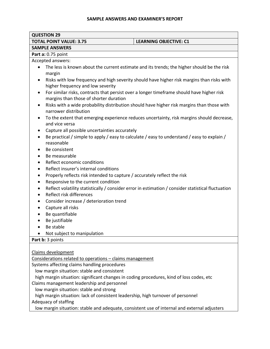| <b>QUESTION 29</b>                                                                                                                               |                                                                                                    |
|--------------------------------------------------------------------------------------------------------------------------------------------------|----------------------------------------------------------------------------------------------------|
| <b>TOTAL POINT VALUE: 3.75</b>                                                                                                                   | <b>LEARNING OBJECTIVE: C1</b>                                                                      |
| <b>SAMPLE ANSWERS</b>                                                                                                                            |                                                                                                    |
| Part a: 0.75 point                                                                                                                               |                                                                                                    |
| Accepted answers:                                                                                                                                |                                                                                                    |
|                                                                                                                                                  | The less is known about the current estimate and its trends; the higher should be the risk         |
| margin                                                                                                                                           |                                                                                                    |
| $\bullet$<br>higher frequency and low severity                                                                                                   | Risks with low frequency and high severity should have higher risk margins than risks with         |
| For similar risks, contracts that persist over a longer timeframe should have higher risk<br>$\bullet$<br>margins than those of shorter duration |                                                                                                    |
| $\bullet$<br>narrower distribution                                                                                                               | Risks with a wide probability distribution should have higher risk margins than those with         |
| $\bullet$<br>and vice versa                                                                                                                      | To the extent that emerging experience reduces uncertainty, risk margins should decrease,          |
| Capture all possible uncertainties accurately<br>$\bullet$                                                                                       |                                                                                                    |
| $\bullet$                                                                                                                                        | Be practical / simple to apply / easy to calculate / easy to understand / easy to explain /        |
| reasonable                                                                                                                                       |                                                                                                    |
| Be consistent                                                                                                                                    |                                                                                                    |
| Be measurable<br>$\bullet$                                                                                                                       |                                                                                                    |
| Reflect economic conditions<br>$\bullet$                                                                                                         |                                                                                                    |
| Reflect insurer's internal conditions<br>٠                                                                                                       |                                                                                                    |
| Properly reflects risk intended to capture / accurately reflect the risk<br>٠                                                                    |                                                                                                    |
| Responsive to the current condition<br>$\bullet$                                                                                                 |                                                                                                    |
| $\bullet$                                                                                                                                        | Reflect volatility statistically / consider error in estimation / consider statistical fluctuation |
| Reflect risk differences<br>$\bullet$                                                                                                            |                                                                                                    |
| Consider increase / deterioration trend<br>٠                                                                                                     |                                                                                                    |
| Capture all risks                                                                                                                                |                                                                                                    |
| Be quantifiable                                                                                                                                  |                                                                                                    |
| Be justifiable                                                                                                                                   |                                                                                                    |
| Be stable                                                                                                                                        |                                                                                                    |
| Not subject to manipulation                                                                                                                      |                                                                                                    |
| Part b: 3 points                                                                                                                                 |                                                                                                    |
|                                                                                                                                                  |                                                                                                    |
| Claims development                                                                                                                               |                                                                                                    |
| Considerations related to operations - claims management                                                                                         |                                                                                                    |
| Systems affecting claims handling procedures                                                                                                     |                                                                                                    |
| low margin situation: stable and consistent                                                                                                      |                                                                                                    |
| high margin situation: significant changes in coding procedures, kind of loss codes, etc                                                         |                                                                                                    |
| Claims management leadership and personnel                                                                                                       |                                                                                                    |

low margin situation: stable and strong

high margin situation: lack of consistent leadership, high turnover of personnel

Adequacy of staffing

low margin situation: stable and adequate, consistent use of internal and external adjusters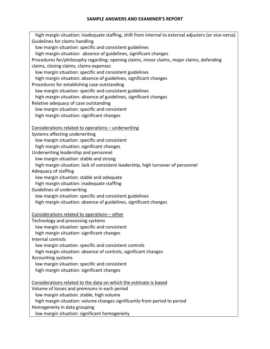high margin situation: inadequate staffing, shift from internal to external adjusters (or vice-versa) Guidelines for claims handling low margin situation: specific and consistent guidelines high margin situation: absence of guidelines, significant changes Procedures for/philosophy regarding: opening claims, minor claims, major claims, defending claims, closing claims, claims expenses low margin situation: specific and consistent guidelines high margin situation: absence of guidelines, significant changes Procedures for extablishing case outstanding low margin situation: specific and consistent guidelines high margin situation: absence of guidelines, significant changes Relative adequacy of case outstanding low margin situation: specific and consistent high margin situation: significant changes Considerations related to operations – underwriting Systems affecting underwriting low margin situation: specific and consistent high margin situation: significant changes Underwriting leadership and personnel low margin situation: stable and strong high margin situation: lack of consistent leadership, high turnover of personnel Adequacy of staffing low margin situation: stable and adequate high margin situation: inadequate staffing Guidelines of underwriting low margin situation: specific and consistent guidelines high margin situation: absence of guidelines, significant changes Considerations related to operations – other Technology and processing systems low margin situation: specific and consistent high margin situation: significant changes Internal controls low margin situation: specific and consistent controls high margin situation: absence of controls, significant changes Accounting systems low margin situation: specific and consistent high margin situation: significant changes Considerations related to the data on which the estimate is based Volume of losses and premiums in each period low margin situation: stable, high volume high margin situation: volume changes significantly from period to period Homogeneity in data grouping low margin situation: significant homogeneity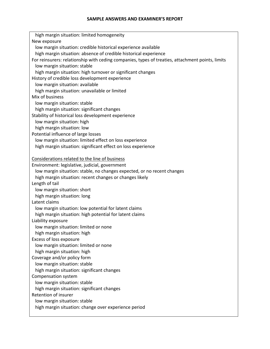| high margin situation: limited homogeneity                                                       |
|--------------------------------------------------------------------------------------------------|
| New exposure                                                                                     |
| low margin situation: credible historical experience available                                   |
| high margin situation: absence of credible historical experience                                 |
| For reinsurers: relationship with ceding companies, types of treaties, attachment points, limits |
| low margin situation: stable                                                                     |
| high margin situation: high turnover or significant changes                                      |
| History of credible loss development experience                                                  |
| low margin situation: available                                                                  |
| high margin situation: unavailable or limited                                                    |
| Mix of business                                                                                  |
| low margin situation: stable                                                                     |
| high margin situation: significant changes                                                       |
| Stability of historical loss development experience                                              |
| low margin situation: high                                                                       |
| high margin situation: low                                                                       |
| Potential influence of large losses                                                              |
| low margin situation: limited effect on loss experience                                          |
| high margin situation: significant effect on loss experience                                     |
| Considerations related to the line of business                                                   |
| Environment: legislative, judicial, government                                                   |
| low margin situation: stable, no changes expected, or no recent changes                          |
| high margin situation: recent changes or changes likely                                          |
| Length of tail                                                                                   |
| low margin situation: short                                                                      |
| high margin situation: long                                                                      |
| Latent claims                                                                                    |
| low margin situation: low potential for latent claims                                            |
| high margin situation: high potential for latent claims                                          |
| Liability exposure                                                                               |
| low margin situation: limited or none                                                            |
| high margin situation: high                                                                      |
| Excess of loss exposure                                                                          |
| low margin situation: limited or none                                                            |
| high margin situation: high                                                                      |
| Coverage and/or policy form                                                                      |
| low margin situation: stable                                                                     |
| high margin situation: significant changes                                                       |
| Compensation system                                                                              |
| low margin situation: stable                                                                     |
| high margin situation: significant changes                                                       |
| Retention of insurer                                                                             |
| low margin situation: stable                                                                     |
| high margin situation: change over experience period                                             |
|                                                                                                  |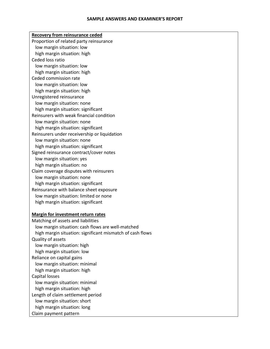| Proportion of related party reinsurance<br>low margin situation: low<br>high margin situation: high<br>Ceded loss ratio<br>low margin situation: low<br>high margin situation: high<br>Ceded commission rate<br>low margin situation: low<br>high margin situation: high<br>Unregistered reinsurance<br>low margin situation: none<br>high margin situation: significant<br>Reinsurers with weak financial condition<br>low margin situation: none<br>high margin situation: significant<br>Reinsurers under receivership or liquidation<br>low margin situation: none<br>high margin situation: significant<br>Signed reinsurance contract/cover notes<br>low margin situation: yes<br>high margin situation: no<br>Claim coverage disputes with reinsurers<br>low margin situation: none<br>high margin situation: significant<br>Reinsurance with balance sheet exposure<br>low margin situation: limited or none<br>high margin situation: significant<br><b>Margin for investment return rates</b><br>Matching of assets and liabilities<br>low margin situation: cash flows are well-matched<br>high margin situation: significant mismatch of cash flows<br>Quality of assets<br>low margin situation: high<br>high margin situation: low<br>Reliance on capital gains<br>low margin situation: minimal<br>high margin situation: high<br>Capital losses<br>low margin situation: minimal<br>high margin situation: high<br>Length of claim settlement period<br>low margin situation: short<br>high margin situation: long | <b>Recovery from reinsurance ceded</b> |
|------------------------------------------------------------------------------------------------------------------------------------------------------------------------------------------------------------------------------------------------------------------------------------------------------------------------------------------------------------------------------------------------------------------------------------------------------------------------------------------------------------------------------------------------------------------------------------------------------------------------------------------------------------------------------------------------------------------------------------------------------------------------------------------------------------------------------------------------------------------------------------------------------------------------------------------------------------------------------------------------------------------------------------------------------------------------------------------------------------------------------------------------------------------------------------------------------------------------------------------------------------------------------------------------------------------------------------------------------------------------------------------------------------------------------------------------------------------------------------------------------------------------------------|----------------------------------------|
|                                                                                                                                                                                                                                                                                                                                                                                                                                                                                                                                                                                                                                                                                                                                                                                                                                                                                                                                                                                                                                                                                                                                                                                                                                                                                                                                                                                                                                                                                                                                    |                                        |
|                                                                                                                                                                                                                                                                                                                                                                                                                                                                                                                                                                                                                                                                                                                                                                                                                                                                                                                                                                                                                                                                                                                                                                                                                                                                                                                                                                                                                                                                                                                                    |                                        |
|                                                                                                                                                                                                                                                                                                                                                                                                                                                                                                                                                                                                                                                                                                                                                                                                                                                                                                                                                                                                                                                                                                                                                                                                                                                                                                                                                                                                                                                                                                                                    |                                        |
|                                                                                                                                                                                                                                                                                                                                                                                                                                                                                                                                                                                                                                                                                                                                                                                                                                                                                                                                                                                                                                                                                                                                                                                                                                                                                                                                                                                                                                                                                                                                    |                                        |
|                                                                                                                                                                                                                                                                                                                                                                                                                                                                                                                                                                                                                                                                                                                                                                                                                                                                                                                                                                                                                                                                                                                                                                                                                                                                                                                                                                                                                                                                                                                                    |                                        |
|                                                                                                                                                                                                                                                                                                                                                                                                                                                                                                                                                                                                                                                                                                                                                                                                                                                                                                                                                                                                                                                                                                                                                                                                                                                                                                                                                                                                                                                                                                                                    |                                        |
|                                                                                                                                                                                                                                                                                                                                                                                                                                                                                                                                                                                                                                                                                                                                                                                                                                                                                                                                                                                                                                                                                                                                                                                                                                                                                                                                                                                                                                                                                                                                    |                                        |
|                                                                                                                                                                                                                                                                                                                                                                                                                                                                                                                                                                                                                                                                                                                                                                                                                                                                                                                                                                                                                                                                                                                                                                                                                                                                                                                                                                                                                                                                                                                                    |                                        |
|                                                                                                                                                                                                                                                                                                                                                                                                                                                                                                                                                                                                                                                                                                                                                                                                                                                                                                                                                                                                                                                                                                                                                                                                                                                                                                                                                                                                                                                                                                                                    |                                        |
|                                                                                                                                                                                                                                                                                                                                                                                                                                                                                                                                                                                                                                                                                                                                                                                                                                                                                                                                                                                                                                                                                                                                                                                                                                                                                                                                                                                                                                                                                                                                    |                                        |
|                                                                                                                                                                                                                                                                                                                                                                                                                                                                                                                                                                                                                                                                                                                                                                                                                                                                                                                                                                                                                                                                                                                                                                                                                                                                                                                                                                                                                                                                                                                                    |                                        |
|                                                                                                                                                                                                                                                                                                                                                                                                                                                                                                                                                                                                                                                                                                                                                                                                                                                                                                                                                                                                                                                                                                                                                                                                                                                                                                                                                                                                                                                                                                                                    |                                        |
|                                                                                                                                                                                                                                                                                                                                                                                                                                                                                                                                                                                                                                                                                                                                                                                                                                                                                                                                                                                                                                                                                                                                                                                                                                                                                                                                                                                                                                                                                                                                    |                                        |
|                                                                                                                                                                                                                                                                                                                                                                                                                                                                                                                                                                                                                                                                                                                                                                                                                                                                                                                                                                                                                                                                                                                                                                                                                                                                                                                                                                                                                                                                                                                                    |                                        |
|                                                                                                                                                                                                                                                                                                                                                                                                                                                                                                                                                                                                                                                                                                                                                                                                                                                                                                                                                                                                                                                                                                                                                                                                                                                                                                                                                                                                                                                                                                                                    |                                        |
|                                                                                                                                                                                                                                                                                                                                                                                                                                                                                                                                                                                                                                                                                                                                                                                                                                                                                                                                                                                                                                                                                                                                                                                                                                                                                                                                                                                                                                                                                                                                    |                                        |
|                                                                                                                                                                                                                                                                                                                                                                                                                                                                                                                                                                                                                                                                                                                                                                                                                                                                                                                                                                                                                                                                                                                                                                                                                                                                                                                                                                                                                                                                                                                                    |                                        |
|                                                                                                                                                                                                                                                                                                                                                                                                                                                                                                                                                                                                                                                                                                                                                                                                                                                                                                                                                                                                                                                                                                                                                                                                                                                                                                                                                                                                                                                                                                                                    |                                        |
|                                                                                                                                                                                                                                                                                                                                                                                                                                                                                                                                                                                                                                                                                                                                                                                                                                                                                                                                                                                                                                                                                                                                                                                                                                                                                                                                                                                                                                                                                                                                    |                                        |
|                                                                                                                                                                                                                                                                                                                                                                                                                                                                                                                                                                                                                                                                                                                                                                                                                                                                                                                                                                                                                                                                                                                                                                                                                                                                                                                                                                                                                                                                                                                                    |                                        |
|                                                                                                                                                                                                                                                                                                                                                                                                                                                                                                                                                                                                                                                                                                                                                                                                                                                                                                                                                                                                                                                                                                                                                                                                                                                                                                                                                                                                                                                                                                                                    |                                        |
|                                                                                                                                                                                                                                                                                                                                                                                                                                                                                                                                                                                                                                                                                                                                                                                                                                                                                                                                                                                                                                                                                                                                                                                                                                                                                                                                                                                                                                                                                                                                    |                                        |
|                                                                                                                                                                                                                                                                                                                                                                                                                                                                                                                                                                                                                                                                                                                                                                                                                                                                                                                                                                                                                                                                                                                                                                                                                                                                                                                                                                                                                                                                                                                                    |                                        |
|                                                                                                                                                                                                                                                                                                                                                                                                                                                                                                                                                                                                                                                                                                                                                                                                                                                                                                                                                                                                                                                                                                                                                                                                                                                                                                                                                                                                                                                                                                                                    |                                        |
|                                                                                                                                                                                                                                                                                                                                                                                                                                                                                                                                                                                                                                                                                                                                                                                                                                                                                                                                                                                                                                                                                                                                                                                                                                                                                                                                                                                                                                                                                                                                    |                                        |
|                                                                                                                                                                                                                                                                                                                                                                                                                                                                                                                                                                                                                                                                                                                                                                                                                                                                                                                                                                                                                                                                                                                                                                                                                                                                                                                                                                                                                                                                                                                                    |                                        |
|                                                                                                                                                                                                                                                                                                                                                                                                                                                                                                                                                                                                                                                                                                                                                                                                                                                                                                                                                                                                                                                                                                                                                                                                                                                                                                                                                                                                                                                                                                                                    |                                        |
|                                                                                                                                                                                                                                                                                                                                                                                                                                                                                                                                                                                                                                                                                                                                                                                                                                                                                                                                                                                                                                                                                                                                                                                                                                                                                                                                                                                                                                                                                                                                    |                                        |
|                                                                                                                                                                                                                                                                                                                                                                                                                                                                                                                                                                                                                                                                                                                                                                                                                                                                                                                                                                                                                                                                                                                                                                                                                                                                                                                                                                                                                                                                                                                                    |                                        |
|                                                                                                                                                                                                                                                                                                                                                                                                                                                                                                                                                                                                                                                                                                                                                                                                                                                                                                                                                                                                                                                                                                                                                                                                                                                                                                                                                                                                                                                                                                                                    |                                        |
|                                                                                                                                                                                                                                                                                                                                                                                                                                                                                                                                                                                                                                                                                                                                                                                                                                                                                                                                                                                                                                                                                                                                                                                                                                                                                                                                                                                                                                                                                                                                    |                                        |
|                                                                                                                                                                                                                                                                                                                                                                                                                                                                                                                                                                                                                                                                                                                                                                                                                                                                                                                                                                                                                                                                                                                                                                                                                                                                                                                                                                                                                                                                                                                                    |                                        |
|                                                                                                                                                                                                                                                                                                                                                                                                                                                                                                                                                                                                                                                                                                                                                                                                                                                                                                                                                                                                                                                                                                                                                                                                                                                                                                                                                                                                                                                                                                                                    |                                        |
|                                                                                                                                                                                                                                                                                                                                                                                                                                                                                                                                                                                                                                                                                                                                                                                                                                                                                                                                                                                                                                                                                                                                                                                                                                                                                                                                                                                                                                                                                                                                    |                                        |
|                                                                                                                                                                                                                                                                                                                                                                                                                                                                                                                                                                                                                                                                                                                                                                                                                                                                                                                                                                                                                                                                                                                                                                                                                                                                                                                                                                                                                                                                                                                                    |                                        |
|                                                                                                                                                                                                                                                                                                                                                                                                                                                                                                                                                                                                                                                                                                                                                                                                                                                                                                                                                                                                                                                                                                                                                                                                                                                                                                                                                                                                                                                                                                                                    |                                        |
|                                                                                                                                                                                                                                                                                                                                                                                                                                                                                                                                                                                                                                                                                                                                                                                                                                                                                                                                                                                                                                                                                                                                                                                                                                                                                                                                                                                                                                                                                                                                    |                                        |
|                                                                                                                                                                                                                                                                                                                                                                                                                                                                                                                                                                                                                                                                                                                                                                                                                                                                                                                                                                                                                                                                                                                                                                                                                                                                                                                                                                                                                                                                                                                                    |                                        |
|                                                                                                                                                                                                                                                                                                                                                                                                                                                                                                                                                                                                                                                                                                                                                                                                                                                                                                                                                                                                                                                                                                                                                                                                                                                                                                                                                                                                                                                                                                                                    |                                        |
|                                                                                                                                                                                                                                                                                                                                                                                                                                                                                                                                                                                                                                                                                                                                                                                                                                                                                                                                                                                                                                                                                                                                                                                                                                                                                                                                                                                                                                                                                                                                    |                                        |
|                                                                                                                                                                                                                                                                                                                                                                                                                                                                                                                                                                                                                                                                                                                                                                                                                                                                                                                                                                                                                                                                                                                                                                                                                                                                                                                                                                                                                                                                                                                                    |                                        |
|                                                                                                                                                                                                                                                                                                                                                                                                                                                                                                                                                                                                                                                                                                                                                                                                                                                                                                                                                                                                                                                                                                                                                                                                                                                                                                                                                                                                                                                                                                                                    |                                        |
|                                                                                                                                                                                                                                                                                                                                                                                                                                                                                                                                                                                                                                                                                                                                                                                                                                                                                                                                                                                                                                                                                                                                                                                                                                                                                                                                                                                                                                                                                                                                    |                                        |
|                                                                                                                                                                                                                                                                                                                                                                                                                                                                                                                                                                                                                                                                                                                                                                                                                                                                                                                                                                                                                                                                                                                                                                                                                                                                                                                                                                                                                                                                                                                                    |                                        |
|                                                                                                                                                                                                                                                                                                                                                                                                                                                                                                                                                                                                                                                                                                                                                                                                                                                                                                                                                                                                                                                                                                                                                                                                                                                                                                                                                                                                                                                                                                                                    | Claim payment pattern                  |